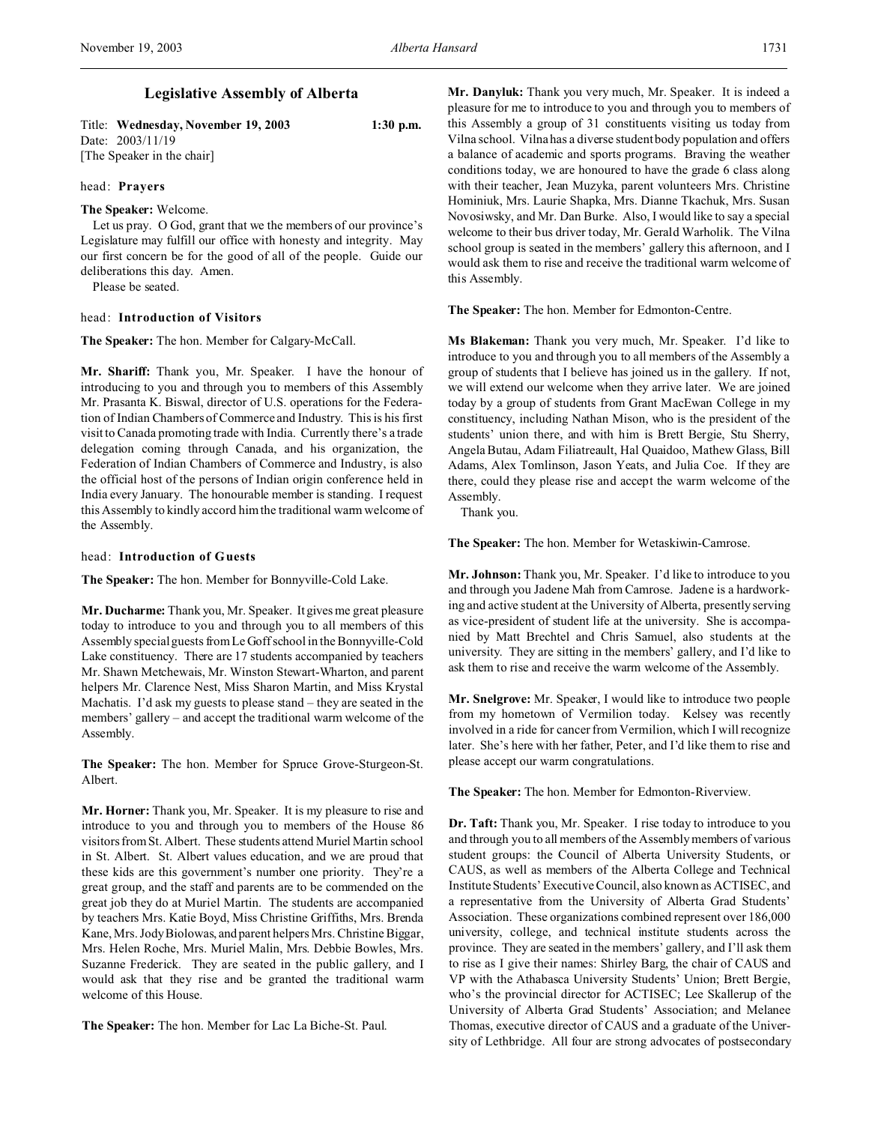# Title: **Wednesday, November 19, 2003 1:30 p.m.**

Date: 2003/11/19 [The Speaker in the chair]

## head: **Prayers**

## **The Speaker:** Welcome.

Let us pray. O God, grant that we the members of our province's Legislature may fulfill our office with honesty and integrity. May our first concern be for the good of all of the people. Guide our deliberations this day. Amen.

Please be seated.

## head: **Introduction of Visitors**

## **The Speaker:** The hon. Member for Calgary-McCall.

**Mr. Shariff:** Thank you, Mr. Speaker. I have the honour of introducing to you and through you to members of this Assembly Mr. Prasanta K. Biswal, director of U.S. operations for the Federation of Indian Chambers of Commerce and Industry. This is his first visit to Canada promoting trade with India. Currently there's a trade delegation coming through Canada, and his organization, the Federation of Indian Chambers of Commerce and Industry, is also the official host of the persons of Indian origin conference held in India every January. The honourable member is standing. I request this Assembly to kindly accord him the traditional warm welcome of the Assembly.

## head: **Introduction of Guests**

**The Speaker:** The hon. Member for Bonnyville-Cold Lake.

**Mr. Ducharme:** Thank you, Mr. Speaker. It gives me great pleasure today to introduce to you and through you to all members of this Assembly special guests from Le Goff school in the Bonnyville-Cold Lake constituency. There are 17 students accompanied by teachers Mr. Shawn Metchewais, Mr. Winston Stewart-Wharton, and parent helpers Mr. Clarence Nest, Miss Sharon Martin, and Miss Krystal Machatis. I'd ask my guests to please stand – they are seated in the members' gallery – and accept the traditional warm welcome of the Assembly.

**The Speaker:** The hon. Member for Spruce Grove-Sturgeon-St. Albert.

**Mr. Horner:** Thank you, Mr. Speaker. It is my pleasure to rise and introduce to you and through you to members of the House 86 visitors from St. Albert. These students attend Muriel Martin school in St. Albert. St. Albert values education, and we are proud that these kids are this government's number one priority. They're a great group, and the staff and parents are to be commended on the great job they do at Muriel Martin. The students are accompanied by teachers Mrs. Katie Boyd, Miss Christine Griffiths, Mrs. Brenda Kane, Mrs. Jody Biolowas, and parent helpers Mrs. Christine Biggar, Mrs. Helen Roche, Mrs. Muriel Malin, Mrs. Debbie Bowles, Mrs. Suzanne Frederick. They are seated in the public gallery, and I would ask that they rise and be granted the traditional warm welcome of this House.

**The Speaker:** The hon. Member for Lac La Biche-St. Paul.

**Mr. Danyluk:** Thank you very much, Mr. Speaker. It is indeed a pleasure for me to introduce to you and through you to members of this Assembly a group of 31 constituents visiting us today from Vilna school. Vilna has a diverse student body population and offers a balance of academic and sports programs. Braving the weather conditions today, we are honoured to have the grade 6 class along with their teacher, Jean Muzyka, parent volunteers Mrs. Christine Hominiuk, Mrs. Laurie Shapka, Mrs. Dianne Tkachuk, Mrs. Susan Novosiwsky, and Mr. Dan Burke. Also, I would like to say a special welcome to their bus driver today, Mr. Gerald Warholik. The Vilna school group is seated in the members' gallery this afternoon, and I would ask them to rise and receive the traditional warm welcome of this Assembly.

**The Speaker:** The hon. Member for Edmonton-Centre.

**Ms Blakeman:** Thank you very much, Mr. Speaker. I'd like to introduce to you and through you to all members of the Assembly a group of students that I believe has joined us in the gallery. If not, we will extend our welcome when they arrive later. We are joined today by a group of students from Grant MacEwan College in my constituency, including Nathan Mison, who is the president of the students' union there, and with him is Brett Bergie, Stu Sherry, Angela Butau, Adam Filiatreault, Hal Quaidoo, Mathew Glass, Bill Adams, Alex Tomlinson, Jason Yeats, and Julia Coe. If they are there, could they please rise and accept the warm welcome of the Assembly.

Thank you.

**The Speaker:** The hon. Member for Wetaskiwin-Camrose.

**Mr. Johnson:** Thank you, Mr. Speaker. I'd like to introduce to you and through you Jadene Mah from Camrose. Jadene is a hardworking and active student at the University of Alberta, presently serving as vice-president of student life at the university. She is accompanied by Matt Brechtel and Chris Samuel, also students at the university. They are sitting in the members' gallery, and I'd like to ask them to rise and receive the warm welcome of the Assembly.

**Mr. Snelgrove:** Mr. Speaker, I would like to introduce two people from my hometown of Vermilion today. Kelsey was recently involved in a ride for cancer from Vermilion, which I will recognize later. She's here with her father, Peter, and I'd like them to rise and please accept our warm congratulations.

**The Speaker:** The hon. Member for Edmonton-Riverview.

**Dr. Taft:** Thank you, Mr. Speaker. I rise today to introduce to you and through you to all members of the Assembly members of various student groups: the Council of Alberta University Students, or CAUS, as well as members of the Alberta College and Technical Institute Students' Executive Council, also known as ACTISEC, and a representative from the University of Alberta Grad Students' Association. These organizations combined represent over 186,000 university, college, and technical institute students across the province. They are seated in the members' gallery, and I'll ask them to rise as I give their names: Shirley Barg, the chair of CAUS and VP with the Athabasca University Students' Union; Brett Bergie, who's the provincial director for ACTISEC; Lee Skallerup of the University of Alberta Grad Students' Association; and Melanee Thomas, executive director of CAUS and a graduate of the University of Lethbridge. All four are strong advocates of postsecondary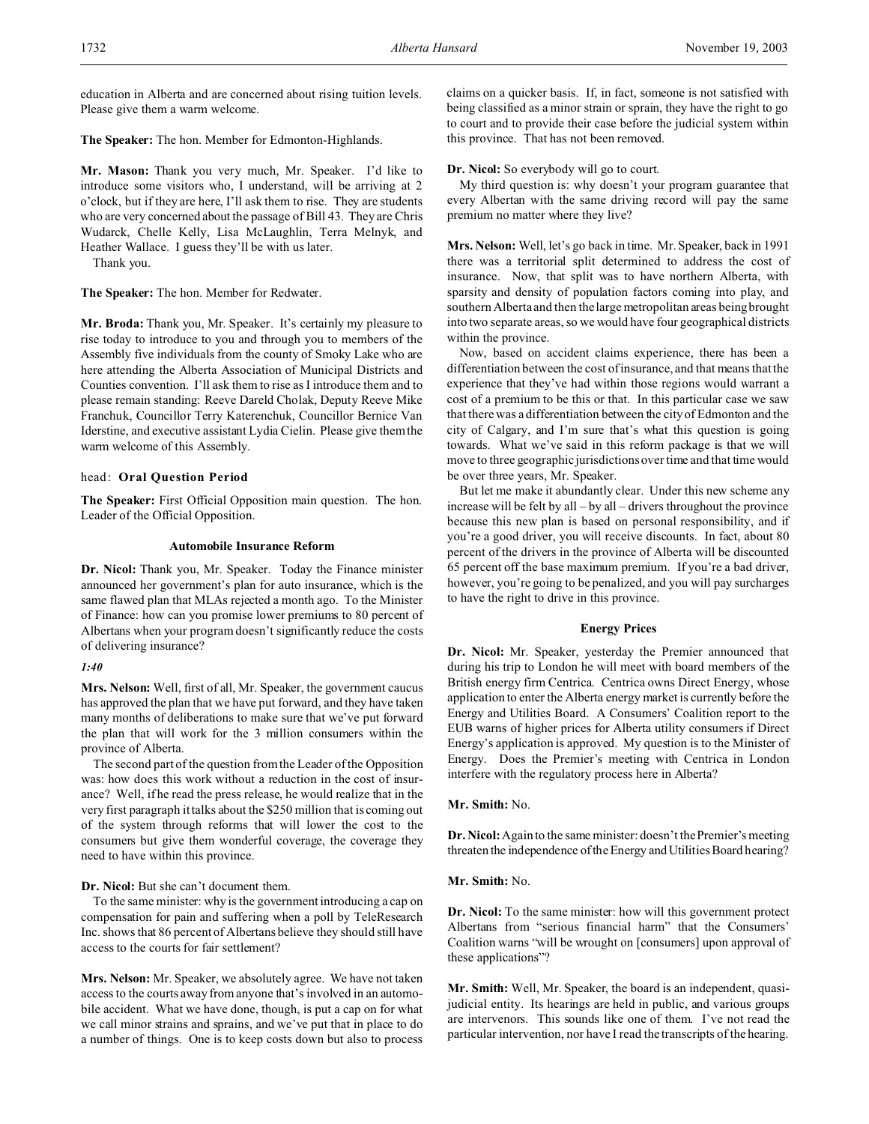education in Alberta and are concerned about rising tuition levels. Please give them a warm welcome.

**The Speaker:** The hon. Member for Edmonton-Highlands.

**Mr. Mason:** Thank you very much, Mr. Speaker. I'd like to introduce some visitors who, I understand, will be arriving at 2 o'clock, but if they are here, I'll ask them to rise. They are students who are very concerned about the passage of Bill 43. They are Chris Wudarck, Chelle Kelly, Lisa McLaughlin, Terra Melnyk, and Heather Wallace. I guess they'll be with us later.

Thank you.

**The Speaker:** The hon. Member for Redwater.

**Mr. Broda:** Thank you, Mr. Speaker. It's certainly my pleasure to rise today to introduce to you and through you to members of the Assembly five individuals from the county of Smoky Lake who are here attending the Alberta Association of Municipal Districts and Counties convention. I'll ask them to rise as I introduce them and to please remain standing: Reeve Dareld Cholak, Deputy Reeve Mike Franchuk, Councillor Terry Katerenchuk, Councillor Bernice Van Iderstine, and executive assistant Lydia Cielin. Please give them the warm welcome of this Assembly.

## head: **Oral Question Period**

**The Speaker:** First Official Opposition main question. The hon. Leader of the Official Opposition.

### **Automobile Insurance Reform**

**Dr. Nicol:** Thank you, Mr. Speaker. Today the Finance minister announced her government's plan for auto insurance, which is the same flawed plan that MLAs rejected a month ago. To the Minister of Finance: how can you promise lower premiums to 80 percent of Albertans when your program doesn't significantly reduce the costs of delivering insurance?

#### *1:40*

**Mrs. Nelson:** Well, first of all, Mr. Speaker, the government caucus has approved the plan that we have put forward, and they have taken many months of deliberations to make sure that we've put forward the plan that will work for the 3 million consumers within the province of Alberta.

The second part of the question from the Leader of the Opposition was: how does this work without a reduction in the cost of insurance? Well, if he read the press release, he would realize that in the very first paragraph it talks about the \$250 million that is coming out of the system through reforms that will lower the cost to the consumers but give them wonderful coverage, the coverage they need to have within this province.

## **Dr. Nicol:** But she can't document them.

To the same minister: why is the government introducing a cap on compensation for pain and suffering when a poll by TeleResearch Inc. shows that 86 percent of Albertans believe they should still have access to the courts for fair settlement?

**Mrs. Nelson:** Mr. Speaker, we absolutely agree. We have not taken access to the courts away from anyone that's involved in an automobile accident. What we have done, though, is put a cap on for what we call minor strains and sprains, and we've put that in place to do a number of things. One is to keep costs down but also to process

claims on a quicker basis. If, in fact, someone is not satisfied with being classified as a minor strain or sprain, they have the right to go to court and to provide their case before the judicial system within this province. That has not been removed.

**Dr. Nicol:** So everybody will go to court.

My third question is: why doesn't your program guarantee that every Albertan with the same driving record will pay the same premium no matter where they live?

**Mrs. Nelson:** Well, let's go back in time. Mr. Speaker, back in 1991 there was a territorial split determined to address the cost of insurance. Now, that split was to have northern Alberta, with sparsity and density of population factors coming into play, and southern Alberta and then the large metropolitan areas being brought into two separate areas, so we would have four geographical districts within the province.

Now, based on accident claims experience, there has been a differentiation between the cost of insurance, and that means that the experience that they've had within those regions would warrant a cost of a premium to be this or that. In this particular case we saw that there was a differentiation between the city of Edmonton and the city of Calgary, and I'm sure that's what this question is going towards. What we've said in this reform package is that we will move to three geographic jurisdictions over time and that time would be over three years, Mr. Speaker.

But let me make it abundantly clear. Under this new scheme any increase will be felt by all – by all – drivers throughout the province because this new plan is based on personal responsibility, and if you're a good driver, you will receive discounts. In fact, about 80 percent of the drivers in the province of Alberta will be discounted 65 percent off the base maximum premium. If you're a bad driver, however, you're going to be penalized, and you will pay surcharges to have the right to drive in this province.

#### **Energy Prices**

**Dr. Nicol:** Mr. Speaker, yesterday the Premier announced that during his trip to London he will meet with board members of the British energy firm Centrica. Centrica owns Direct Energy, whose application to enter the Alberta energy market is currently before the Energy and Utilities Board. A Consumers' Coalition report to the EUB warns of higher prices for Alberta utility consumers if Direct Energy's application is approved. My question is to the Minister of Energy. Does the Premier's meeting with Centrica in London interfere with the regulatory process here in Alberta?

**Mr. Smith:** No.

**Dr. Nicol:** Again to the same minister: doesn't the Premier's meeting threaten the independence of the Energy and Utilities Board hearing?

**Mr. Smith:** No.

**Dr. Nicol:** To the same minister: how will this government protect Albertans from "serious financial harm" that the Consumers' Coalition warns "will be wrought on [consumers] upon approval of these applications"?

**Mr. Smith:** Well, Mr. Speaker, the board is an independent, quasijudicial entity. Its hearings are held in public, and various groups are intervenors. This sounds like one of them. I've not read the particular intervention, nor have I read the transcripts of the hearing.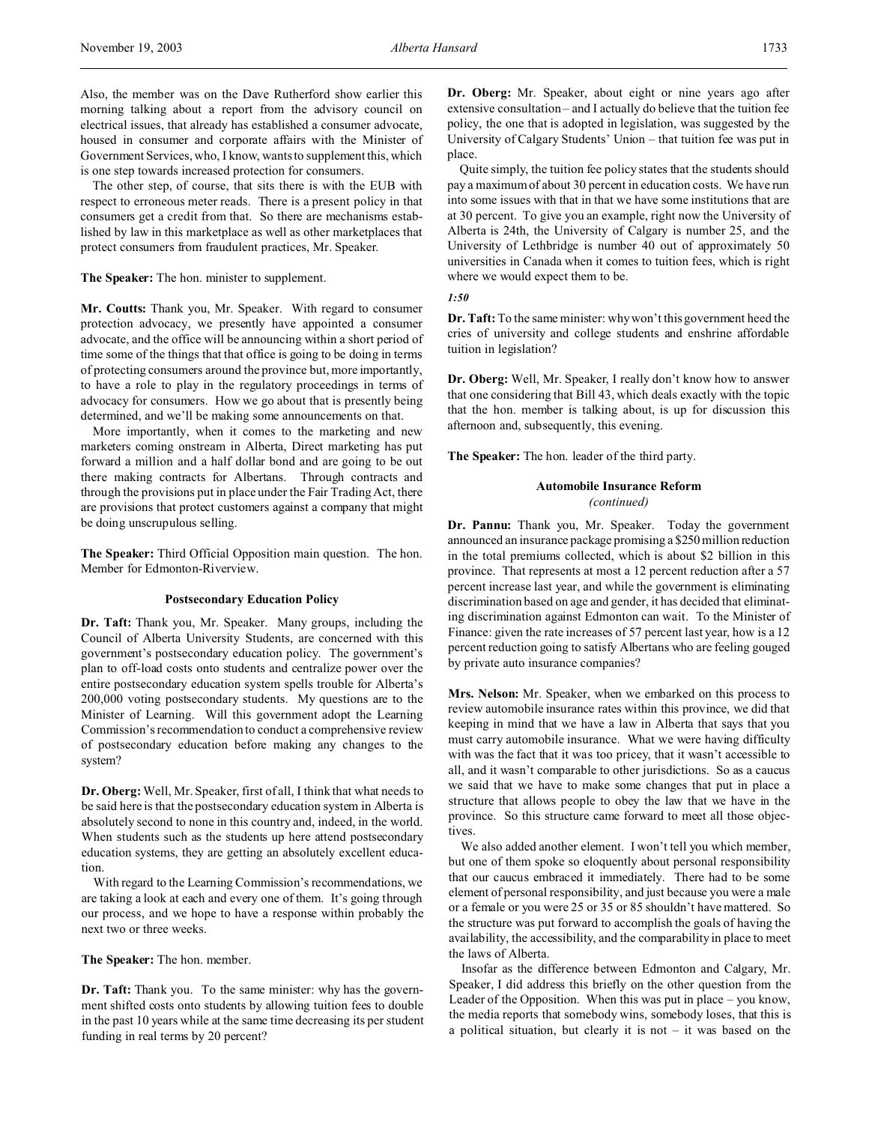Also, the member was on the Dave Rutherford show earlier this morning talking about a report from the advisory council on electrical issues, that already has established a consumer advocate, housed in consumer and corporate affairs with the Minister of Government Services, who, I know, wants to supplement this, which is one step towards increased protection for consumers.

The other step, of course, that sits there is with the EUB with respect to erroneous meter reads. There is a present policy in that consumers get a credit from that. So there are mechanisms established by law in this marketplace as well as other marketplaces that protect consumers from fraudulent practices, Mr. Speaker.

# **The Speaker:** The hon. minister to supplement.

**Mr. Coutts:** Thank you, Mr. Speaker. With regard to consumer protection advocacy, we presently have appointed a consumer advocate, and the office will be announcing within a short period of time some of the things that that office is going to be doing in terms of protecting consumers around the province but, more importantly, to have a role to play in the regulatory proceedings in terms of advocacy for consumers. How we go about that is presently being determined, and we'll be making some announcements on that.

More importantly, when it comes to the marketing and new marketers coming onstream in Alberta, Direct marketing has put forward a million and a half dollar bond and are going to be out there making contracts for Albertans. Through contracts and through the provisions put in place under the Fair Trading Act, there are provisions that protect customers against a company that might be doing unscrupulous selling.

**The Speaker:** Third Official Opposition main question. The hon. Member for Edmonton-Riverview.

## **Postsecondary Education Policy**

**Dr. Taft:** Thank you, Mr. Speaker. Many groups, including the Council of Alberta University Students, are concerned with this government's postsecondary education policy. The government's plan to off-load costs onto students and centralize power over the entire postsecondary education system spells trouble for Alberta's 200,000 voting postsecondary students. My questions are to the Minister of Learning. Will this government adopt the Learning Commission's recommendation to conduct a comprehensive review of postsecondary education before making any changes to the system?

**Dr. Oberg:**Well, Mr. Speaker, first of all, I think that what needs to be said here is that the postsecondary education system in Alberta is absolutely second to none in this country and, indeed, in the world. When students such as the students up here attend postsecondary education systems, they are getting an absolutely excellent education.

With regard to the Learning Commission's recommendations, we are taking a look at each and every one of them. It's going through our process, and we hope to have a response within probably the next two or three weeks.

**The Speaker:** The hon. member.

**Dr. Taft:** Thank you. To the same minister: why has the government shifted costs onto students by allowing tuition fees to double in the past 10 years while at the same time decreasing its per student funding in real terms by 20 percent?

**Dr. Oberg:** Mr. Speaker, about eight or nine years ago after extensive consultation – and I actually do believe that the tuition fee policy, the one that is adopted in legislation, was suggested by the University of Calgary Students' Union – that tuition fee was put in place.

Quite simply, the tuition fee policy states that the students should pay a maximum of about 30 percent in education costs. We have run into some issues with that in that we have some institutions that are at 30 percent. To give you an example, right now the University of Alberta is 24th, the University of Calgary is number 25, and the University of Lethbridge is number 40 out of approximately 50 universities in Canada when it comes to tuition fees, which is right where we would expect them to be.

```
1:50
```
**Dr. Taft:**To the same minister: why won't this government heed the cries of university and college students and enshrine affordable tuition in legislation?

**Dr. Oberg:** Well, Mr. Speaker, I really don't know how to answer that one considering that Bill 43, which deals exactly with the topic that the hon. member is talking about, is up for discussion this afternoon and, subsequently, this evening.

**The Speaker:** The hon. leader of the third party.

## **Automobile Insurance Reform** *(continued)*

**Dr. Pannu:** Thank you, Mr. Speaker. Today the government announced an insurance package promising a \$250 million reduction in the total premiums collected, which is about \$2 billion in this province. That represents at most a 12 percent reduction after a 57 percent increase last year, and while the government is eliminating discrimination based on age and gender, it has decided that eliminating discrimination against Edmonton can wait. To the Minister of Finance: given the rate increases of 57 percent last year, how is a 12 percent reduction going to satisfy Albertans who are feeling gouged by private auto insurance companies?

**Mrs. Nelson:** Mr. Speaker, when we embarked on this process to review automobile insurance rates within this province, we did that keeping in mind that we have a law in Alberta that says that you must carry automobile insurance. What we were having difficulty with was the fact that it was too pricey, that it wasn't accessible to all, and it wasn't comparable to other jurisdictions. So as a caucus we said that we have to make some changes that put in place a structure that allows people to obey the law that we have in the province. So this structure came forward to meet all those objectives.

We also added another element. I won't tell you which member, but one of them spoke so eloquently about personal responsibility that our caucus embraced it immediately. There had to be some element of personal responsibility, and just because you were a male or a female or you were 25 or 35 or 85 shouldn't have mattered. So the structure was put forward to accomplish the goals of having the availability, the accessibility, and the comparability in place to meet the laws of Alberta.

Insofar as the difference between Edmonton and Calgary, Mr. Speaker, I did address this briefly on the other question from the Leader of the Opposition. When this was put in place – you know, the media reports that somebody wins, somebody loses, that this is a political situation, but clearly it is not  $-$  it was based on the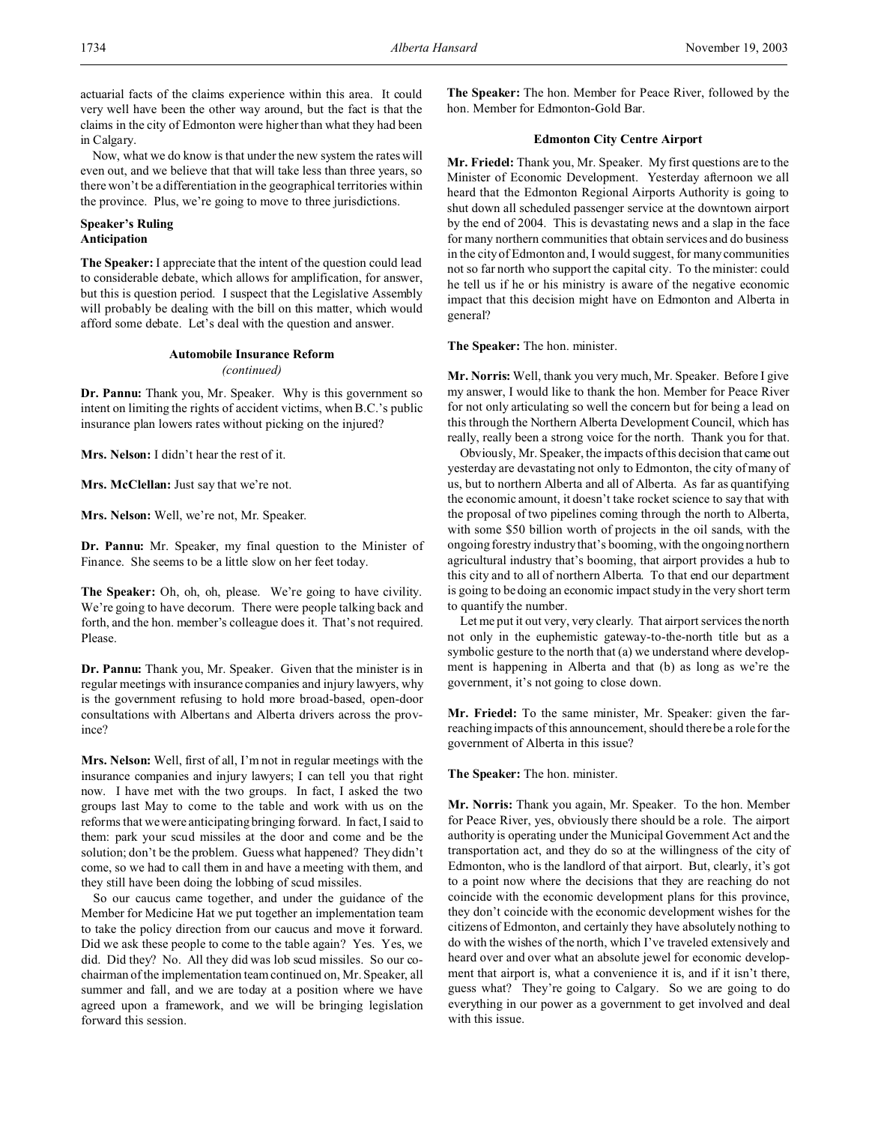actuarial facts of the claims experience within this area. It could very well have been the other way around, but the fact is that the claims in the city of Edmonton were higher than what they had been in Calgary.

Now, what we do know is that under the new system the rates will even out, and we believe that that will take less than three years, so there won't be a differentiation in the geographical territories within the province. Plus, we're going to move to three jurisdictions.

# **Speaker's Ruling Anticipation**

**The Speaker:** I appreciate that the intent of the question could lead to considerable debate, which allows for amplification, for answer, but this is question period. I suspect that the Legislative Assembly will probably be dealing with the bill on this matter, which would afford some debate. Let's deal with the question and answer.

#### **Automobile Insurance Reform** *(continued)*

**Dr. Pannu:** Thank you, Mr. Speaker. Why is this government so intent on limiting the rights of accident victims, when B.C.'s public insurance plan lowers rates without picking on the injured?

**Mrs. Nelson:** I didn't hear the rest of it.

**Mrs. McClellan:** Just say that we're not.

**Mrs. Nelson:** Well, we're not, Mr. Speaker.

**Dr. Pannu:** Mr. Speaker, my final question to the Minister of Finance. She seems to be a little slow on her feet today.

**The Speaker:** Oh, oh, oh, please. We're going to have civility. We're going to have decorum. There were people talking back and forth, and the hon. member's colleague does it. That's not required. Please.

**Dr. Pannu:** Thank you, Mr. Speaker. Given that the minister is in regular meetings with insurance companies and injury lawyers, why is the government refusing to hold more broad-based, open-door consultations with Albertans and Alberta drivers across the province?

**Mrs. Nelson:** Well, first of all, I'm not in regular meetings with the insurance companies and injury lawyers; I can tell you that right now. I have met with the two groups. In fact, I asked the two groups last May to come to the table and work with us on the reforms that we were anticipating bringing forward. In fact, I said to them: park your scud missiles at the door and come and be the solution; don't be the problem. Guess what happened? They didn't come, so we had to call them in and have a meeting with them, and they still have been doing the lobbing of scud missiles.

So our caucus came together, and under the guidance of the Member for Medicine Hat we put together an implementation team to take the policy direction from our caucus and move it forward. Did we ask these people to come to the table again? Yes. Yes, we did. Did they? No. All they did was lob scud missiles. So our cochairman of the implementation team continued on, Mr. Speaker, all summer and fall, and we are today at a position where we have agreed upon a framework, and we will be bringing legislation forward this session.

**The Speaker:** The hon. Member for Peace River, followed by the hon. Member for Edmonton-Gold Bar.

# **Edmonton City Centre Airport**

**Mr. Friedel:** Thank you, Mr. Speaker. My first questions are to the Minister of Economic Development. Yesterday afternoon we all heard that the Edmonton Regional Airports Authority is going to shut down all scheduled passenger service at the downtown airport by the end of 2004. This is devastating news and a slap in the face for many northern communities that obtain services and do business in the city of Edmonton and, I would suggest, for many communities not so far north who support the capital city. To the minister: could he tell us if he or his ministry is aware of the negative economic impact that this decision might have on Edmonton and Alberta in general?

**The Speaker:** The hon. minister.

**Mr. Norris:** Well, thank you very much, Mr. Speaker. Before I give my answer, I would like to thank the hon. Member for Peace River for not only articulating so well the concern but for being a lead on this through the Northern Alberta Development Council, which has really, really been a strong voice for the north. Thank you for that.

Obviously, Mr. Speaker, the impacts of this decision that came out yesterday are devastating not only to Edmonton, the city of many of us, but to northern Alberta and all of Alberta. As far as quantifying the economic amount, it doesn't take rocket science to say that with the proposal of two pipelines coming through the north to Alberta, with some \$50 billion worth of projects in the oil sands, with the ongoing forestry industry that's booming, with the ongoing northern agricultural industry that's booming, that airport provides a hub to this city and to all of northern Alberta. To that end our department is going to be doing an economic impact study in the very short term to quantify the number.

Let me put it out very, very clearly. That airport services the north not only in the euphemistic gateway-to-the-north title but as a symbolic gesture to the north that (a) we understand where development is happening in Alberta and that (b) as long as we're the government, it's not going to close down.

**Mr. Friedel:** To the same minister, Mr. Speaker: given the farreaching impacts of this announcement, should there be a role for the government of Alberta in this issue?

**The Speaker:** The hon. minister.

**Mr. Norris:** Thank you again, Mr. Speaker. To the hon. Member for Peace River, yes, obviously there should be a role. The airport authority is operating under the Municipal Government Act and the transportation act, and they do so at the willingness of the city of Edmonton, who is the landlord of that airport. But, clearly, it's got to a point now where the decisions that they are reaching do not coincide with the economic development plans for this province, they don't coincide with the economic development wishes for the citizens of Edmonton, and certainly they have absolutely nothing to do with the wishes of the north, which I've traveled extensively and heard over and over what an absolute jewel for economic development that airport is, what a convenience it is, and if it isn't there, guess what? They're going to Calgary. So we are going to do everything in our power as a government to get involved and deal with this issue.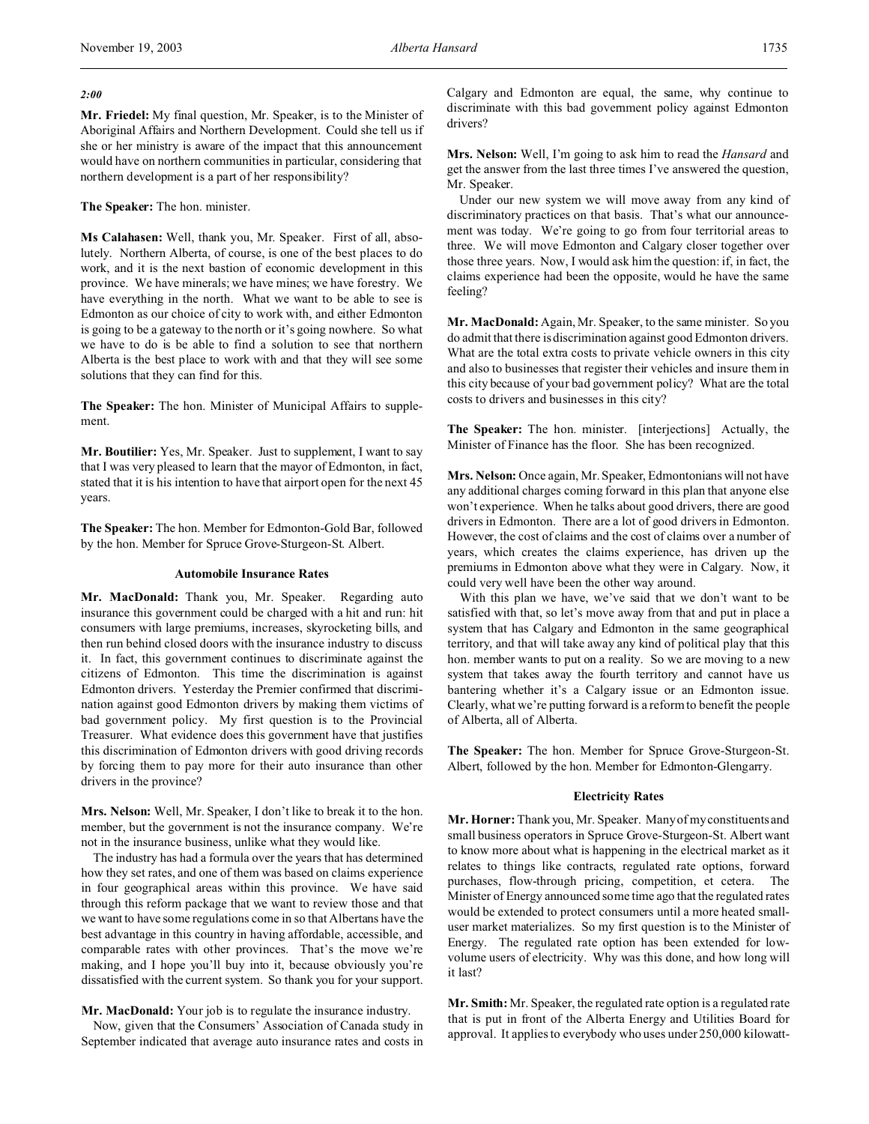## *2:00*

**Mr. Friedel:** My final question, Mr. Speaker, is to the Minister of Aboriginal Affairs and Northern Development. Could she tell us if she or her ministry is aware of the impact that this announcement would have on northern communities in particular, considering that northern development is a part of her responsibility?

## **The Speaker:** The hon. minister.

**Ms Calahasen:** Well, thank you, Mr. Speaker. First of all, absolutely. Northern Alberta, of course, is one of the best places to do work, and it is the next bastion of economic development in this province. We have minerals; we have mines; we have forestry. We have everything in the north. What we want to be able to see is Edmonton as our choice of city to work with, and either Edmonton is going to be a gateway to the north or it's going nowhere. So what we have to do is be able to find a solution to see that northern Alberta is the best place to work with and that they will see some solutions that they can find for this.

**The Speaker:** The hon. Minister of Municipal Affairs to supplement.

**Mr. Boutilier:** Yes, Mr. Speaker. Just to supplement, I want to say that I was very pleased to learn that the mayor of Edmonton, in fact, stated that it is his intention to have that airport open for the next 45 years.

**The Speaker:** The hon. Member for Edmonton-Gold Bar, followed by the hon. Member for Spruce Grove-Sturgeon-St. Albert.

### **Automobile Insurance Rates**

**Mr. MacDonald:** Thank you, Mr. Speaker. Regarding auto insurance this government could be charged with a hit and run: hit consumers with large premiums, increases, skyrocketing bills, and then run behind closed doors with the insurance industry to discuss it. In fact, this government continues to discriminate against the citizens of Edmonton. This time the discrimination is against Edmonton drivers. Yesterday the Premier confirmed that discrimination against good Edmonton drivers by making them victims of bad government policy. My first question is to the Provincial Treasurer. What evidence does this government have that justifies this discrimination of Edmonton drivers with good driving records by forcing them to pay more for their auto insurance than other drivers in the province?

**Mrs. Nelson:** Well, Mr. Speaker, I don't like to break it to the hon. member, but the government is not the insurance company. We're not in the insurance business, unlike what they would like.

The industry has had a formula over the years that has determined how they set rates, and one of them was based on claims experience in four geographical areas within this province. We have said through this reform package that we want to review those and that we want to have some regulations come in so that Albertans have the best advantage in this country in having affordable, accessible, and comparable rates with other provinces. That's the move we're making, and I hope you'll buy into it, because obviously you're dissatisfied with the current system. So thank you for your support.

**Mr. MacDonald:** Your job is to regulate the insurance industry.

Now, given that the Consumers' Association of Canada study in September indicated that average auto insurance rates and costs in Calgary and Edmonton are equal, the same, why continue to discriminate with this bad government policy against Edmonton drivers?

**Mrs. Nelson:** Well, I'm going to ask him to read the *Hansard* and get the answer from the last three times I've answered the question, Mr. Speaker.

Under our new system we will move away from any kind of discriminatory practices on that basis. That's what our announcement was today. We're going to go from four territorial areas to three. We will move Edmonton and Calgary closer together over those three years. Now, I would ask him the question: if, in fact, the claims experience had been the opposite, would he have the same feeling?

**Mr. MacDonald:** Again, Mr. Speaker, to the same minister. So you do admit that there is discrimination against good Edmonton drivers. What are the total extra costs to private vehicle owners in this city and also to businesses that register their vehicles and insure them in this city because of your bad government policy? What are the total costs to drivers and businesses in this city?

**The Speaker:** The hon. minister. [interjections] Actually, the Minister of Finance has the floor. She has been recognized.

**Mrs. Nelson:** Once again, Mr. Speaker, Edmontonians will not have any additional charges coming forward in this plan that anyone else won't experience. When he talks about good drivers, there are good drivers in Edmonton. There are a lot of good drivers in Edmonton. However, the cost of claims and the cost of claims over a number of years, which creates the claims experience, has driven up the premiums in Edmonton above what they were in Calgary. Now, it could very well have been the other way around.

With this plan we have, we've said that we don't want to be satisfied with that, so let's move away from that and put in place a system that has Calgary and Edmonton in the same geographical territory, and that will take away any kind of political play that this hon. member wants to put on a reality. So we are moving to a new system that takes away the fourth territory and cannot have us bantering whether it's a Calgary issue or an Edmonton issue. Clearly, what we're putting forward is a reform to benefit the people of Alberta, all of Alberta.

**The Speaker:** The hon. Member for Spruce Grove-Sturgeon-St. Albert, followed by the hon. Member for Edmonton-Glengarry.

## **Electricity Rates**

**Mr. Horner:** Thank you, Mr. Speaker. Many of my constituents and small business operators in Spruce Grove-Sturgeon-St. Albert want to know more about what is happening in the electrical market as it relates to things like contracts, regulated rate options, forward purchases, flow-through pricing, competition, et cetera. The Minister of Energy announced some time ago that the regulated rates would be extended to protect consumers until a more heated smalluser market materializes. So my first question is to the Minister of Energy. The regulated rate option has been extended for lowvolume users of electricity. Why was this done, and how long will it last?

**Mr. Smith:** Mr. Speaker, the regulated rate option is a regulated rate that is put in front of the Alberta Energy and Utilities Board for approval. It applies to everybody who uses under 250,000 kilowatt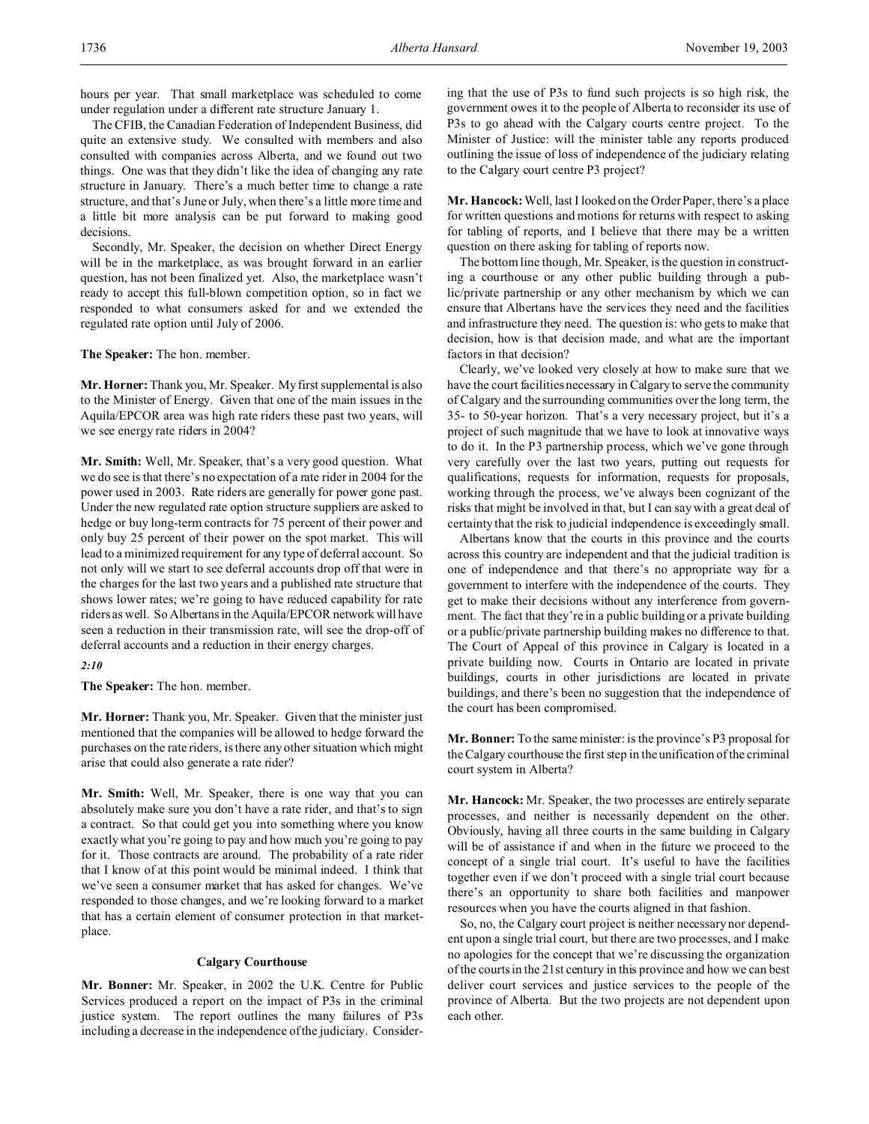hours per year. That small marketplace was scheduled to come under regulation under a different rate structure January 1.

The CFIB, the Canadian Federation of Independent Business, did quite an extensive study. We consulted with members and also consulted with companies across Alberta, and we found out two things. One was that they didn't like the idea of changing any rate structure in January. There's a much better time to change a rate structure, and that's June or July, when there's a little more time and a little bit more analysis can be put forward to making good decisions.

Secondly, Mr. Speaker, the decision on whether Direct Energy will be in the marketplace, as was brought forward in an earlier question, has not been finalized yet. Also, the marketplace wasn't ready to accept this full-blown competition option, so in fact we responded to what consumers asked for and we extended the regulated rate option until July of 2006.

**The Speaker:** The hon. member.

**Mr. Horner:** Thank you, Mr. Speaker. My first supplemental is also to the Minister of Energy. Given that one of the main issues in the Aquila/EPCOR area was high rate riders these past two years, will we see energy rate riders in 2004?

**Mr. Smith:** Well, Mr. Speaker, that's a very good question. What we do see is that there's no expectation of a rate rider in 2004 for the power used in 2003. Rate riders are generally for power gone past. Under the new regulated rate option structure suppliers are asked to hedge or buy long-term contracts for 75 percent of their power and only buy 25 percent of their power on the spot market. This will lead to a minimized requirement for any type of deferral account. So not only will we start to see deferral accounts drop off that were in the charges for the last two years and a published rate structure that shows lower rates; we're going to have reduced capability for rate riders as well. So Albertans in the Aquila/EPCOR network will have seen a reduction in their transmission rate, will see the drop-off of deferral accounts and a reduction in their energy charges.

*2:10*

**The Speaker:** The hon. member.

**Mr. Horner:** Thank you, Mr. Speaker. Given that the minister just mentioned that the companies will be allowed to hedge forward the purchases on the rate riders, is there any other situation which might arise that could also generate a rate rider?

**Mr. Smith:** Well, Mr. Speaker, there is one way that you can absolutely make sure you don't have a rate rider, and that's to sign a contract. So that could get you into something where you know exactly what you're going to pay and how much you're going to pay for it. Those contracts are around. The probability of a rate rider that I know of at this point would be minimal indeed. I think that we've seen a consumer market that has asked for changes. We've responded to those changes, and we're looking forward to a market that has a certain element of consumer protection in that marketplace.

#### **Calgary Courthouse**

**Mr. Bonner:** Mr. Speaker, in 2002 the U.K. Centre for Public Services produced a report on the impact of P3s in the criminal justice system. The report outlines the many failures of P3s including a decrease in the independence of the judiciary. Considering that the use of P3s to fund such projects is so high risk, the government owes it to the people of Alberta to reconsider its use of P3s to go ahead with the Calgary courts centre project. To the Minister of Justice: will the minister table any reports produced outlining the issue of loss of independence of the judiciary relating to the Calgary court centre P3 project?

**Mr. Hancock:** Well, last I looked on the Order Paper, there's a place for written questions and motions for returns with respect to asking for tabling of reports, and I believe that there may be a written question on there asking for tabling of reports now.

The bottom line though, Mr. Speaker, is the question in constructing a courthouse or any other public building through a public/private partnership or any other mechanism by which we can ensure that Albertans have the services they need and the facilities and infrastructure they need. The question is: who gets to make that decision, how is that decision made, and what are the important factors in that decision?

Clearly, we've looked very closely at how to make sure that we have the court facilities necessary in Calgary to serve the community of Calgary and the surrounding communities over the long term, the 35- to 50-year horizon. That's a very necessary project, but it's a project of such magnitude that we have to look at innovative ways to do it. In the P3 partnership process, which we've gone through very carefully over the last two years, putting out requests for qualifications, requests for information, requests for proposals, working through the process, we've always been cognizant of the risks that might be involved in that, but I can say with a great deal of certainty that the risk to judicial independence is exceedingly small.

Albertans know that the courts in this province and the courts across this country are independent and that the judicial tradition is one of independence and that there's no appropriate way for a government to interfere with the independence of the courts. They get to make their decisions without any interference from government. The fact that they're in a public building or a private building or a public/private partnership building makes no difference to that. The Court of Appeal of this province in Calgary is located in a private building now. Courts in Ontario are located in private buildings, courts in other jurisdictions are located in private buildings, and there's been no suggestion that the independence of the court has been compromised.

**Mr. Bonner:** To the same minister: is the province's P3 proposal for the Calgary courthouse the first step in the unification of the criminal court system in Alberta?

**Mr. Hancock:** Mr. Speaker, the two processes are entirely separate processes, and neither is necessarily dependent on the other. Obviously, having all three courts in the same building in Calgary will be of assistance if and when in the future we proceed to the concept of a single trial court. It's useful to have the facilities together even if we don't proceed with a single trial court because there's an opportunity to share both facilities and manpower resources when you have the courts aligned in that fashion.

So, no, the Calgary court project is neither necessary nor dependent upon a single trial court, but there are two processes, and I make no apologies for the concept that we're discussing the organization of the courts in the 21st century in this province and how we can best deliver court services and justice services to the people of the province of Alberta. But the two projects are not dependent upon each other.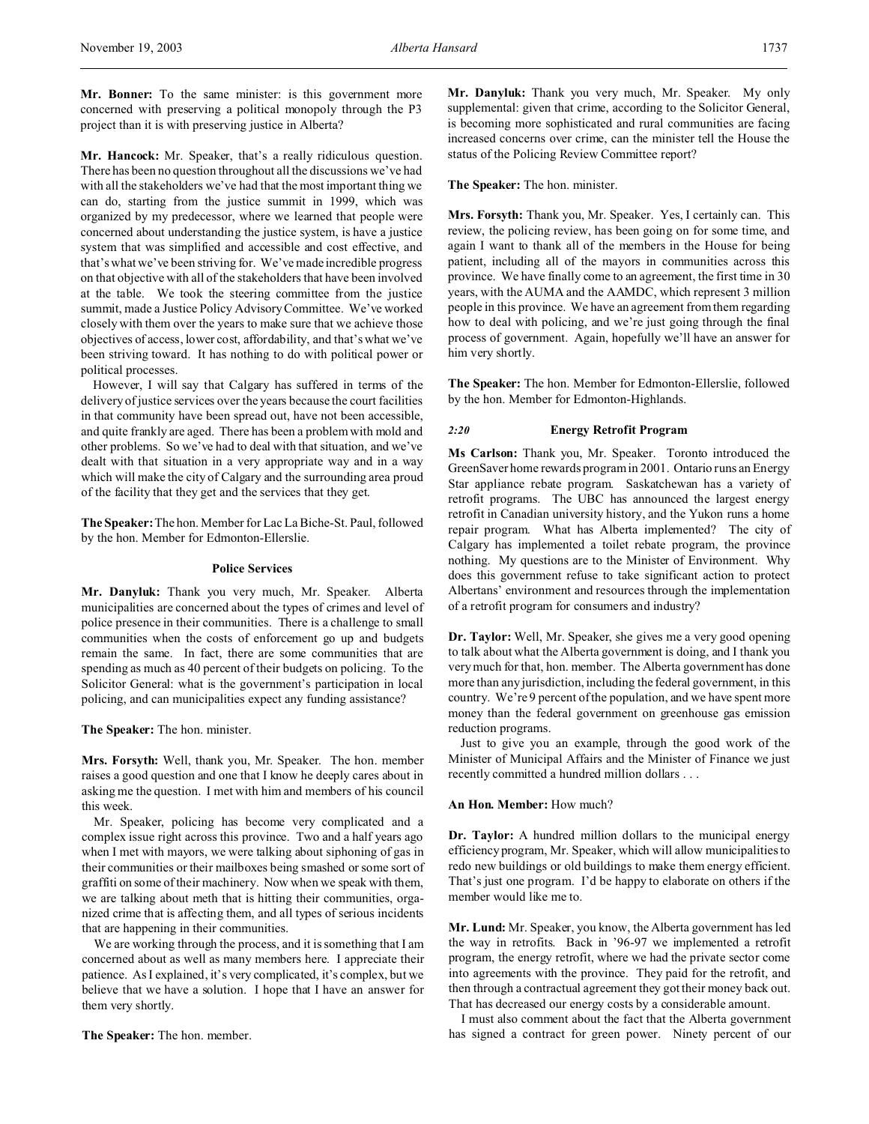**Mr. Bonner:** To the same minister: is this government more concerned with preserving a political monopoly through the P3 project than it is with preserving justice in Alberta?

**Mr. Hancock:** Mr. Speaker, that's a really ridiculous question. There has been no question throughout all the discussions we've had with all the stakeholders we've had that the most important thing we can do, starting from the justice summit in 1999, which was organized by my predecessor, where we learned that people were concerned about understanding the justice system, is have a justice system that was simplified and accessible and cost effective, and that's what we've been striving for. We've made incredible progress on that objective with all of the stakeholders that have been involved at the table. We took the steering committee from the justice summit, made a Justice Policy Advisory Committee. We've worked closely with them over the years to make sure that we achieve those objectives of access, lower cost, affordability, and that's what we've been striving toward. It has nothing to do with political power or political processes.

However, I will say that Calgary has suffered in terms of the delivery of justice services over the years because the court facilities in that community have been spread out, have not been accessible, and quite frankly are aged. There has been a problem with mold and other problems. So we've had to deal with that situation, and we've dealt with that situation in a very appropriate way and in a way which will make the city of Calgary and the surrounding area proud of the facility that they get and the services that they get.

**The Speaker:**The hon. Member for Lac La Biche-St. Paul, followed by the hon. Member for Edmonton-Ellerslie.

#### **Police Services**

**Mr. Danyluk:** Thank you very much, Mr. Speaker. Alberta municipalities are concerned about the types of crimes and level of police presence in their communities. There is a challenge to small communities when the costs of enforcement go up and budgets remain the same. In fact, there are some communities that are spending as much as 40 percent of their budgets on policing. To the Solicitor General: what is the government's participation in local policing, and can municipalities expect any funding assistance?

**The Speaker:** The hon. minister.

**Mrs. Forsyth:** Well, thank you, Mr. Speaker. The hon. member raises a good question and one that I know he deeply cares about in asking me the question. I met with him and members of his council this week.

Mr. Speaker, policing has become very complicated and a complex issue right across this province. Two and a half years ago when I met with mayors, we were talking about siphoning of gas in their communities or their mailboxes being smashed or some sort of graffiti on some of their machinery. Now when we speak with them, we are talking about meth that is hitting their communities, organized crime that is affecting them, and all types of serious incidents that are happening in their communities.

We are working through the process, and it is something that I am concerned about as well as many members here. I appreciate their patience. As I explained, it's very complicated, it's complex, but we believe that we have a solution. I hope that I have an answer for them very shortly.

**The Speaker:** The hon. member.

**Mr. Danyluk:** Thank you very much, Mr. Speaker. My only supplemental: given that crime, according to the Solicitor General, is becoming more sophisticated and rural communities are facing increased concerns over crime, can the minister tell the House the status of the Policing Review Committee report?

## **The Speaker:** The hon. minister.

**Mrs. Forsyth:** Thank you, Mr. Speaker. Yes, I certainly can. This review, the policing review, has been going on for some time, and again I want to thank all of the members in the House for being patient, including all of the mayors in communities across this province. We have finally come to an agreement, the first time in 30 years, with the AUMA and the AAMDC, which represent 3 million people in this province. We have an agreement from them regarding how to deal with policing, and we're just going through the final process of government. Again, hopefully we'll have an answer for him very shortly.

**The Speaker:** The hon. Member for Edmonton-Ellerslie, followed by the hon. Member for Edmonton-Highlands.

## *2:20* **Energy Retrofit Program**

**Ms Carlson:** Thank you, Mr. Speaker. Toronto introduced the GreenSaver home rewards program in 2001. Ontario runs an Energy Star appliance rebate program. Saskatchewan has a variety of retrofit programs. The UBC has announced the largest energy retrofit in Canadian university history, and the Yukon runs a home repair program. What has Alberta implemented? The city of Calgary has implemented a toilet rebate program, the province nothing. My questions are to the Minister of Environment. Why does this government refuse to take significant action to protect Albertans' environment and resources through the implementation of a retrofit program for consumers and industry?

**Dr. Taylor:** Well, Mr. Speaker, she gives me a very good opening to talk about what the Alberta government is doing, and I thank you very much for that, hon. member. The Alberta government has done more than any jurisdiction, including the federal government, in this country. We're 9 percent of the population, and we have spent more money than the federal government on greenhouse gas emission reduction programs.

Just to give you an example, through the good work of the Minister of Municipal Affairs and the Minister of Finance we just recently committed a hundred million dollars . . .

## **An Hon. Member:** How much?

**Dr. Taylor:** A hundred million dollars to the municipal energy efficiency program, Mr. Speaker, which will allow municipalities to redo new buildings or old buildings to make them energy efficient. That's just one program. I'd be happy to elaborate on others if the member would like me to.

**Mr. Lund:** Mr. Speaker, you know, the Alberta government has led the way in retrofits. Back in '96-97 we implemented a retrofit program, the energy retrofit, where we had the private sector come into agreements with the province. They paid for the retrofit, and then through a contractual agreement they got their money back out. That has decreased our energy costs by a considerable amount.

I must also comment about the fact that the Alberta government has signed a contract for green power. Ninety percent of our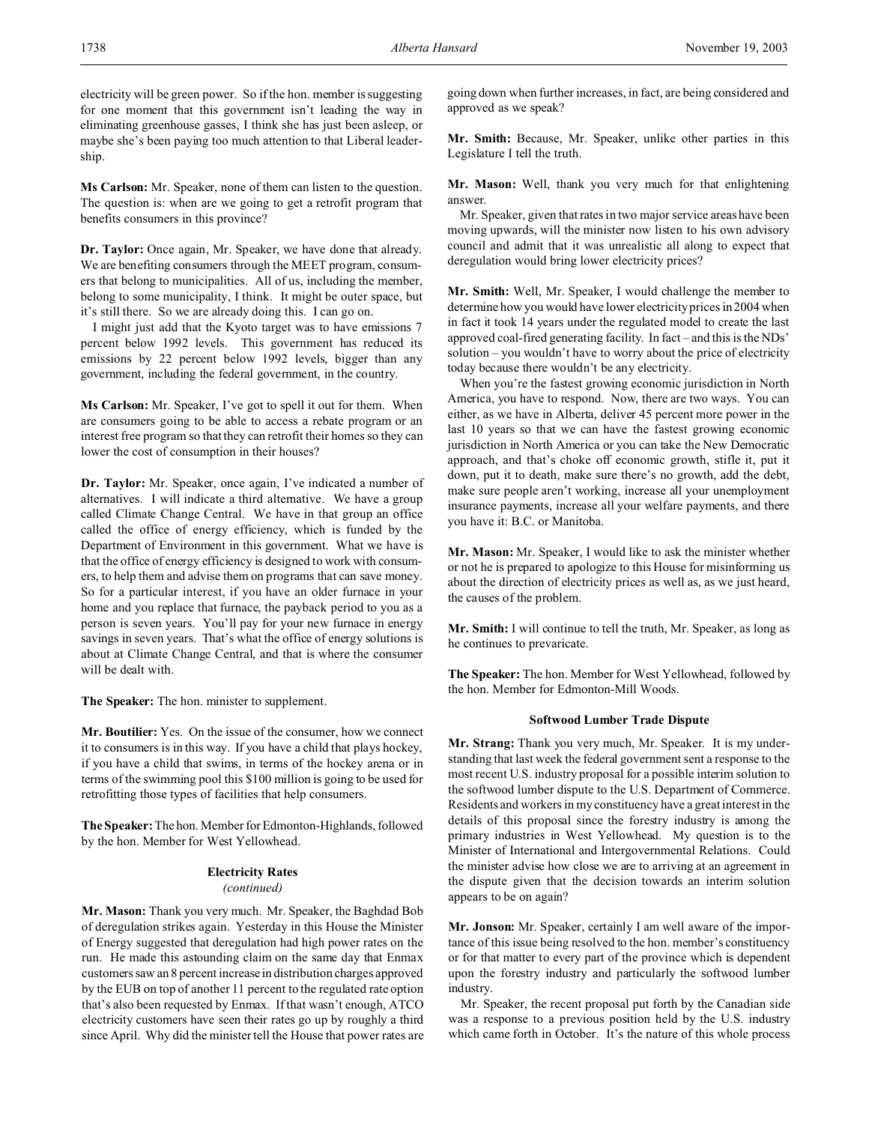electricity will be green power. So if the hon. member is suggesting for one moment that this government isn't leading the way in eliminating greenhouse gasses, I think she has just been asleep, or maybe she's been paying too much attention to that Liberal leadership.

**Ms Carlson:** Mr. Speaker, none of them can listen to the question. The question is: when are we going to get a retrofit program that benefits consumers in this province?

**Dr. Taylor:** Once again, Mr. Speaker, we have done that already. We are benefiting consumers through the MEET program, consumers that belong to municipalities. All of us, including the member, belong to some municipality, I think. It might be outer space, but it's still there. So we are already doing this. I can go on.

I might just add that the Kyoto target was to have emissions 7 percent below 1992 levels. This government has reduced its emissions by 22 percent below 1992 levels, bigger than any government, including the federal government, in the country.

**Ms Carlson:** Mr. Speaker, I've got to spell it out for them. When are consumers going to be able to access a rebate program or an interest free program so that they can retrofit their homes so they can lower the cost of consumption in their houses?

**Dr. Taylor:** Mr. Speaker, once again, I've indicated a number of alternatives. I will indicate a third alternative. We have a group called Climate Change Central. We have in that group an office called the office of energy efficiency, which is funded by the Department of Environment in this government. What we have is that the office of energy efficiency is designed to work with consumers, to help them and advise them on programs that can save money. So for a particular interest, if you have an older furnace in your home and you replace that furnace, the payback period to you as a person is seven years. You'll pay for your new furnace in energy savings in seven years. That's what the office of energy solutions is about at Climate Change Central, and that is where the consumer will be dealt with.

**The Speaker:** The hon. minister to supplement.

**Mr. Boutilier:** Yes. On the issue of the consumer, how we connect it to consumers is in this way. If you have a child that plays hockey, if you have a child that swims, in terms of the hockey arena or in terms of the swimming pool this \$100 million is going to be used for retrofitting those types of facilities that help consumers.

**The Speaker:** The hon. Member for Edmonton-Highlands, followed by the hon. Member for West Yellowhead.

## **Electricity Rates**

## *(continued)*

**Mr. Mason:** Thank you very much. Mr. Speaker, the Baghdad Bob of deregulation strikes again. Yesterday in this House the Minister of Energy suggested that deregulation had high power rates on the run. He made this astounding claim on the same day that Enmax customers saw an 8 percent increase in distribution charges approved by the EUB on top of another 11 percent to the regulated rate option that's also been requested by Enmax. If that wasn't enough, ATCO electricity customers have seen their rates go up by roughly a third since April. Why did the minister tell the House that power rates are going down when further increases, in fact, are being considered and approved as we speak?

**Mr. Smith:** Because, Mr. Speaker, unlike other parties in this Legislature I tell the truth.

**Mr. Mason:** Well, thank you very much for that enlightening answer.

Mr. Speaker, given that rates in two major service areas have been moving upwards, will the minister now listen to his own advisory council and admit that it was unrealistic all along to expect that deregulation would bring lower electricity prices?

**Mr. Smith:** Well, Mr. Speaker, I would challenge the member to determine how you would have lower electricity prices in 2004 when in fact it took 14 years under the regulated model to create the last approved coal-fired generating facility. In fact – and this is the NDs' solution – you wouldn't have to worry about the price of electricity today because there wouldn't be any electricity.

When you're the fastest growing economic jurisdiction in North America, you have to respond. Now, there are two ways. You can either, as we have in Alberta, deliver 45 percent more power in the last 10 years so that we can have the fastest growing economic jurisdiction in North America or you can take the New Democratic approach, and that's choke off economic growth, stifle it, put it down, put it to death, make sure there's no growth, add the debt, make sure people aren't working, increase all your unemployment insurance payments, increase all your welfare payments, and there you have it: B.C. or Manitoba.

**Mr. Mason:** Mr. Speaker, I would like to ask the minister whether or not he is prepared to apologize to this House for misinforming us about the direction of electricity prices as well as, as we just heard, the causes of the problem.

**Mr. Smith:** I will continue to tell the truth, Mr. Speaker, as long as he continues to prevaricate.

**The Speaker:** The hon. Member for West Yellowhead, followed by the hon. Member for Edmonton-Mill Woods.

## **Softwood Lumber Trade Dispute**

**Mr. Strang:** Thank you very much, Mr. Speaker. It is my understanding that last week the federal government sent a response to the most recent U.S. industry proposal for a possible interim solution to the softwood lumber dispute to the U.S. Department of Commerce. Residents and workers in my constituency have a great interest in the details of this proposal since the forestry industry is among the primary industries in West Yellowhead. My question is to the Minister of International and Intergovernmental Relations. Could the minister advise how close we are to arriving at an agreement in the dispute given that the decision towards an interim solution appears to be on again?

**Mr. Jonson:** Mr. Speaker, certainly I am well aware of the importance of this issue being resolved to the hon. member's constituency or for that matter to every part of the province which is dependent upon the forestry industry and particularly the softwood lumber industry.

Mr. Speaker, the recent proposal put forth by the Canadian side was a response to a previous position held by the U.S. industry which came forth in October. It's the nature of this whole process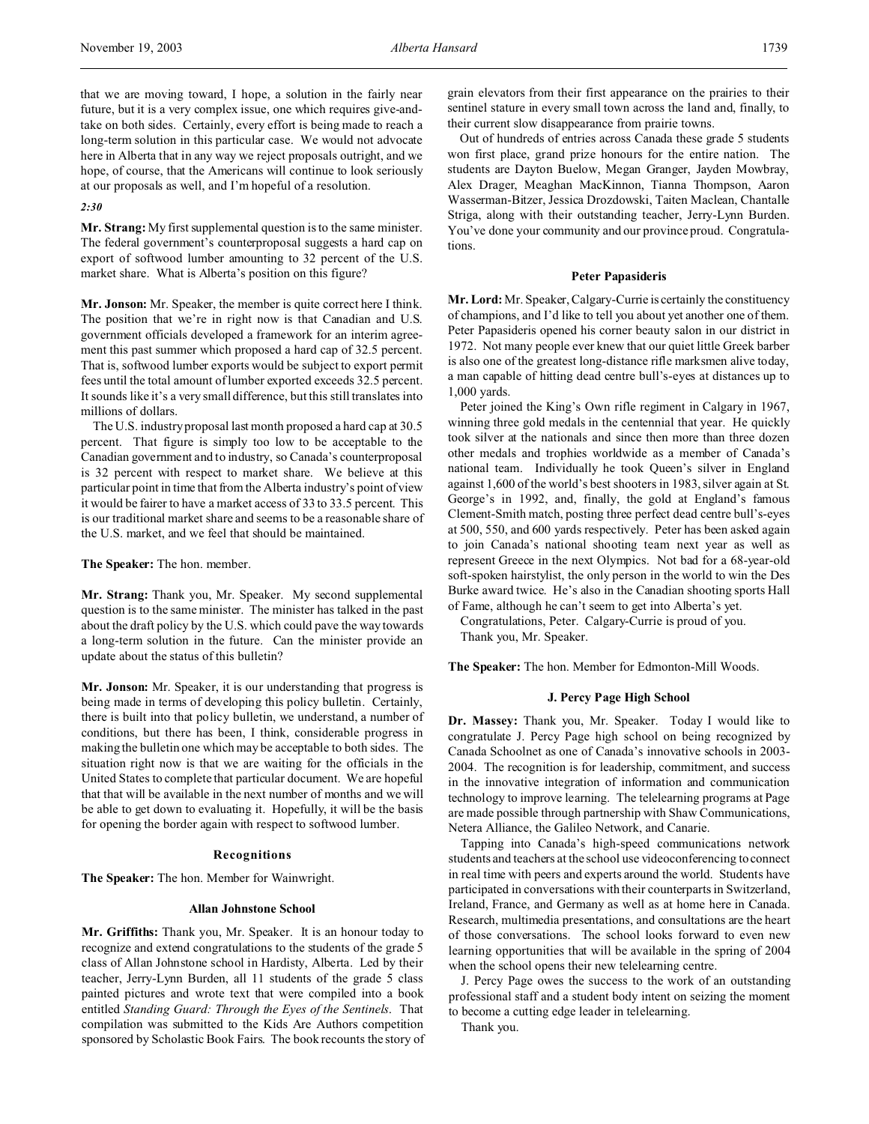that we are moving toward, I hope, a solution in the fairly near future, but it is a very complex issue, one which requires give-andtake on both sides. Certainly, every effort is being made to reach a long-term solution in this particular case. We would not advocate here in Alberta that in any way we reject proposals outright, and we hope, of course, that the Americans will continue to look seriously at our proposals as well, and I'm hopeful of a resolution.

#### *2:30*

**Mr. Strang:**My first supplemental question is to the same minister. The federal government's counterproposal suggests a hard cap on export of softwood lumber amounting to 32 percent of the U.S. market share. What is Alberta's position on this figure?

**Mr. Jonson:** Mr. Speaker, the member is quite correct here I think. The position that we're in right now is that Canadian and U.S. government officials developed a framework for an interim agreement this past summer which proposed a hard cap of 32.5 percent. That is, softwood lumber exports would be subject to export permit fees until the total amount of lumber exported exceeds 32.5 percent. It sounds like it's a very small difference, but this still translates into millions of dollars.

The U.S. industry proposal last month proposed a hard cap at 30.5 percent. That figure is simply too low to be acceptable to the Canadian government and to industry, so Canada's counterproposal is 32 percent with respect to market share. We believe at this particular point in time that from the Alberta industry's point of view it would be fairer to have a market access of 33 to 33.5 percent. This is our traditional market share and seems to be a reasonable share of the U.S. market, and we feel that should be maintained.

**The Speaker:** The hon. member.

**Mr. Strang:** Thank you, Mr. Speaker. My second supplemental question is to the same minister. The minister has talked in the past about the draft policy by the U.S. which could pave the way towards a long-term solution in the future. Can the minister provide an update about the status of this bulletin?

**Mr. Jonson:** Mr. Speaker, it is our understanding that progress is being made in terms of developing this policy bulletin. Certainly, there is built into that policy bulletin, we understand, a number of conditions, but there has been, I think, considerable progress in making the bulletin one which may be acceptable to both sides. The situation right now is that we are waiting for the officials in the United States to complete that particular document. We are hopeful that that will be available in the next number of months and we will be able to get down to evaluating it. Hopefully, it will be the basis for opening the border again with respect to softwood lumber.

### **Recognitions**

**The Speaker:** The hon. Member for Wainwright.

#### **Allan Johnstone School**

**Mr. Griffiths:** Thank you, Mr. Speaker. It is an honour today to recognize and extend congratulations to the students of the grade 5 class of Allan Johnstone school in Hardisty, Alberta. Led by their teacher, Jerry-Lynn Burden, all 11 students of the grade 5 class painted pictures and wrote text that were compiled into a book entitled *Standing Guard: Through the Eyes of the Sentinels*. That compilation was submitted to the Kids Are Authors competition sponsored by Scholastic Book Fairs. The book recounts the story of grain elevators from their first appearance on the prairies to their sentinel stature in every small town across the land and, finally, to their current slow disappearance from prairie towns.

Out of hundreds of entries across Canada these grade 5 students won first place, grand prize honours for the entire nation. The students are Dayton Buelow, Megan Granger, Jayden Mowbray, Alex Drager, Meaghan MacKinnon, Tianna Thompson, Aaron Wasserman-Bitzer, Jessica Drozdowski, Taiten Maclean, Chantalle Striga, along with their outstanding teacher, Jerry-Lynn Burden. You've done your community and our province proud. Congratulations.

#### **Peter Papasideris**

**Mr. Lord:** Mr. Speaker, Calgary-Currie is certainly the constituency of champions, and I'd like to tell you about yet another one of them. Peter Papasideris opened his corner beauty salon in our district in 1972. Not many people ever knew that our quiet little Greek barber is also one of the greatest long-distance rifle marksmen alive today, a man capable of hitting dead centre bull's-eyes at distances up to 1,000 yards.

Peter joined the King's Own rifle regiment in Calgary in 1967, winning three gold medals in the centennial that year. He quickly took silver at the nationals and since then more than three dozen other medals and trophies worldwide as a member of Canada's national team. Individually he took Queen's silver in England against 1,600 of the world's best shooters in 1983, silver again at St. George's in 1992, and, finally, the gold at England's famous Clement-Smith match, posting three perfect dead centre bull's-eyes at 500, 550, and 600 yards respectively. Peter has been asked again to join Canada's national shooting team next year as well as represent Greece in the next Olympics. Not bad for a 68-year-old soft-spoken hairstylist, the only person in the world to win the Des Burke award twice. He's also in the Canadian shooting sports Hall of Fame, although he can't seem to get into Alberta's yet.

Congratulations, Peter. Calgary-Currie is proud of you. Thank you, Mr. Speaker.

**The Speaker:** The hon. Member for Edmonton-Mill Woods.

#### **J. Percy Page High School**

**Dr. Massey:** Thank you, Mr. Speaker. Today I would like to congratulate J. Percy Page high school on being recognized by Canada Schoolnet as one of Canada's innovative schools in 2003- 2004. The recognition is for leadership, commitment, and success in the innovative integration of information and communication technology to improve learning. The telelearning programs at Page are made possible through partnership with Shaw Communications, Netera Alliance, the Galileo Network, and Canarie.

Tapping into Canada's high-speed communications network students and teachers at the school use videoconferencing to connect in real time with peers and experts around the world. Students have participated in conversations with their counterparts in Switzerland, Ireland, France, and Germany as well as at home here in Canada. Research, multimedia presentations, and consultations are the heart of those conversations. The school looks forward to even new learning opportunities that will be available in the spring of 2004 when the school opens their new telelearning centre.

J. Percy Page owes the success to the work of an outstanding professional staff and a student body intent on seizing the moment to become a cutting edge leader in telelearning.

Thank you.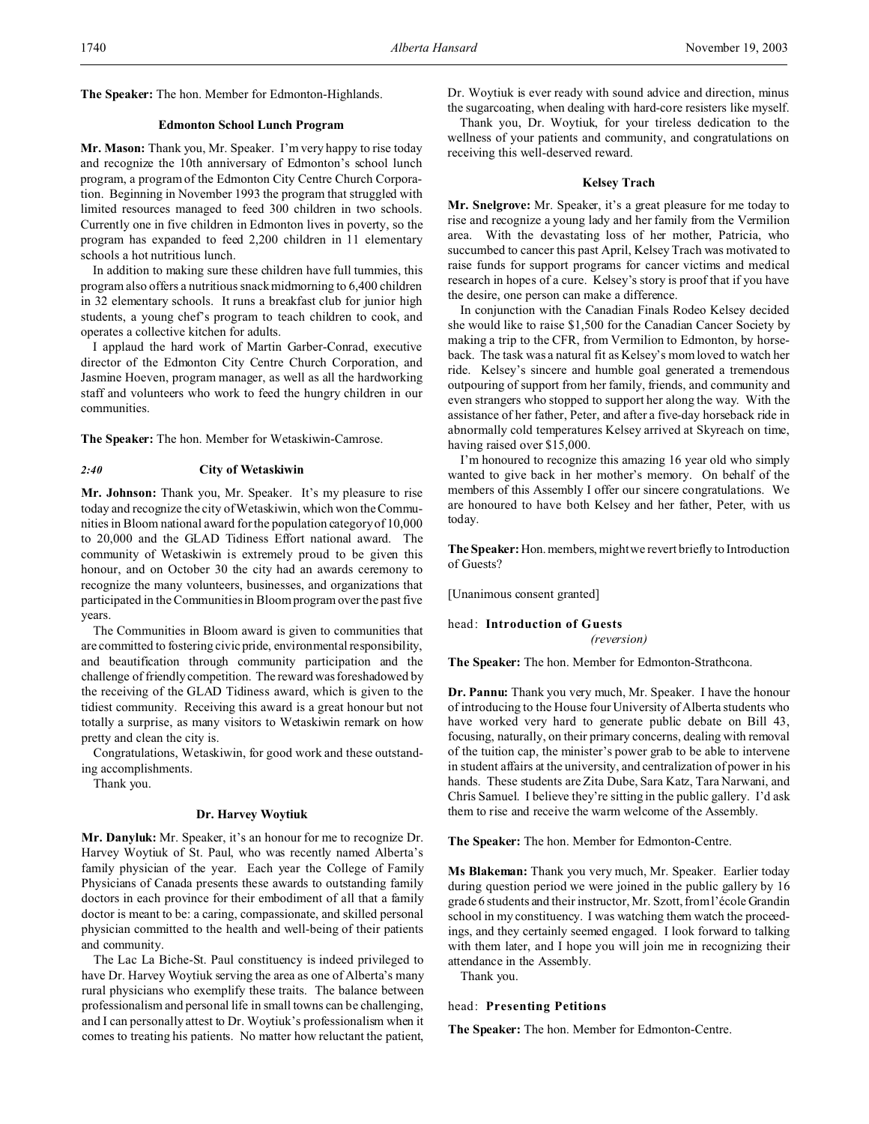**The Speaker:** The hon. Member for Edmonton-Highlands.

### **Edmonton School Lunch Program**

**Mr. Mason:** Thank you, Mr. Speaker. I'm very happy to rise today and recognize the 10th anniversary of Edmonton's school lunch program, a program of the Edmonton City Centre Church Corporation. Beginning in November 1993 the program that struggled with limited resources managed to feed 300 children in two schools. Currently one in five children in Edmonton lives in poverty, so the program has expanded to feed 2,200 children in 11 elementary schools a hot nutritious lunch.

In addition to making sure these children have full tummies, this program also offers a nutritious snack midmorning to 6,400 children in 32 elementary schools. It runs a breakfast club for junior high students, a young chef's program to teach children to cook, and operates a collective kitchen for adults.

I applaud the hard work of Martin Garber-Conrad, executive director of the Edmonton City Centre Church Corporation, and Jasmine Hoeven, program manager, as well as all the hardworking staff and volunteers who work to feed the hungry children in our communities.

**The Speaker:** The hon. Member for Wetaskiwin-Camrose.

#### *2:40* **City of Wetaskiwin**

**Mr. Johnson:** Thank you, Mr. Speaker. It's my pleasure to rise today and recognize the city of Wetaskiwin, which won the Communities in Bloom national award for the population category of 10,000 to 20,000 and the GLAD Tidiness Effort national award. The community of Wetaskiwin is extremely proud to be given this honour, and on October 30 the city had an awards ceremony to recognize the many volunteers, businesses, and organizations that participated in the Communities in Bloom program over the past five years.

The Communities in Bloom award is given to communities that are committed to fostering civic pride, environmental responsibility, and beautification through community participation and the challenge of friendly competition. The reward was foreshadowed by the receiving of the GLAD Tidiness award, which is given to the tidiest community. Receiving this award is a great honour but not totally a surprise, as many visitors to Wetaskiwin remark on how pretty and clean the city is.

Congratulations, Wetaskiwin, for good work and these outstanding accomplishments.

Thank you.

#### **Dr. Harvey Woytiuk**

**Mr. Danyluk:** Mr. Speaker, it's an honour for me to recognize Dr. Harvey Woytiuk of St. Paul, who was recently named Alberta's family physician of the year. Each year the College of Family Physicians of Canada presents these awards to outstanding family doctors in each province for their embodiment of all that a family doctor is meant to be: a caring, compassionate, and skilled personal physician committed to the health and well-being of their patients and community.

The Lac La Biche-St. Paul constituency is indeed privileged to have Dr. Harvey Woytiuk serving the area as one of Alberta's many rural physicians who exemplify these traits. The balance between professionalism and personal life in small towns can be challenging, and I can personally attest to Dr. Woytiuk's professionalism when it comes to treating his patients. No matter how reluctant the patient,

Dr. Woytiuk is ever ready with sound advice and direction, minus the sugarcoating, when dealing with hard-core resisters like myself.

Thank you, Dr. Woytiuk, for your tireless dedication to the wellness of your patients and community, and congratulations on receiving this well-deserved reward.

#### **Kelsey Trach**

**Mr. Snelgrove:** Mr. Speaker, it's a great pleasure for me today to rise and recognize a young lady and her family from the Vermilion area. With the devastating loss of her mother, Patricia, who succumbed to cancer this past April, Kelsey Trach was motivated to raise funds for support programs for cancer victims and medical research in hopes of a cure. Kelsey's story is proof that if you have the desire, one person can make a difference.

In conjunction with the Canadian Finals Rodeo Kelsey decided she would like to raise \$1,500 for the Canadian Cancer Society by making a trip to the CFR, from Vermilion to Edmonton, by horseback. The task was a natural fit as Kelsey's mom loved to watch her ride. Kelsey's sincere and humble goal generated a tremendous outpouring of support from her family, friends, and community and even strangers who stopped to support her along the way. With the assistance of her father, Peter, and after a five-day horseback ride in abnormally cold temperatures Kelsey arrived at Skyreach on time, having raised over \$15,000.

I'm honoured to recognize this amazing 16 year old who simply wanted to give back in her mother's memory. On behalf of the members of this Assembly I offer our sincere congratulations. We are honoured to have both Kelsey and her father, Peter, with us today.

**The Speaker:** Hon. members, might we revert briefly to Introduction of Guests?

[Unanimous consent granted]

#### head: **Introduction of Guests**

*(reversion)*

**The Speaker:** The hon. Member for Edmonton-Strathcona.

**Dr. Pannu:** Thank you very much, Mr. Speaker. I have the honour of introducing to the House four University of Alberta students who have worked very hard to generate public debate on Bill 43, focusing, naturally, on their primary concerns, dealing with removal of the tuition cap, the minister's power grab to be able to intervene in student affairs at the university, and centralization of power in his hands. These students are Zita Dube, Sara Katz, Tara Narwani, and Chris Samuel. I believe they're sitting in the public gallery. I'd ask them to rise and receive the warm welcome of the Assembly.

**The Speaker:** The hon. Member for Edmonton-Centre.

**Ms Blakeman:** Thank you very much, Mr. Speaker. Earlier today during question period we were joined in the public gallery by 16 grade 6 students and their instructor, Mr. Szott, from l'école Grandin school in my constituency. I was watching them watch the proceedings, and they certainly seemed engaged. I look forward to talking with them later, and I hope you will join me in recognizing their attendance in the Assembly.

Thank you.

#### head: **Presenting Petitions**

**The Speaker:** The hon. Member for Edmonton-Centre.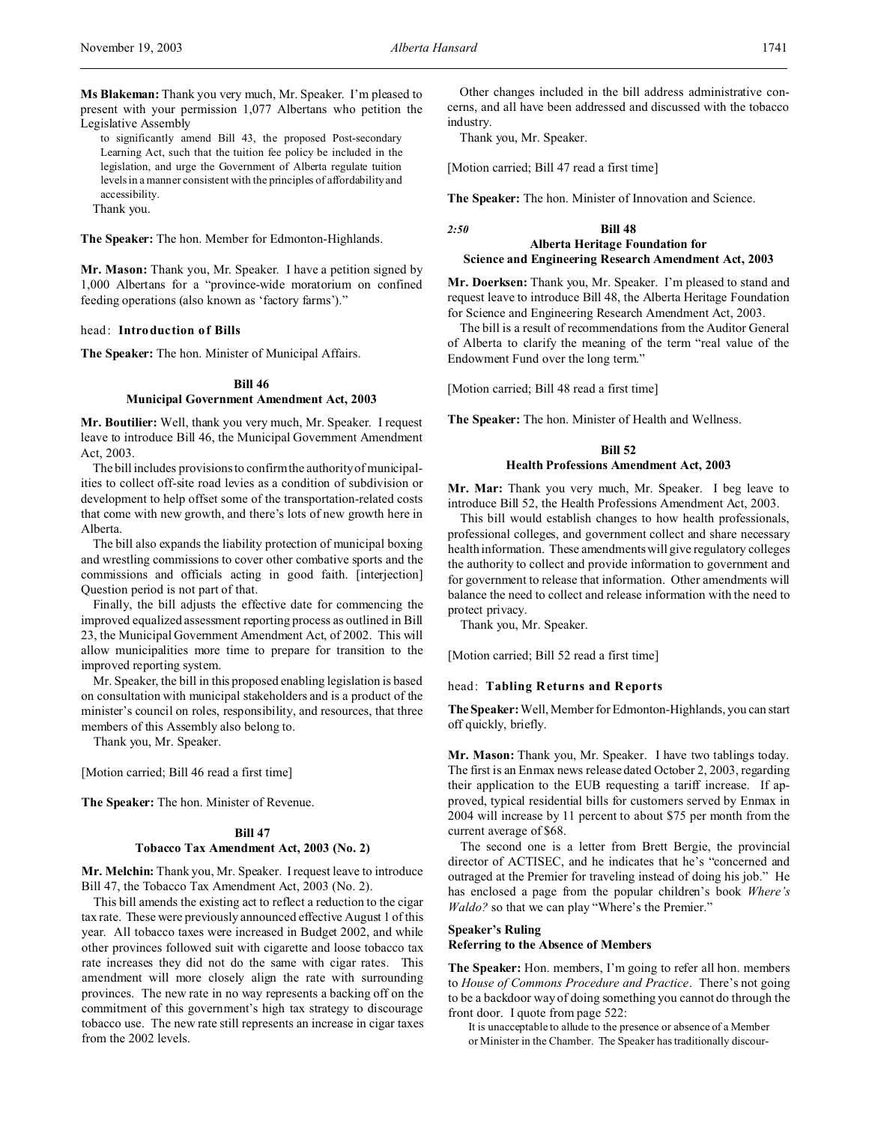**Ms Blakeman:** Thank you very much, Mr. Speaker. I'm pleased to present with your permission 1,077 Albertans who petition the Legislative Assembly

to significantly amend Bill 43, the proposed Post-secondary Learning Act, such that the tuition fee policy be included in the legislation, and urge the Government of Alberta regulate tuition levels in a manner consistent with the principles of affordability and accessibility.

Thank you.

**The Speaker:** The hon. Member for Edmonton-Highlands.

**Mr. Mason:** Thank you, Mr. Speaker. I have a petition signed by 1,000 Albertans for a "province-wide moratorium on confined feeding operations (also known as 'factory farms')."

#### head: **Introduction of Bills**

**The Speaker:** The hon. Minister of Municipal Affairs.

#### **Bill 46**

#### **Municipal Government Amendment Act, 2003**

**Mr. Boutilier:** Well, thank you very much, Mr. Speaker. I request leave to introduce Bill 46, the Municipal Government Amendment Act, 2003.

The bill includes provisions to confirm the authority of municipalities to collect off-site road levies as a condition of subdivision or development to help offset some of the transportation-related costs that come with new growth, and there's lots of new growth here in Alberta.

The bill also expands the liability protection of municipal boxing and wrestling commissions to cover other combative sports and the commissions and officials acting in good faith. [interjection] Question period is not part of that.

Finally, the bill adjusts the effective date for commencing the improved equalized assessment reporting process as outlined in Bill 23, the Municipal Government Amendment Act, of 2002. This will allow municipalities more time to prepare for transition to the improved reporting system.

Mr. Speaker, the bill in this proposed enabling legislation is based on consultation with municipal stakeholders and is a product of the minister's council on roles, responsibility, and resources, that three members of this Assembly also belong to.

Thank you, Mr. Speaker.

[Motion carried; Bill 46 read a first time]

**The Speaker:** The hon. Minister of Revenue.

#### **Bill 47**

#### **Tobacco Tax Amendment Act, 2003 (No. 2)**

**Mr. Melchin:** Thank you, Mr. Speaker. I request leave to introduce Bill 47, the Tobacco Tax Amendment Act, 2003 (No. 2).

This bill amends the existing act to reflect a reduction to the cigar tax rate. These were previously announced effective August 1 of this year. All tobacco taxes were increased in Budget 2002, and while other provinces followed suit with cigarette and loose tobacco tax rate increases they did not do the same with cigar rates. This amendment will more closely align the rate with surrounding provinces. The new rate in no way represents a backing off on the commitment of this government's high tax strategy to discourage tobacco use. The new rate still represents an increase in cigar taxes from the 2002 levels.

Other changes included in the bill address administrative concerns, and all have been addressed and discussed with the tobacco industry.

Thank you, Mr. Speaker.

[Motion carried; Bill 47 read a first time]

**The Speaker:** The hon. Minister of Innovation and Science.

## *2:50* **Bill 48 Alberta Heritage Foundation for Science and Engineering Research Amendment Act, 2003**

**Mr. Doerksen:** Thank you, Mr. Speaker. I'm pleased to stand and request leave to introduce Bill 48, the Alberta Heritage Foundation for Science and Engineering Research Amendment Act, 2003.

The bill is a result of recommendations from the Auditor General of Alberta to clarify the meaning of the term "real value of the Endowment Fund over the long term."

[Motion carried; Bill 48 read a first time]

**The Speaker:** The hon. Minister of Health and Wellness.

# **Bill 52**

## **Health Professions Amendment Act, 2003**

**Mr. Mar:** Thank you very much, Mr. Speaker. I beg leave to introduce Bill 52, the Health Professions Amendment Act, 2003.

This bill would establish changes to how health professionals, professional colleges, and government collect and share necessary health information. These amendments will give regulatory colleges the authority to collect and provide information to government and for government to release that information. Other amendments will balance the need to collect and release information with the need to protect privacy.

Thank you, Mr. Speaker.

[Motion carried; Bill 52 read a first time]

#### head: **Tabling Returns and Reports**

**TheSpeaker:** Well, Member for Edmonton-Highlands, you can start off quickly, briefly.

**Mr. Mason:** Thank you, Mr. Speaker. I have two tablings today. The first is an Enmax news release dated October 2, 2003, regarding their application to the EUB requesting a tariff increase. If approved, typical residential bills for customers served by Enmax in 2004 will increase by 11 percent to about \$75 per month from the current average of \$68.

The second one is a letter from Brett Bergie, the provincial director of ACTISEC, and he indicates that he's "concerned and outraged at the Premier for traveling instead of doing his job." He has enclosed a page from the popular children's book *Where's Waldo?* so that we can play "Where's the Premier."

## **Speaker's Ruling**

**Referring to the Absence of Members**

**The Speaker:** Hon. members, I'm going to refer all hon. members to *House of Commons Procedure and Practice*. There's not going to be a backdoor way of doing something you cannot do through the front door. I quote from page 522:

It is unacceptable to allude to the presence or absence of a Member or Minister in the Chamber. The Speaker has traditionally discour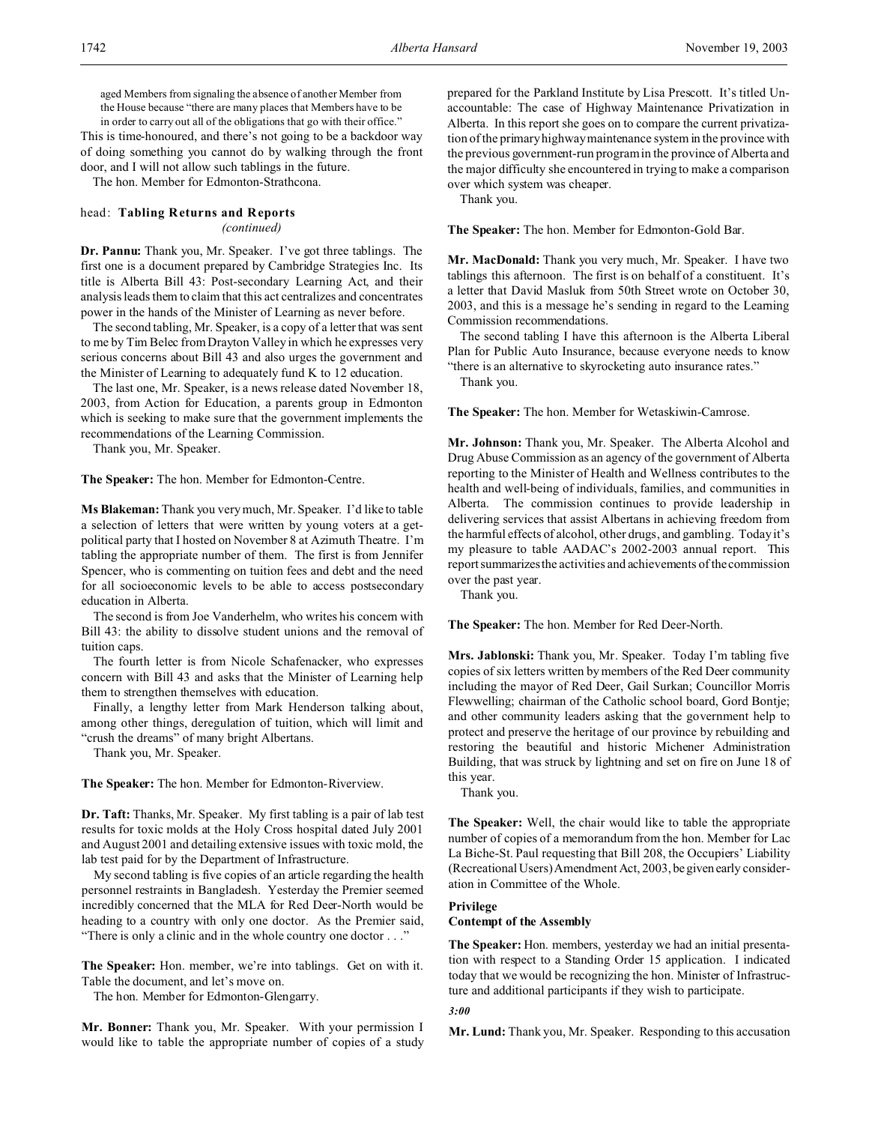aged Members from signaling the absence of another Member from the House because "there are many places that Members have to be in order to carry out all of the obligations that go with their office."

This is time-honoured, and there's not going to be a backdoor way of doing something you cannot do by walking through the front door, and I will not allow such tablings in the future.

The hon. Member for Edmonton-Strathcona.

## head: **Tabling Returns and Reports** *(continued)*

**Dr. Pannu:** Thank you, Mr. Speaker. I've got three tablings. The first one is a document prepared by Cambridge Strategies Inc. Its title is Alberta Bill 43: Post-secondary Learning Act, and their analysis leads them to claim that this act centralizes and concentrates power in the hands of the Minister of Learning as never before.

The second tabling, Mr. Speaker, is a copy of a letter that was sent to me by Tim Belec from Drayton Valley in which he expresses very serious concerns about Bill 43 and also urges the government and the Minister of Learning to adequately fund K to 12 education.

The last one, Mr. Speaker, is a news release dated November 18, 2003, from Action for Education, a parents group in Edmonton which is seeking to make sure that the government implements the recommendations of the Learning Commission.

Thank you, Mr. Speaker.

**The Speaker:** The hon. Member for Edmonton-Centre.

**Ms Blakeman:** Thank you very much, Mr. Speaker. I'd like to table a selection of letters that were written by young voters at a getpolitical party that I hosted on November 8 at Azimuth Theatre. I'm tabling the appropriate number of them. The first is from Jennifer Spencer, who is commenting on tuition fees and debt and the need for all socioeconomic levels to be able to access postsecondary education in Alberta.

The second is from Joe Vanderhelm, who writes his concern with Bill 43: the ability to dissolve student unions and the removal of tuition caps.

The fourth letter is from Nicole Schafenacker, who expresses concern with Bill 43 and asks that the Minister of Learning help them to strengthen themselves with education.

Finally, a lengthy letter from Mark Henderson talking about, among other things, deregulation of tuition, which will limit and "crush the dreams" of many bright Albertans.

Thank you, Mr. Speaker.

**The Speaker:** The hon. Member for Edmonton-Riverview.

**Dr. Taft:** Thanks, Mr. Speaker. My first tabling is a pair of lab test results for toxic molds at the Holy Cross hospital dated July 2001 and August 2001 and detailing extensive issues with toxic mold, the lab test paid for by the Department of Infrastructure.

My second tabling is five copies of an article regarding the health personnel restraints in Bangladesh. Yesterday the Premier seemed incredibly concerned that the MLA for Red Deer-North would be heading to a country with only one doctor. As the Premier said, "There is only a clinic and in the whole country one doctor . . ."

**The Speaker:** Hon. member, we're into tablings. Get on with it. Table the document, and let's move on.

The hon. Member for Edmonton-Glengarry.

**Mr. Bonner:** Thank you, Mr. Speaker. With your permission I would like to table the appropriate number of copies of a study prepared for the Parkland Institute by Lisa Prescott. It's titled Unaccountable: The case of Highway Maintenance Privatization in Alberta. In this report she goes on to compare the current privatization of the primary highway maintenance system in the province with the previous government-run program in the province of Alberta and the major difficulty she encountered in trying to make a comparison over which system was cheaper.

Thank you.

**The Speaker:** The hon. Member for Edmonton-Gold Bar.

**Mr. MacDonald:** Thank you very much, Mr. Speaker. I have two tablings this afternoon. The first is on behalf of a constituent. It's a letter that David Masluk from 50th Street wrote on October 30, 2003, and this is a message he's sending in regard to the Learning Commission recommendations.

The second tabling I have this afternoon is the Alberta Liberal Plan for Public Auto Insurance, because everyone needs to know "there is an alternative to skyrocketing auto insurance rates."

Thank you.

**The Speaker:** The hon. Member for Wetaskiwin-Camrose.

**Mr. Johnson:** Thank you, Mr. Speaker. The Alberta Alcohol and Drug Abuse Commission as an agency of the government of Alberta reporting to the Minister of Health and Wellness contributes to the health and well-being of individuals, families, and communities in Alberta. The commission continues to provide leadership in delivering services that assist Albertans in achieving freedom from the harmful effects of alcohol, other drugs, and gambling. Today it's my pleasure to table AADAC's 2002-2003 annual report. This report summarizesthe activities and achievements of the commission over the past year.

Thank you.

**The Speaker:** The hon. Member for Red Deer-North.

**Mrs. Jablonski:** Thank you, Mr. Speaker. Today I'm tabling five copies of six letters written by members of the Red Deer community including the mayor of Red Deer, Gail Surkan; Councillor Morris Flewwelling; chairman of the Catholic school board, Gord Bontje; and other community leaders asking that the government help to protect and preserve the heritage of our province by rebuilding and restoring the beautiful and historic Michener Administration Building, that was struck by lightning and set on fire on June 18 of this year.

Thank you.

**The Speaker:** Well, the chair would like to table the appropriate number of copies of a memorandum from the hon. Member for Lac La Biche-St. Paul requesting that Bill 208, the Occupiers' Liability (Recreational Users) Amendment Act, 2003, be givenearly consideration in Committee of the Whole.

## **Privilege Contempt of the Assembly**

**The Speaker:** Hon. members, yesterday we had an initial presentation with respect to a Standing Order 15 application. I indicated today that we would be recognizing the hon. Minister of Infrastructure and additional participants if they wish to participate.

### *3:00*

**Mr. Lund:** Thank you, Mr. Speaker. Responding to this accusation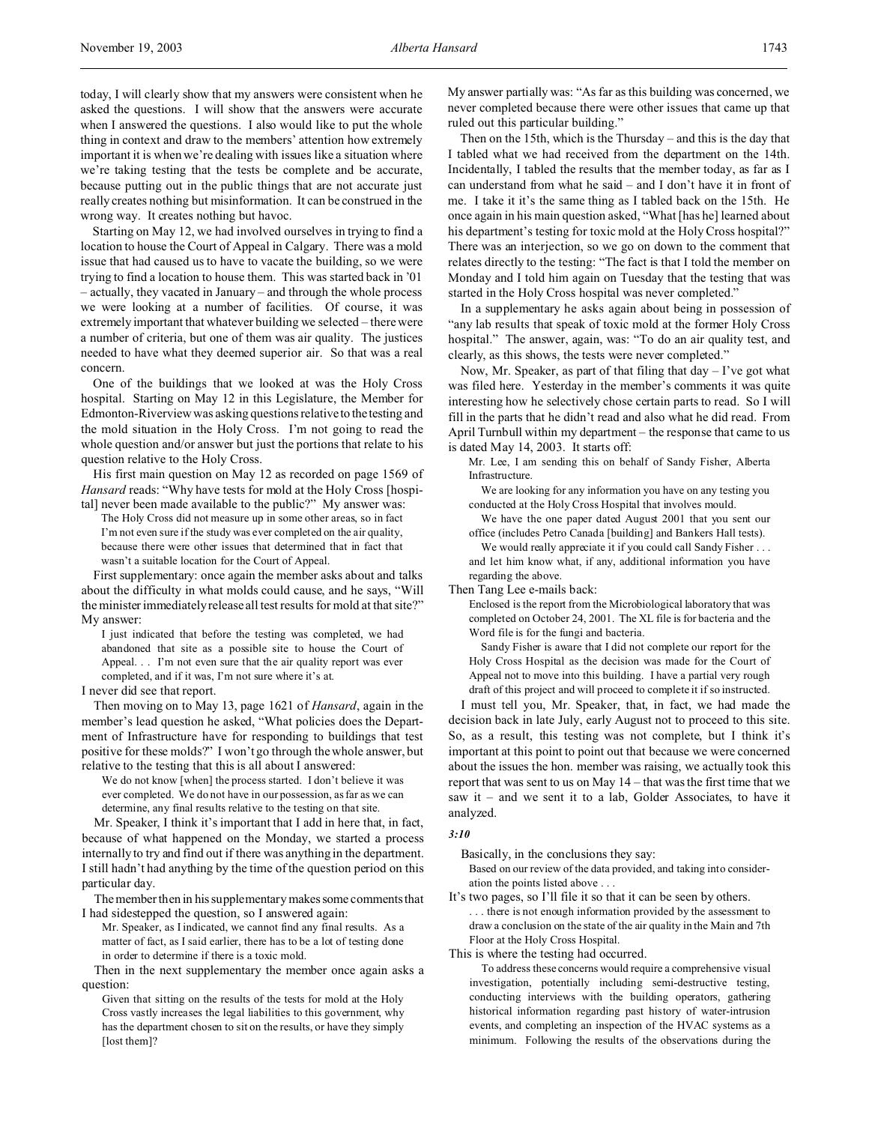today, I will clearly show that my answers were consistent when he asked the questions. I will show that the answers were accurate when I answered the questions. I also would like to put the whole thing in context and draw to the members' attention how extremely important it is when we're dealing with issues like a situation where we're taking testing that the tests be complete and be accurate, because putting out in the public things that are not accurate just really creates nothing but misinformation. It can be construed in the wrong way. It creates nothing but havoc.

Starting on May 12, we had involved ourselves in trying to find a location to house the Court of Appeal in Calgary. There was a mold issue that had caused us to have to vacate the building, so we were trying to find a location to house them. This was started back in '01 – actually, they vacated in January – and through the whole process we were looking at a number of facilities. Of course, it was extremely important that whatever building we selected – there were a number of criteria, but one of them was air quality. The justices needed to have what they deemed superior air. So that was a real concern.

One of the buildings that we looked at was the Holy Cross hospital. Starting on May 12 in this Legislature, the Member for Edmonton-Riverview was asking questions relative to the testing and the mold situation in the Holy Cross. I'm not going to read the whole question and/or answer but just the portions that relate to his question relative to the Holy Cross.

His first main question on May 12 as recorded on page 1569 of *Hansard* reads: "Why have tests for mold at the Holy Cross [hospital] never been made available to the public?" My answer was:

The Holy Cross did not measure up in some other areas, so in fact I'm not even sure if the study was ever completed on the air quality, because there were other issues that determined that in fact that wasn't a suitable location for the Court of Appeal.

First supplementary: once again the member asks about and talks about the difficulty in what molds could cause, and he says, "Will the minister immediately release all test results for mold at that site?" My answer:

I just indicated that before the testing was completed, we had abandoned that site as a possible site to house the Court of Appeal. . . I'm not even sure that the air quality report was ever completed, and if it was, I'm not sure where it's at.

I never did see that report.

Then moving on to May 13, page 1621 of *Hansard*, again in the member's lead question he asked, "What policies does the Department of Infrastructure have for responding to buildings that test positive for these molds?" I won't go through the whole answer, but relative to the testing that this is all about I answered:

We do not know [when] the process started. I don't believe it was ever completed. We do not have in our possession, as far as we can determine, any final results relative to the testing on that site.

Mr. Speaker, I think it's important that I add in here that, in fact, because of what happened on the Monday, we started a process internally to try and find out if there was anything in the department. I still hadn't had anything by the time of the question period on this particular day.

The member then in his supplementary makes some comments that I had sidestepped the question, so I answered again:

Mr. Speaker, as I indicated, we cannot find any final results. As a matter of fact, as I said earlier, there has to be a lot of testing done in order to determine if there is a toxic mold.

Then in the next supplementary the member once again asks a question:

Given that sitting on the results of the tests for mold at the Holy Cross vastly increases the legal liabilities to this government, why has the department chosen to sit on the results, or have they simply [lost them]?

My answer partially was: "As far as this building was concerned, we never completed because there were other issues that came up that ruled out this particular building."

Then on the 15th, which is the Thursday – and this is the day that I tabled what we had received from the department on the 14th. Incidentally, I tabled the results that the member today, as far as I can understand from what he said – and I don't have it in front of me. I take it it's the same thing as I tabled back on the 15th. He once again in his main question asked, "What [has he] learned about his department's testing for toxic mold at the Holy Cross hospital?" There was an interjection, so we go on down to the comment that relates directly to the testing: "The fact is that I told the member on Monday and I told him again on Tuesday that the testing that was started in the Holy Cross hospital was never completed."

In a supplementary he asks again about being in possession of "any lab results that speak of toxic mold at the former Holy Cross hospital." The answer, again, was: "To do an air quality test, and clearly, as this shows, the tests were never completed."

Now, Mr. Speaker, as part of that filing that  $day - I've$  got what was filed here. Yesterday in the member's comments it was quite interesting how he selectively chose certain parts to read. So I will fill in the parts that he didn't read and also what he did read. From April Turnbull within my department – the response that came to us is dated May 14, 2003. It starts off:

Mr. Lee, I am sending this on behalf of Sandy Fisher, Alberta Infrastructure.

We are looking for any information you have on any testing you conducted at the Holy Cross Hospital that involves mould.

We have the one paper dated August 2001 that you sent our office (includes Petro Canada [building] and Bankers Hall tests).

We would really appreciate it if you could call Sandy Fisher . . . and let him know what, if any, additional information you have regarding the above.

Then Tang Lee e-mails back:

Enclosed is the report from the Microbiological laboratory that was completed on October 24, 2001. The XL file is for bacteria and the Word file is for the fungi and bacteria.

Sandy Fisher is aware that I did not complete our report for the Holy Cross Hospital as the decision was made for the Court of Appeal not to move into this building. I have a partial very rough draft of this project and will proceed to complete it if so instructed.

I must tell you, Mr. Speaker, that, in fact, we had made the decision back in late July, early August not to proceed to this site. So, as a result, this testing was not complete, but I think it's important at this point to point out that because we were concerned about the issues the hon. member was raising, we actually took this report that was sent to us on May 14 – that was the first time that we saw it – and we sent it to a lab, Golder Associates, to have it analyzed.

#### *3:10*

Basically, in the conclusions they say:

Based on our review of the data provided, and taking into consideration the points listed above . . .

It's two pages, so I'll file it so that it can be seen by others. . . . there is not enough information provided by the assessment to draw a conclusion on the state of the air quality in the Main and 7th Floor at the Holy Cross Hospital.

This is where the testing had occurred.

To address these concerns would require a comprehensive visual investigation, potentially including semi-destructive testing, conducting interviews with the building operators, gathering historical information regarding past history of water-intrusion events, and completing an inspection of the HVAC systems as a minimum. Following the results of the observations during the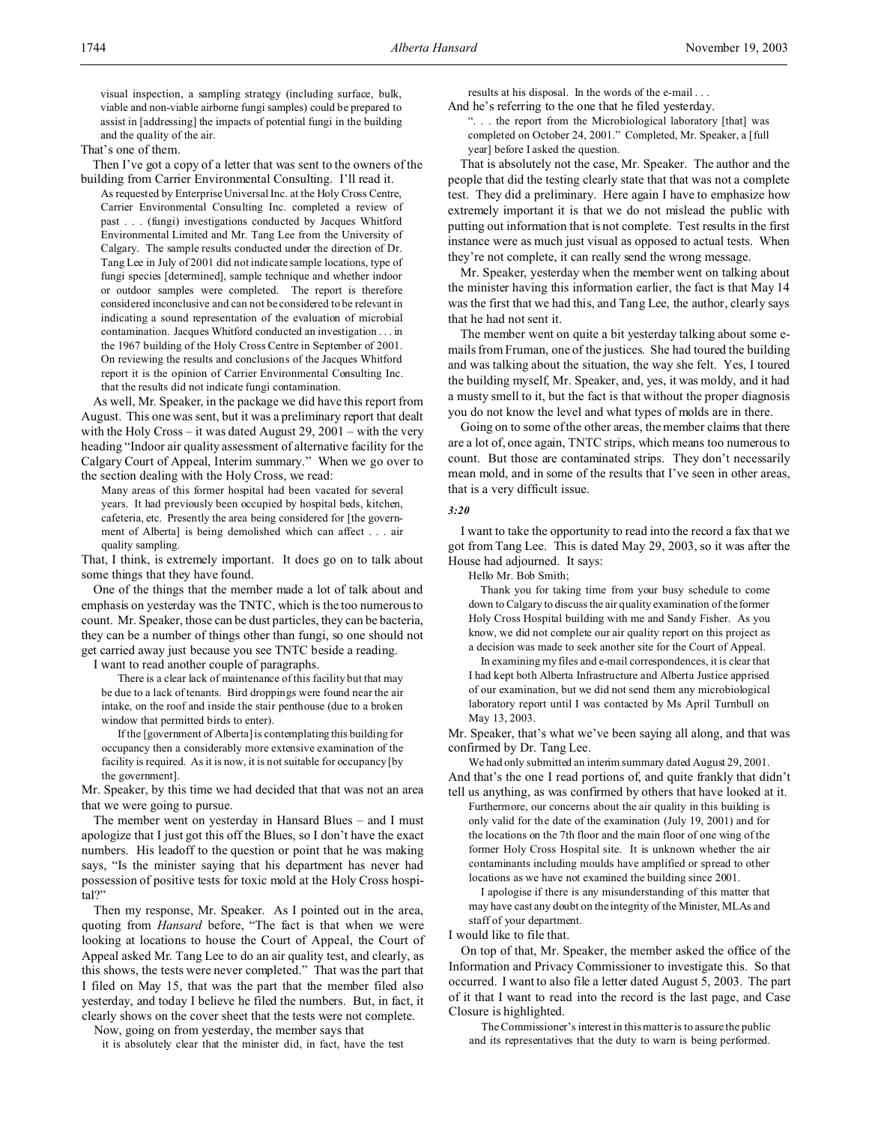visual inspection, a sampling strategy (including surface, bulk, viable and non-viable airborne fungi samples) could be prepared to assist in [addressing] the impacts of potential fungi in the building and the quality of the air.

That's one of them.

Then I've got a copy of a letter that was sent to the owners of the building from Carrier Environmental Consulting. I'll read it.

As requested by Enterprise Universal Inc. at the Holy Cross Centre, Carrier Environmental Consulting Inc. completed a review of past . . . (fungi) investigations conducted by Jacques Whitford Environmental Limited and Mr. Tang Lee from the University of Calgary. The sample results conducted under the direction of Dr. Tang Lee in July of 2001 did not indicate sample locations, type of fungi species [determined], sample technique and whether indoor or outdoor samples were completed. The report is therefore considered inconclusive and can not be considered to be relevant in indicating a sound representation of the evaluation of microbial contamination. Jacques Whitford conducted an investigation . . . in the 1967 building of the Holy Cross Centre in September of 2001. On reviewing the results and conclusions of the Jacques Whitford report it is the opinion of Carrier Environmental Consulting Inc. that the results did not indicate fungi contamination.

As well, Mr. Speaker, in the package we did have this report from August. This one was sent, but it was a preliminary report that dealt with the Holy Cross – it was dated August 29, 2001 – with the very heading "Indoor air quality assessment of alternative facility for the Calgary Court of Appeal, Interim summary." When we go over to the section dealing with the Holy Cross, we read:

Many areas of this former hospital had been vacated for several years. It had previously been occupied by hospital beds, kitchen, cafeteria, etc. Presently the area being considered for [the government of Alberta] is being demolished which can affect . . . air quality sampling.

That, I think, is extremely important. It does go on to talk about some things that they have found.

One of the things that the member made a lot of talk about and emphasis on yesterday was the TNTC, which is the too numerous to count. Mr. Speaker, those can be dust particles, they can be bacteria, they can be a number of things other than fungi, so one should not get carried away just because you see TNTC beside a reading.

I want to read another couple of paragraphs.

There is a clear lack of maintenance of this facility but that may be due to a lack of tenants. Bird droppings were found near the air intake, on the roof and inside the stair penthouse (due to a broken window that permitted birds to enter).

If the [government of Alberta] is contemplating this building for occupancy then a considerably more extensive examination of the facility is required. As it is now, it is not suitable for occupancy [by the government].

Mr. Speaker, by this time we had decided that that was not an area that we were going to pursue.

The member went on yesterday in Hansard Blues – and I must apologize that I just got this off the Blues, so I don't have the exact numbers. His leadoff to the question or point that he was making says, "Is the minister saying that his department has never had possession of positive tests for toxic mold at the Holy Cross hospital?"

Then my response, Mr. Speaker. As I pointed out in the area, quoting from *Hansard* before, "The fact is that when we were looking at locations to house the Court of Appeal, the Court of Appeal asked Mr. Tang Lee to do an air quality test, and clearly, as this shows, the tests were never completed." That was the part that I filed on May 15, that was the part that the member filed also yesterday, and today I believe he filed the numbers. But, in fact, it clearly shows on the cover sheet that the tests were not complete.

Now, going on from yesterday, the member says that

it is absolutely clear that the minister did, in fact, have the test

results at his disposal. In the words of the e-mail . . .

And he's referring to the one that he filed yesterday. ". . . the report from the Microbiological laboratory [that] was completed on October 24, 2001." Completed, Mr. Speaker, a [full year] before I asked the question.

That is absolutely not the case, Mr. Speaker. The author and the people that did the testing clearly state that that was not a complete test. They did a preliminary. Here again I have to emphasize how extremely important it is that we do not mislead the public with putting out information that is not complete. Test results in the first instance were as much just visual as opposed to actual tests. When they're not complete, it can really send the wrong message.

Mr. Speaker, yesterday when the member went on talking about the minister having this information earlier, the fact is that May 14 was the first that we had this, and Tang Lee, the author, clearly says that he had not sent it.

The member went on quite a bit yesterday talking about some emails from Fruman, one of the justices. She had toured the building and was talking about the situation, the way she felt. Yes, I toured the building myself, Mr. Speaker, and, yes, it was moldy, and it had a musty smell to it, but the fact is that without the proper diagnosis you do not know the level and what types of molds are in there.

Going on to some of the other areas, the member claims that there are a lot of, once again, TNTC strips, which means too numerous to count. But those are contaminated strips. They don't necessarily mean mold, and in some of the results that I've seen in other areas, that is a very difficult issue.

#### *3:20*

I want to take the opportunity to read into the record a fax that we got from Tang Lee. This is dated May 29, 2003, so it was after the House had adjourned. It says:

Hello Mr. Bob Smith;

Thank you for taking time from your busy schedule to come down to Calgary to discuss the air quality examination of the former Holy Cross Hospital building with me and Sandy Fisher. As you know, we did not complete our air quality report on this project as a decision was made to seek another site for the Court of Appeal.

In examining my files and e-mail correspondences, it is clear that I had kept both Alberta Infrastructure and Alberta Justice apprised of our examination, but we did not send them any microbiological laboratory report until I was contacted by Ms April Turnbull on May 13, 2003.

Mr. Speaker, that's what we've been saying all along, and that was confirmed by Dr. Tang Lee.

We had only submitted an interim summary dated August 29, 2001. And that's the one I read portions of, and quite frankly that didn't

tell us anything, as was confirmed by others that have looked at it. Furthermore, our concerns about the air quality in this building is only valid for the date of the examination (July 19, 2001) and for the locations on the 7th floor and the main floor of one wing of the former Holy Cross Hospital site. It is unknown whether the air contaminants including moulds have amplified or spread to other locations as we have not examined the building since 2001.

I apologise if there is any misunderstanding of this matter that may have cast any doubt on the integrity of the Minister, MLAs and staff of your department.

I would like to file that.

On top of that, Mr. Speaker, the member asked the office of the Information and Privacy Commissioner to investigate this. So that occurred. I want to also file a letter dated August 5, 2003. The part of it that I want to read into the record is the last page, and Case Closure is highlighted.

The Commissioner's interest in this matter is to assure the public and its representatives that the duty to warn is being performed.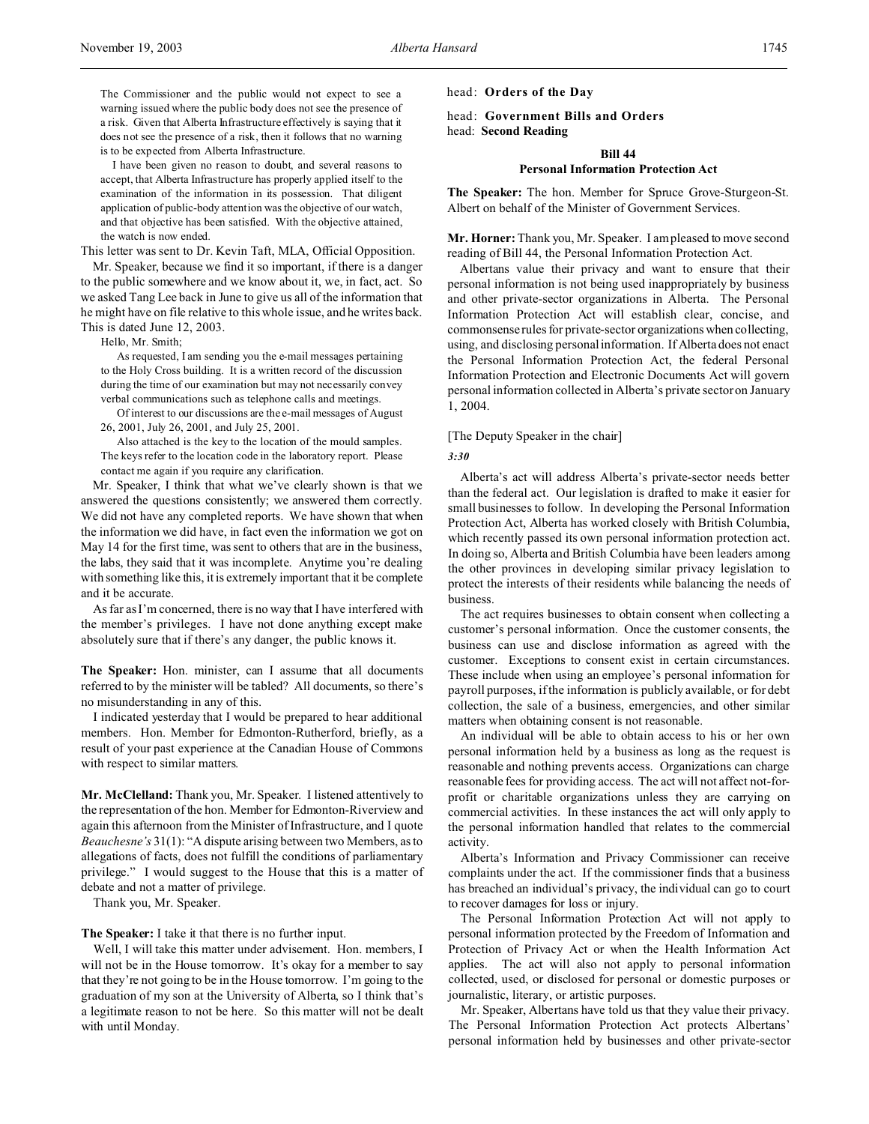The Commissioner and the public would not expect to see a warning issued where the public body does not see the presence of a risk. Given that Alberta Infrastructure effectively is saying that it does not see the presence of a risk, then it follows that no warning is to be expected from Alberta Infrastructure.

I have been given no reason to doubt, and several reasons to accept, that Alberta Infrastructure has properly applied itself to the examination of the information in its possession. That diligent application of public-body attention was the objective of our watch, and that objective has been satisfied. With the objective attained, the watch is now ended.

This letter was sent to Dr. Kevin Taft, MLA, Official Opposition.

Mr. Speaker, because we find it so important, if there is a danger to the public somewhere and we know about it, we, in fact, act. So we asked Tang Lee back in June to give us all of the information that he might have on file relative to this whole issue, and he writes back. This is dated June 12, 2003.

Hello, Mr. Smith;

As requested, I am sending you the e-mail messages pertaining to the Holy Cross building. It is a written record of the discussion during the time of our examination but may not necessarily convey verbal communications such as telephone calls and meetings.

Of interest to our discussions are the e-mail messages of August 26, 2001, July 26, 2001, and July 25, 2001.

Also attached is the key to the location of the mould samples. The keys refer to the location code in the laboratory report. Please contact me again if you require any clarification.

Mr. Speaker, I think that what we've clearly shown is that we answered the questions consistently; we answered them correctly. We did not have any completed reports. We have shown that when the information we did have, in fact even the information we got on May 14 for the first time, was sent to others that are in the business, the labs, they said that it was incomplete. Anytime you're dealing with something like this, it is extremely important that it be complete and it be accurate.

As far as I'm concerned, there is no way that I have interfered with the member's privileges. I have not done anything except make absolutely sure that if there's any danger, the public knows it.

**The Speaker:** Hon. minister, can I assume that all documents referred to by the minister will be tabled? All documents, so there's no misunderstanding in any of this.

I indicated yesterday that I would be prepared to hear additional members. Hon. Member for Edmonton-Rutherford, briefly, as a result of your past experience at the Canadian House of Commons with respect to similar matters.

**Mr. McClelland:** Thank you, Mr. Speaker. I listened attentively to the representation of the hon. Member for Edmonton-Riverview and again this afternoon from the Minister of Infrastructure, and I quote *Beauchesne's* 31(1): "A dispute arising between two Members, as to allegations of facts, does not fulfill the conditions of parliamentary privilege." I would suggest to the House that this is a matter of debate and not a matter of privilege.

Thank you, Mr. Speaker.

## **The Speaker:** I take it that there is no further input.

Well, I will take this matter under advisement. Hon. members, I will not be in the House tomorrow. It's okay for a member to say that they're not going to be in the House tomorrow. I'm going to the graduation of my son at the University of Alberta, so I think that's a legitimate reason to not be here. So this matter will not be dealt with until Monday.

head: **Orders of the Day**

head: **Government Bills and Orders** head: **Second Reading**

## **Bill 44**

#### **Personal Information Protection Act**

**The Speaker:** The hon. Member for Spruce Grove-Sturgeon-St. Albert on behalf of the Minister of Government Services.

**Mr. Horner:**Thank you, Mr. Speaker. I am pleased to move second reading of Bill 44, the Personal Information Protection Act.

Albertans value their privacy and want to ensure that their personal information is not being used inappropriately by business and other private-sector organizations in Alberta. The Personal Information Protection Act will establish clear, concise, and commonsense rules for private-sector organizations when collecting, using, and disclosing personal information. If Alberta does not enact the Personal Information Protection Act, the federal Personal Information Protection and Electronic Documents Act will govern personal information collected in Alberta's private sector on January 1, 2004.

#### [The Deputy Speaker in the chair]

#### *3:30*

Alberta's act will address Alberta's private-sector needs better than the federal act. Our legislation is drafted to make it easier for small businesses to follow. In developing the Personal Information Protection Act, Alberta has worked closely with British Columbia, which recently passed its own personal information protection act. In doing so, Alberta and British Columbia have been leaders among the other provinces in developing similar privacy legislation to protect the interests of their residents while balancing the needs of business.

The act requires businesses to obtain consent when collecting a customer's personal information. Once the customer consents, the business can use and disclose information as agreed with the customer. Exceptions to consent exist in certain circumstances. These include when using an employee's personal information for payroll purposes, if the information is publicly available, or for debt collection, the sale of a business, emergencies, and other similar matters when obtaining consent is not reasonable.

An individual will be able to obtain access to his or her own personal information held by a business as long as the request is reasonable and nothing prevents access. Organizations can charge reasonable fees for providing access. The act will not affect not-forprofit or charitable organizations unless they are carrying on commercial activities. In these instances the act will only apply to the personal information handled that relates to the commercial activity.

Alberta's Information and Privacy Commissioner can receive complaints under the act. If the commissioner finds that a business has breached an individual's privacy, the individual can go to court to recover damages for loss or injury.

The Personal Information Protection Act will not apply to personal information protected by the Freedom of Information and Protection of Privacy Act or when the Health Information Act applies. The act will also not apply to personal information collected, used, or disclosed for personal or domestic purposes or journalistic, literary, or artistic purposes.

Mr. Speaker, Albertans have told us that they value their privacy. The Personal Information Protection Act protects Albertans' personal information held by businesses and other private-sector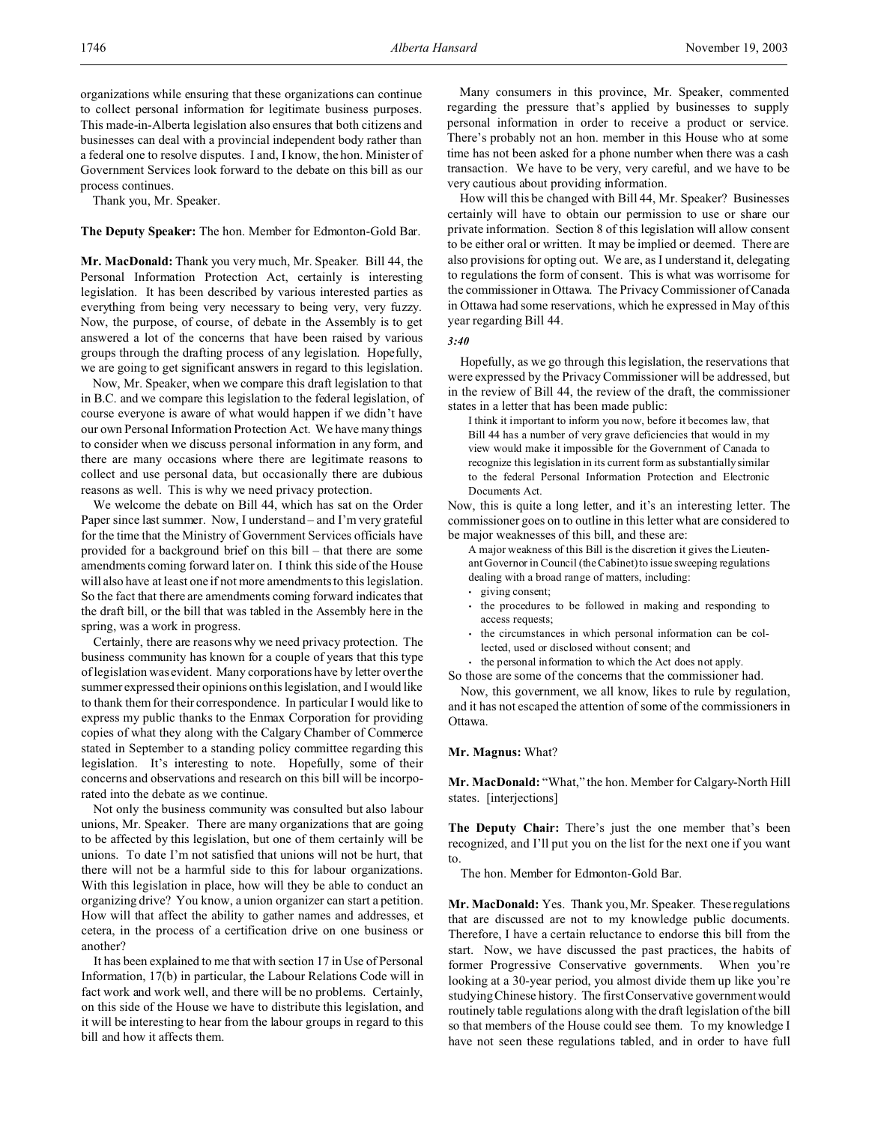organizations while ensuring that these organizations can continue to collect personal information for legitimate business purposes. This made-in-Alberta legislation also ensures that both citizens and businesses can deal with a provincial independent body rather than a federal one to resolve disputes. I and, I know, the hon. Minister of Government Services look forward to the debate on this bill as our process continues.

Thank you, Mr. Speaker.

**The Deputy Speaker:** The hon. Member for Edmonton-Gold Bar.

**Mr. MacDonald:** Thank you very much, Mr. Speaker. Bill 44, the Personal Information Protection Act, certainly is interesting legislation. It has been described by various interested parties as everything from being very necessary to being very, very fuzzy. Now, the purpose, of course, of debate in the Assembly is to get answered a lot of the concerns that have been raised by various groups through the drafting process of any legislation. Hopefully, we are going to get significant answers in regard to this legislation.

Now, Mr. Speaker, when we compare this draft legislation to that in B.C. and we compare this legislation to the federal legislation, of course everyone is aware of what would happen if we didn't have our own Personal Information Protection Act. We have many things to consider when we discuss personal information in any form, and there are many occasions where there are legitimate reasons to collect and use personal data, but occasionally there are dubious reasons as well. This is why we need privacy protection.

We welcome the debate on Bill 44, which has sat on the Order Paper since last summer. Now, I understand – and I'm very grateful for the time that the Ministry of Government Services officials have provided for a background brief on this bill – that there are some amendments coming forward later on. I think this side of the House will also have at least one if not more amendments to this legislation. So the fact that there are amendments coming forward indicates that the draft bill, or the bill that was tabled in the Assembly here in the spring, was a work in progress.

Certainly, there are reasons why we need privacy protection. The business community has known for a couple of years that this type of legislation was evident. Many corporations have by letter over the summer expressed their opinions on this legislation, and I would like to thank them for their correspondence. In particular I would like to express my public thanks to the Enmax Corporation for providing copies of what they along with the Calgary Chamber of Commerce stated in September to a standing policy committee regarding this legislation. It's interesting to note. Hopefully, some of their concerns and observations and research on this bill will be incorporated into the debate as we continue.

Not only the business community was consulted but also labour unions, Mr. Speaker. There are many organizations that are going to be affected by this legislation, but one of them certainly will be unions. To date I'm not satisfied that unions will not be hurt, that there will not be a harmful side to this for labour organizations. With this legislation in place, how will they be able to conduct an organizing drive? You know, a union organizer can start a petition. How will that affect the ability to gather names and addresses, et cetera, in the process of a certification drive on one business or another?

It has been explained to me that with section 17 in Use of Personal Information, 17(b) in particular, the Labour Relations Code will in fact work and work well, and there will be no problems. Certainly, on this side of the House we have to distribute this legislation, and it will be interesting to hear from the labour groups in regard to this bill and how it affects them.

Many consumers in this province, Mr. Speaker, commented regarding the pressure that's applied by businesses to supply personal information in order to receive a product or service. There's probably not an hon. member in this House who at some time has not been asked for a phone number when there was a cash transaction. We have to be very, very careful, and we have to be very cautious about providing information.

How will this be changed with Bill 44, Mr. Speaker? Businesses certainly will have to obtain our permission to use or share our private information. Section 8 of this legislation will allow consent to be either oral or written. It may be implied or deemed. There are also provisions for opting out. We are, as I understand it, delegating to regulations the form of consent. This is what was worrisome for the commissioner in Ottawa. The Privacy Commissioner of Canada in Ottawa had some reservations, which he expressed in May of this year regarding Bill 44.

*3:40*

Hopefully, as we go through this legislation, the reservations that were expressed by the Privacy Commissioner will be addressed, but in the review of Bill 44, the review of the draft, the commissioner states in a letter that has been made public:

I think it important to inform you now, before it becomes law, that Bill 44 has a number of very grave deficiencies that would in my view would make it impossible for the Government of Canada to recognize this legislation in its current form as substantially similar to the federal Personal Information Protection and Electronic Documents Act.

Now, this is quite a long letter, and it's an interesting letter. The commissioner goes on to outline in this letter what are considered to be major weaknesses of this bill, and these are:

- A major weakness of this Bill is the discretion it gives the Lieutenant Governor in Council (the Cabinet) to issue sweeping regulations dealing with a broad range of matters, including:
- giving consent;
- the procedures to be followed in making and responding to access requests;
- the circumstances in which personal information can be collected, used or disclosed without consent; and
- the personal information to which the Act does not apply.

So those are some of the concerns that the commissioner had. Now, this government, we all know, likes to rule by regulation,

and it has not escaped the attention of some of the commissioners in Ottawa.

#### **Mr. Magnus:** What?

**Mr. MacDonald:** "What," the hon. Member for Calgary-North Hill states. [interjections]

**The Deputy Chair:** There's just the one member that's been recognized, and I'll put you on the list for the next one if you want to.

The hon. Member for Edmonton-Gold Bar.

**Mr. MacDonald:** Yes. Thank you, Mr. Speaker. These regulations that are discussed are not to my knowledge public documents. Therefore, I have a certain reluctance to endorse this bill from the start. Now, we have discussed the past practices, the habits of former Progressive Conservative governments. When you're looking at a 30-year period, you almost divide them up like you're studying Chinese history. The first Conservative government would routinely table regulations along with the draft legislation of the bill so that members of the House could see them. To my knowledge I have not seen these regulations tabled, and in order to have full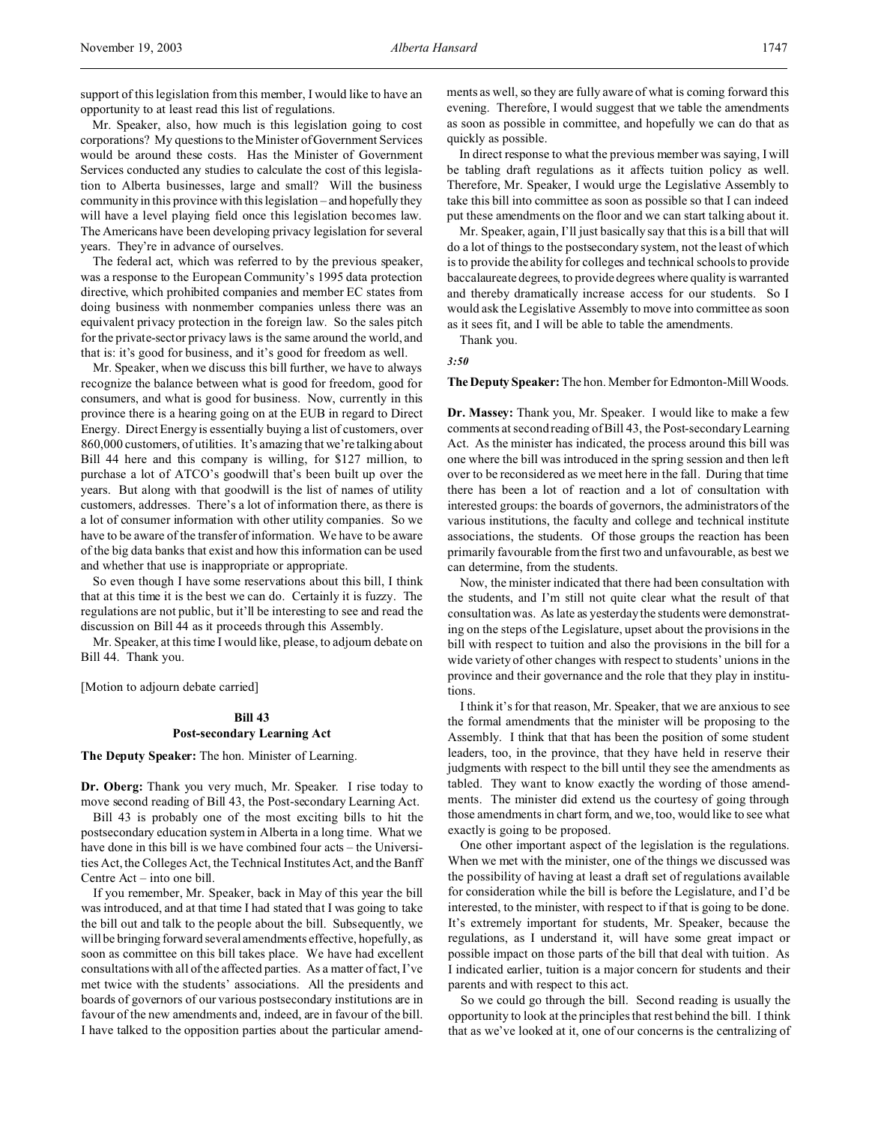support of this legislation from this member, I would like to have an opportunity to at least read this list of regulations.

Mr. Speaker, also, how much is this legislation going to cost corporations? My questions to the Minister of Government Services would be around these costs. Has the Minister of Government Services conducted any studies to calculate the cost of this legislation to Alberta businesses, large and small? Will the business community in this province with this legislation – and hopefully they will have a level playing field once this legislation becomes law. The Americans have been developing privacy legislation for several years. They're in advance of ourselves.

The federal act, which was referred to by the previous speaker, was a response to the European Community's 1995 data protection directive, which prohibited companies and member EC states from doing business with nonmember companies unless there was an equivalent privacy protection in the foreign law. So the sales pitch for the private-sector privacy laws is the same around the world, and that is: it's good for business, and it's good for freedom as well.

Mr. Speaker, when we discuss this bill further, we have to always recognize the balance between what is good for freedom, good for consumers, and what is good for business. Now, currently in this province there is a hearing going on at the EUB in regard to Direct Energy. Direct Energy is essentially buying a list of customers, over 860,000 customers, of utilities. It's amazing that we're talking about Bill 44 here and this company is willing, for \$127 million, to purchase a lot of ATCO's goodwill that's been built up over the years. But along with that goodwill is the list of names of utility customers, addresses. There's a lot of information there, as there is a lot of consumer information with other utility companies. So we have to be aware of the transfer of information. We have to be aware of the big data banks that exist and how this information can be used and whether that use is inappropriate or appropriate.

So even though I have some reservations about this bill, I think that at this time it is the best we can do. Certainly it is fuzzy. The regulations are not public, but it'll be interesting to see and read the discussion on Bill 44 as it proceeds through this Assembly.

Mr. Speaker, at this time I would like, please, to adjourn debate on Bill 44. Thank you.

[Motion to adjourn debate carried]

# **Bill 43 Post-secondary Learning Act**

**The Deputy Speaker:** The hon. Minister of Learning.

**Dr. Oberg:** Thank you very much, Mr. Speaker. I rise today to move second reading of Bill 43, the Post-secondary Learning Act.

Bill 43 is probably one of the most exciting bills to hit the postsecondary education system in Alberta in a long time. What we have done in this bill is we have combined four acts – the Universities Act, the Colleges Act, the Technical Institutes Act, and the Banff Centre Act – into one bill.

If you remember, Mr. Speaker, back in May of this year the bill was introduced, and at that time I had stated that I was going to take the bill out and talk to the people about the bill. Subsequently, we will be bringing forward several amendments effective, hopefully, as soon as committee on this bill takes place. We have had excellent consultations with all of the affected parties. As a matter of fact, I've met twice with the students' associations. All the presidents and boards of governors of our various postsecondary institutions are in favour of the new amendments and, indeed, are in favour of the bill. I have talked to the opposition parties about the particular amendments as well, so they are fully aware of what is coming forward this evening. Therefore, I would suggest that we table the amendments as soon as possible in committee, and hopefully we can do that as quickly as possible.

In direct response to what the previous member was saying, I will be tabling draft regulations as it affects tuition policy as well. Therefore, Mr. Speaker, I would urge the Legislative Assembly to take this bill into committee as soon as possible so that I can indeed put these amendments on the floor and we can start talking about it.

Mr. Speaker, again, I'll just basically say that this is a bill that will do a lot of things to the postsecondary system, not the least of which is to provide the ability for colleges and technical schools to provide baccalaureate degrees, to provide degrees where quality is warranted and thereby dramatically increase access for our students. So I would ask the Legislative Assembly to move into committee as soon as it sees fit, and I will be able to table the amendments.

Thank you.

*3:50*

The Deputy Speaker: The hon. Member for Edmonton-Mill Woods.

**Dr. Massey:** Thank you, Mr. Speaker. I would like to make a few comments at second reading of Bill 43, the Post-secondary Learning Act. As the minister has indicated, the process around this bill was one where the bill was introduced in the spring session and then left over to be reconsidered as we meet here in the fall. During that time there has been a lot of reaction and a lot of consultation with interested groups: the boards of governors, the administrators of the various institutions, the faculty and college and technical institute associations, the students. Of those groups the reaction has been primarily favourable from the first two and unfavourable, as best we can determine, from the students.

Now, the minister indicated that there had been consultation with the students, and I'm still not quite clear what the result of that consultation was. As late as yesterday the students were demonstrating on the steps of the Legislature, upset about the provisions in the bill with respect to tuition and also the provisions in the bill for a wide variety of other changes with respect to students' unions in the province and their governance and the role that they play in institutions.

I think it's for that reason, Mr. Speaker, that we are anxious to see the formal amendments that the minister will be proposing to the Assembly. I think that that has been the position of some student leaders, too, in the province, that they have held in reserve their judgments with respect to the bill until they see the amendments as tabled. They want to know exactly the wording of those amendments. The minister did extend us the courtesy of going through those amendments in chart form, and we, too, would like to see what exactly is going to be proposed.

One other important aspect of the legislation is the regulations. When we met with the minister, one of the things we discussed was the possibility of having at least a draft set of regulations available for consideration while the bill is before the Legislature, and I'd be interested, to the minister, with respect to if that is going to be done. It's extremely important for students, Mr. Speaker, because the regulations, as I understand it, will have some great impact or possible impact on those parts of the bill that deal with tuition. As I indicated earlier, tuition is a major concern for students and their parents and with respect to this act.

So we could go through the bill. Second reading is usually the opportunity to look at the principles that rest behind the bill. I think that as we've looked at it, one of our concerns is the centralizing of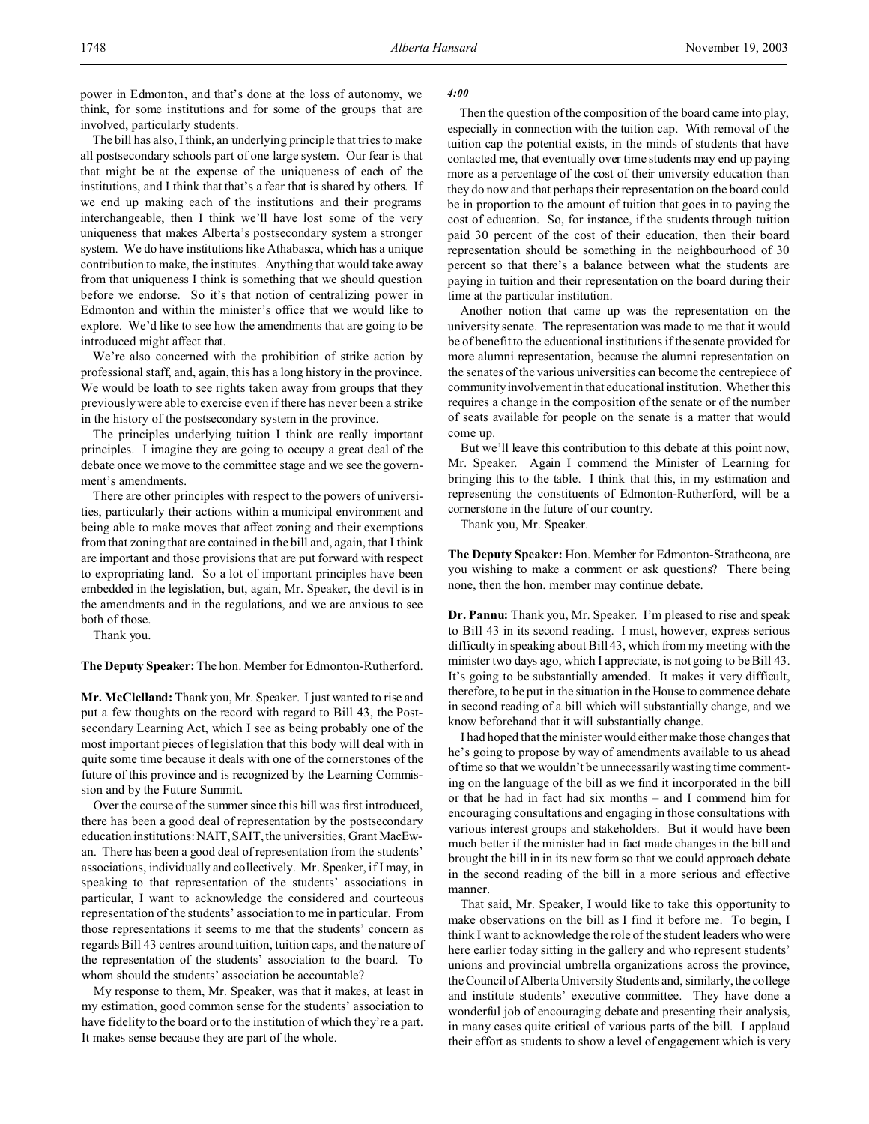power in Edmonton, and that's done at the loss of autonomy, we think, for some institutions and for some of the groups that are involved, particularly students.

The bill has also, I think, an underlying principle that tries to make all postsecondary schools part of one large system. Our fear is that that might be at the expense of the uniqueness of each of the institutions, and I think that that's a fear that is shared by others. If we end up making each of the institutions and their programs interchangeable, then I think we'll have lost some of the very uniqueness that makes Alberta's postsecondary system a stronger system. We do have institutions like Athabasca, which has a unique contribution to make, the institutes. Anything that would take away from that uniqueness I think is something that we should question before we endorse. So it's that notion of centralizing power in Edmonton and within the minister's office that we would like to explore. We'd like to see how the amendments that are going to be introduced might affect that.

We're also concerned with the prohibition of strike action by professional staff, and, again, this has a long history in the province. We would be loath to see rights taken away from groups that they previously were able to exercise even if there has never been a strike in the history of the postsecondary system in the province.

The principles underlying tuition I think are really important principles. I imagine they are going to occupy a great deal of the debate once we move to the committee stage and we see the government's amendments.

There are other principles with respect to the powers of universities, particularly their actions within a municipal environment and being able to make moves that affect zoning and their exemptions from that zoning that are contained in the bill and, again, that I think are important and those provisions that are put forward with respect to expropriating land. So a lot of important principles have been embedded in the legislation, but, again, Mr. Speaker, the devil is in the amendments and in the regulations, and we are anxious to see both of those.

Thank you.

**The Deputy Speaker:** The hon. Member for Edmonton-Rutherford.

**Mr. McClelland:** Thank you, Mr. Speaker. I just wanted to rise and put a few thoughts on the record with regard to Bill 43, the Postsecondary Learning Act, which I see as being probably one of the most important pieces of legislation that this body will deal with in quite some time because it deals with one of the cornerstones of the future of this province and is recognized by the Learning Commission and by the Future Summit.

Over the course of the summer since this bill was first introduced, there has been a good deal of representation by the postsecondary education institutions: NAIT, SAIT, the universities, Grant MacEwan. There has been a good deal of representation from the students' associations, individually and collectively. Mr. Speaker, if I may, in speaking to that representation of the students' associations in particular, I want to acknowledge the considered and courteous representation of the students' association to me in particular. From those representations it seems to me that the students' concern as regards Bill 43 centres around tuition, tuition caps, and the nature of the representation of the students' association to the board. To whom should the students' association be accountable?

My response to them, Mr. Speaker, was that it makes, at least in my estimation, good common sense for the students' association to have fidelity to the board or to the institution of which they're a part. It makes sense because they are part of the whole.

#### *4:00*

Then the question of the composition of the board came into play, especially in connection with the tuition cap. With removal of the tuition cap the potential exists, in the minds of students that have contacted me, that eventually over time students may end up paying more as a percentage of the cost of their university education than they do now and that perhaps their representation on the board could be in proportion to the amount of tuition that goes in to paying the cost of education. So, for instance, if the students through tuition paid 30 percent of the cost of their education, then their board representation should be something in the neighbourhood of 30 percent so that there's a balance between what the students are paying in tuition and their representation on the board during their time at the particular institution.

Another notion that came up was the representation on the university senate. The representation was made to me that it would be of benefit to the educational institutions if the senate provided for more alumni representation, because the alumni representation on the senates of the various universities can become the centrepiece of community involvement in that educational institution. Whether this requires a change in the composition of the senate or of the number of seats available for people on the senate is a matter that would come up.

But we'll leave this contribution to this debate at this point now, Mr. Speaker. Again I commend the Minister of Learning for bringing this to the table. I think that this, in my estimation and representing the constituents of Edmonton-Rutherford, will be a cornerstone in the future of our country.

Thank you, Mr. Speaker.

**The Deputy Speaker:** Hon. Member for Edmonton-Strathcona, are you wishing to make a comment or ask questions? There being none, then the hon. member may continue debate.

**Dr. Pannu:** Thank you, Mr. Speaker. I'm pleased to rise and speak to Bill 43 in its second reading. I must, however, express serious difficulty in speaking about Bill 43, which from my meeting with the minister two days ago, which I appreciate, is not going to be Bill 43. It's going to be substantially amended. It makes it very difficult, therefore, to be put in the situation in the House to commence debate in second reading of a bill which will substantially change, and we know beforehand that it will substantially change.

I had hoped that the minister would either make those changes that he's going to propose by way of amendments available to us ahead of time so that we wouldn't be unnecessarily wasting time commenting on the language of the bill as we find it incorporated in the bill or that he had in fact had six months – and I commend him for encouraging consultations and engaging in those consultations with various interest groups and stakeholders. But it would have been much better if the minister had in fact made changes in the bill and brought the bill in in its new form so that we could approach debate in the second reading of the bill in a more serious and effective manner.

That said, Mr. Speaker, I would like to take this opportunity to make observations on the bill as I find it before me. To begin, I think I want to acknowledge the role of the student leaders who were here earlier today sitting in the gallery and who represent students' unions and provincial umbrella organizations across the province, the Council of Alberta University Students and, similarly, the college and institute students' executive committee. They have done a wonderful job of encouraging debate and presenting their analysis, in many cases quite critical of various parts of the bill. I applaud their effort as students to show a level of engagement which is very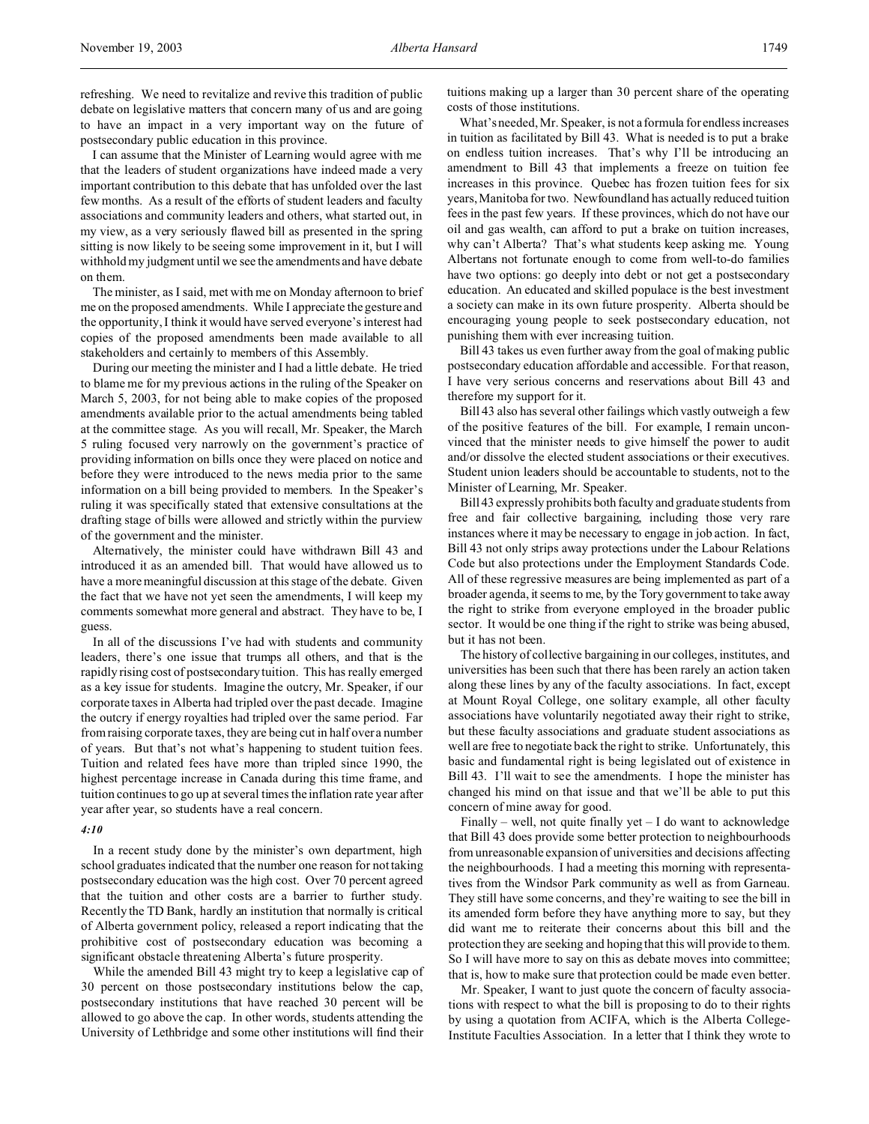refreshing. We need to revitalize and revive this tradition of public debate on legislative matters that concern many of us and are going to have an impact in a very important way on the future of postsecondary public education in this province.

I can assume that the Minister of Learning would agree with me that the leaders of student organizations have indeed made a very important contribution to this debate that has unfolded over the last few months. As a result of the efforts of student leaders and faculty associations and community leaders and others, what started out, in my view, as a very seriously flawed bill as presented in the spring sitting is now likely to be seeing some improvement in it, but I will withhold my judgment until we see the amendments and have debate on them.

The minister, as I said, met with me on Monday afternoon to brief me on the proposed amendments. While I appreciate the gesture and the opportunity, I think it would have served everyone's interest had copies of the proposed amendments been made available to all stakeholders and certainly to members of this Assembly.

During our meeting the minister and I had a little debate. He tried to blame me for my previous actions in the ruling of the Speaker on March 5, 2003, for not being able to make copies of the proposed amendments available prior to the actual amendments being tabled at the committee stage. As you will recall, Mr. Speaker, the March 5 ruling focused very narrowly on the government's practice of providing information on bills once they were placed on notice and before they were introduced to the news media prior to the same information on a bill being provided to members. In the Speaker's ruling it was specifically stated that extensive consultations at the drafting stage of bills were allowed and strictly within the purview of the government and the minister.

Alternatively, the minister could have withdrawn Bill 43 and introduced it as an amended bill. That would have allowed us to have a more meaningful discussion at this stage of the debate. Given the fact that we have not yet seen the amendments, I will keep my comments somewhat more general and abstract. They have to be, I guess.

In all of the discussions I've had with students and community leaders, there's one issue that trumps all others, and that is the rapidly rising cost of postsecondary tuition. This has really emerged as a key issue for students. Imagine the outcry, Mr. Speaker, if our corporate taxes in Alberta had tripled over the past decade. Imagine the outcry if energy royalties had tripled over the same period. Far from raising corporate taxes, they are being cut in half over a number of years. But that's not what's happening to student tuition fees. Tuition and related fees have more than tripled since 1990, the highest percentage increase in Canada during this time frame, and tuition continues to go up at several times the inflation rate year after year after year, so students have a real concern.

#### *4:10*

In a recent study done by the minister's own department, high school graduates indicated that the number one reason for not taking postsecondary education was the high cost. Over 70 percent agreed that the tuition and other costs are a barrier to further study. Recently the TD Bank, hardly an institution that normally is critical of Alberta government policy, released a report indicating that the prohibitive cost of postsecondary education was becoming a significant obstacle threatening Alberta's future prosperity.

While the amended Bill 43 might try to keep a legislative cap of 30 percent on those postsecondary institutions below the cap, postsecondary institutions that have reached 30 percent will be allowed to go above the cap. In other words, students attending the University of Lethbridge and some other institutions will find their

tuitions making up a larger than 30 percent share of the operating costs of those institutions.

What's needed, Mr. Speaker, is not a formula for endless increases in tuition as facilitated by Bill 43. What is needed is to put a brake on endless tuition increases. That's why I'll be introducing an amendment to Bill 43 that implements a freeze on tuition fee increases in this province. Quebec has frozen tuition fees for six years, Manitoba for two. Newfoundland has actually reduced tuition fees in the past few years. If these provinces, which do not have our oil and gas wealth, can afford to put a brake on tuition increases, why can't Alberta? That's what students keep asking me. Young Albertans not fortunate enough to come from well-to-do families have two options: go deeply into debt or not get a postsecondary education. An educated and skilled populace is the best investment a society can make in its own future prosperity. Alberta should be encouraging young people to seek postsecondary education, not punishing them with ever increasing tuition.

Bill 43 takes us even further away from the goal of making public postsecondary education affordable and accessible. For that reason, I have very serious concerns and reservations about Bill 43 and therefore my support for it.

Bill 43 also has several other failings which vastly outweigh a few of the positive features of the bill. For example, I remain unconvinced that the minister needs to give himself the power to audit and/or dissolve the elected student associations or their executives. Student union leaders should be accountable to students, not to the Minister of Learning, Mr. Speaker.

Bill 43 expressly prohibits both faculty and graduate students from free and fair collective bargaining, including those very rare instances where it may be necessary to engage in job action. In fact, Bill 43 not only strips away protections under the Labour Relations Code but also protections under the Employment Standards Code. All of these regressive measures are being implemented as part of a broader agenda, it seems to me, by the Tory government to take away the right to strike from everyone employed in the broader public sector. It would be one thing if the right to strike was being abused, but it has not been.

The history of collective bargaining in our colleges, institutes, and universities has been such that there has been rarely an action taken along these lines by any of the faculty associations. In fact, except at Mount Royal College, one solitary example, all other faculty associations have voluntarily negotiated away their right to strike, but these faculty associations and graduate student associations as well are free to negotiate back the right to strike. Unfortunately, this basic and fundamental right is being legislated out of existence in Bill 43. I'll wait to see the amendments. I hope the minister has changed his mind on that issue and that we'll be able to put this concern of mine away for good.

Finally – well, not quite finally yet  $- I$  do want to acknowledge that Bill 43 does provide some better protection to neighbourhoods from unreasonable expansion of universities and decisions affecting the neighbourhoods. I had a meeting this morning with representatives from the Windsor Park community as well as from Garneau. They still have some concerns, and they're waiting to see the bill in its amended form before they have anything more to say, but they did want me to reiterate their concerns about this bill and the protection they are seeking and hoping that this will provide to them. So I will have more to say on this as debate moves into committee; that is, how to make sure that protection could be made even better.

Mr. Speaker, I want to just quote the concern of faculty associations with respect to what the bill is proposing to do to their rights by using a quotation from ACIFA, which is the Alberta College-Institute Faculties Association. In a letter that I think they wrote to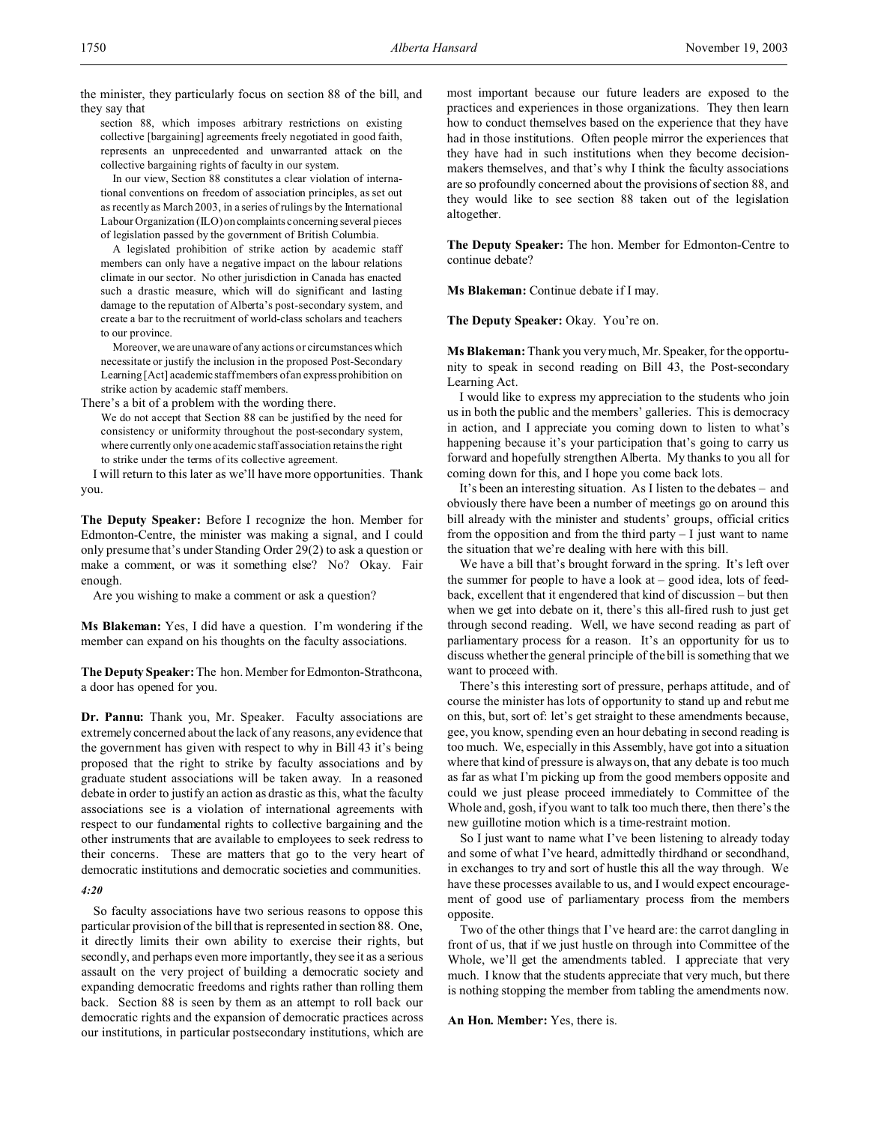the minister, they particularly focus on section 88 of the bill, and they say that

section 88, which imposes arbitrary restrictions on existing collective [bargaining] agreements freely negotiated in good faith, represents an unprecedented and unwarranted attack on the collective bargaining rights of faculty in our system.

In our view, Section 88 constitutes a clear violation of international conventions on freedom of association principles, as set out as recently as March 2003, in a series of rulings by the International Labour Organization (ILO) on complaints concerning several pieces of legislation passed by the government of British Columbia.

A legislated prohibition of strike action by academic staff members can only have a negative impact on the labour relations climate in our sector. No other jurisdiction in Canada has enacted such a drastic measure, which will do significant and lasting damage to the reputation of Alberta's post-secondary system, and create a bar to the recruitment of world-class scholars and teachers to our province.

Moreover, we are unaware of any actions or circumstances which necessitate or justify the inclusion in the proposed Post-Secondary Learning [Act] academic staff members of an express prohibition on strike action by academic staff members.

There's a bit of a problem with the wording there.

We do not accept that Section 88 can be justified by the need for consistency or uniformity throughout the post-secondary system, where currently only one academic staff association retains the right to strike under the terms of its collective agreement.

I will return to this later as we'll have more opportunities. Thank you.

**The Deputy Speaker:** Before I recognize the hon. Member for Edmonton-Centre, the minister was making a signal, and I could only presume that's under Standing Order 29(2) to ask a question or make a comment, or was it something else? No? Okay. Fair enough.

Are you wishing to make a comment or ask a question?

**Ms Blakeman:** Yes, I did have a question. I'm wondering if the member can expand on his thoughts on the faculty associations.

**The Deputy Speaker:** The hon. Member for Edmonton-Strathcona, a door has opened for you.

**Dr. Pannu:** Thank you, Mr. Speaker. Faculty associations are extremely concerned about the lack of any reasons, any evidence that the government has given with respect to why in Bill 43 it's being proposed that the right to strike by faculty associations and by graduate student associations will be taken away. In a reasoned debate in order to justify an action as drastic as this, what the faculty associations see is a violation of international agreements with respect to our fundamental rights to collective bargaining and the other instruments that are available to employees to seek redress to their concerns. These are matters that go to the very heart of democratic institutions and democratic societies and communities.

## *4:20*

So faculty associations have two serious reasons to oppose this particular provision of the bill that is represented in section 88. One, it directly limits their own ability to exercise their rights, but secondly, and perhaps even more importantly, they see it as a serious assault on the very project of building a democratic society and expanding democratic freedoms and rights rather than rolling them back. Section 88 is seen by them as an attempt to roll back our democratic rights and the expansion of democratic practices across our institutions, in particular postsecondary institutions, which are most important because our future leaders are exposed to the practices and experiences in those organizations. They then learn how to conduct themselves based on the experience that they have had in those institutions. Often people mirror the experiences that they have had in such institutions when they become decisionmakers themselves, and that's why I think the faculty associations are so profoundly concerned about the provisions of section 88, and they would like to see section 88 taken out of the legislation altogether.

**The Deputy Speaker:** The hon. Member for Edmonton-Centre to continue debate?

**Ms Blakeman:** Continue debate if I may.

The Deputy Speaker: Okay. You're on.

**Ms Blakeman:** Thank you very much, Mr. Speaker, for the opportunity to speak in second reading on Bill 43, the Post-secondary Learning Act.

I would like to express my appreciation to the students who join us in both the public and the members' galleries. This is democracy in action, and I appreciate you coming down to listen to what's happening because it's your participation that's going to carry us forward and hopefully strengthen Alberta. My thanks to you all for coming down for this, and I hope you come back lots.

It's been an interesting situation. As I listen to the debates – and obviously there have been a number of meetings go on around this bill already with the minister and students' groups, official critics from the opposition and from the third party  $-1$  just want to name the situation that we're dealing with here with this bill.

We have a bill that's brought forward in the spring. It's left over the summer for people to have a look  $at - good$  idea, lots of feedback, excellent that it engendered that kind of discussion – but then when we get into debate on it, there's this all-fired rush to just get through second reading. Well, we have second reading as part of parliamentary process for a reason. It's an opportunity for us to discuss whether the general principle of the bill is something that we want to proceed with.

There's this interesting sort of pressure, perhaps attitude, and of course the minister has lots of opportunity to stand up and rebut me on this, but, sort of: let's get straight to these amendments because, gee, you know, spending even an hour debating in second reading is too much. We, especially in this Assembly, have got into a situation where that kind of pressure is always on, that any debate is too much as far as what I'm picking up from the good members opposite and could we just please proceed immediately to Committee of the Whole and, gosh, if you want to talk too much there, then there's the new guillotine motion which is a time-restraint motion.

So I just want to name what I've been listening to already today and some of what I've heard, admittedly thirdhand or secondhand, in exchanges to try and sort of hustle this all the way through. We have these processes available to us, and I would expect encouragement of good use of parliamentary process from the members opposite.

Two of the other things that I've heard are: the carrot dangling in front of us, that if we just hustle on through into Committee of the Whole, we'll get the amendments tabled. I appreciate that very much. I know that the students appreciate that very much, but there is nothing stopping the member from tabling the amendments now.

**An Hon. Member:** Yes, there is.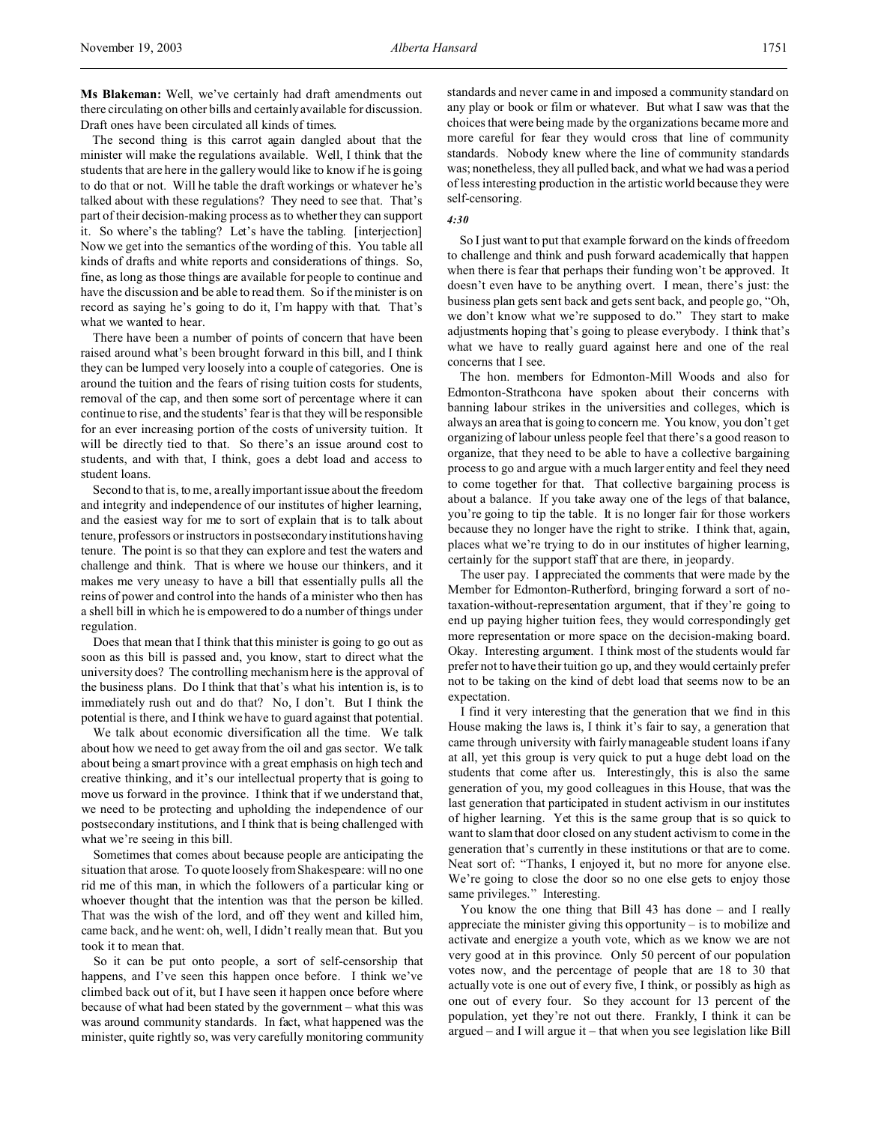**Ms Blakeman:** Well, we've certainly had draft amendments out there circulating on other bills and certainly available for discussion. Draft ones have been circulated all kinds of times.

The second thing is this carrot again dangled about that the minister will make the regulations available. Well, I think that the students that are here in the gallery would like to know if he is going to do that or not. Will he table the draft workings or whatever he's talked about with these regulations? They need to see that. That's part of their decision-making process as to whether they can support it. So where's the tabling? Let's have the tabling. [interjection] Now we get into the semantics of the wording of this. You table all kinds of drafts and white reports and considerations of things. So, fine, as long as those things are available for people to continue and have the discussion and be able to read them. So if the minister is on record as saying he's going to do it, I'm happy with that. That's what we wanted to hear.

There have been a number of points of concern that have been raised around what's been brought forward in this bill, and I think they can be lumped very loosely into a couple of categories. One is around the tuition and the fears of rising tuition costs for students, removal of the cap, and then some sort of percentage where it can continue to rise, and the students' fear is that they will be responsible for an ever increasing portion of the costs of university tuition. It will be directly tied to that. So there's an issue around cost to students, and with that, I think, goes a debt load and access to student loans.

Second to that is, to me, a really important issue about the freedom and integrity and independence of our institutes of higher learning, and the easiest way for me to sort of explain that is to talk about tenure, professors or instructors in postsecondary institutions having tenure. The point is so that they can explore and test the waters and challenge and think. That is where we house our thinkers, and it makes me very uneasy to have a bill that essentially pulls all the reins of power and control into the hands of a minister who then has a shell bill in which he is empowered to do a number of things under regulation.

Does that mean that I think that this minister is going to go out as soon as this bill is passed and, you know, start to direct what the university does? The controlling mechanism here is the approval of the business plans. Do I think that that's what his intention is, is to immediately rush out and do that? No, I don't. But I think the potential is there, and I think we have to guard against that potential.

We talk about economic diversification all the time. We talk about how we need to get away from the oil and gas sector. We talk about being a smart province with a great emphasis on high tech and creative thinking, and it's our intellectual property that is going to move us forward in the province. I think that if we understand that, we need to be protecting and upholding the independence of our postsecondary institutions, and I think that is being challenged with what we're seeing in this bill.

Sometimes that comes about because people are anticipating the situation that arose. To quote loosely from Shakespeare: will no one rid me of this man, in which the followers of a particular king or whoever thought that the intention was that the person be killed. That was the wish of the lord, and off they went and killed him, came back, and he went: oh, well, I didn't really mean that. But you took it to mean that.

So it can be put onto people, a sort of self-censorship that happens, and I've seen this happen once before. I think we've climbed back out of it, but I have seen it happen once before where because of what had been stated by the government – what this was was around community standards. In fact, what happened was the minister, quite rightly so, was very carefully monitoring community standards and never came in and imposed a community standard on any play or book or film or whatever. But what I saw was that the choices that were being made by the organizations became more and more careful for fear they would cross that line of community standards. Nobody knew where the line of community standards was; nonetheless, they all pulled back, and what we had was a period of less interesting production in the artistic world because they were self-censoring.

#### *4:30*

So I just want to put that example forward on the kinds of freedom to challenge and think and push forward academically that happen when there is fear that perhaps their funding won't be approved. It doesn't even have to be anything overt. I mean, there's just: the business plan gets sent back and gets sent back, and people go, "Oh, we don't know what we're supposed to do." They start to make adjustments hoping that's going to please everybody. I think that's what we have to really guard against here and one of the real concerns that I see.

The hon. members for Edmonton-Mill Woods and also for Edmonton-Strathcona have spoken about their concerns with banning labour strikes in the universities and colleges, which is always an area that is going to concern me. You know, you don't get organizing of labour unless people feel that there's a good reason to organize, that they need to be able to have a collective bargaining process to go and argue with a much larger entity and feel they need to come together for that. That collective bargaining process is about a balance. If you take away one of the legs of that balance, you're going to tip the table. It is no longer fair for those workers because they no longer have the right to strike. I think that, again, places what we're trying to do in our institutes of higher learning, certainly for the support staff that are there, in jeopardy.

The user pay. I appreciated the comments that were made by the Member for Edmonton-Rutherford, bringing forward a sort of notaxation-without-representation argument, that if they're going to end up paying higher tuition fees, they would correspondingly get more representation or more space on the decision-making board. Okay. Interesting argument. I think most of the students would far prefer not to have their tuition go up, and they would certainly prefer not to be taking on the kind of debt load that seems now to be an expectation.

I find it very interesting that the generation that we find in this House making the laws is, I think it's fair to say, a generation that came through university with fairly manageable student loans if any at all, yet this group is very quick to put a huge debt load on the students that come after us. Interestingly, this is also the same generation of you, my good colleagues in this House, that was the last generation that participated in student activism in our institutes of higher learning. Yet this is the same group that is so quick to want to slam that door closed on any student activism to come in the generation that's currently in these institutions or that are to come. Neat sort of: "Thanks, I enjoyed it, but no more for anyone else. We're going to close the door so no one else gets to enjoy those same privileges." Interesting.

You know the one thing that Bill 43 has done – and I really appreciate the minister giving this opportunity – is to mobilize and activate and energize a youth vote, which as we know we are not very good at in this province. Only 50 percent of our population votes now, and the percentage of people that are 18 to 30 that actually vote is one out of every five, I think, or possibly as high as one out of every four. So they account for 13 percent of the population, yet they're not out there. Frankly, I think it can be argued – and I will argue it – that when you see legislation like Bill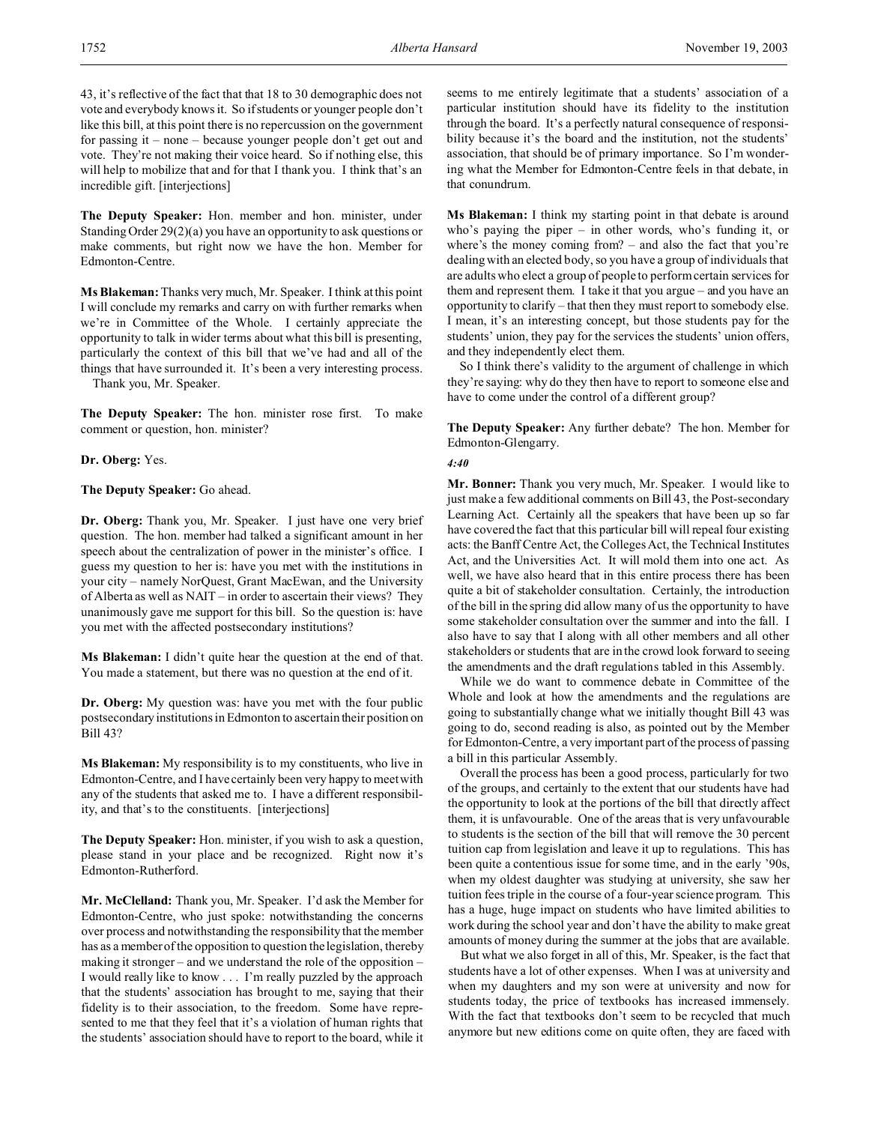43, it's reflective of the fact that that 18 to 30 demographic does not vote and everybody knows it. So if students or younger people don't like this bill, at this point there is no repercussion on the government for passing it – none – because younger people don't get out and vote. They're not making their voice heard. So if nothing else, this will help to mobilize that and for that I thank you. I think that's an incredible gift. [interjections]

**The Deputy Speaker:** Hon. member and hon. minister, under Standing Order 29(2)(a) you have an opportunity to ask questions or make comments, but right now we have the hon. Member for Edmonton-Centre.

**Ms Blakeman:** Thanks very much, Mr. Speaker. I think at this point I will conclude my remarks and carry on with further remarks when we're in Committee of the Whole. I certainly appreciate the opportunity to talk in wider terms about what this bill is presenting, particularly the context of this bill that we've had and all of the things that have surrounded it. It's been a very interesting process. Thank you, Mr. Speaker.

**The Deputy Speaker:** The hon. minister rose first. To make comment or question, hon. minister?

**Dr. Oberg:** Yes.

**The Deputy Speaker:** Go ahead.

**Dr. Oberg:** Thank you, Mr. Speaker. I just have one very brief question. The hon. member had talked a significant amount in her speech about the centralization of power in the minister's office. I guess my question to her is: have you met with the institutions in your city – namely NorQuest, Grant MacEwan, and the University of Alberta as well as NAIT – in order to ascertain their views? They unanimously gave me support for this bill. So the question is: have you met with the affected postsecondary institutions?

**Ms Blakeman:** I didn't quite hear the question at the end of that. You made a statement, but there was no question at the end of it.

**Dr. Oberg:** My question was: have you met with the four public postsecondary institutions inEdmonton to ascertain their position on Bill 43?

**Ms Blakeman:** My responsibility is to my constituents, who live in Edmonton-Centre, and I have certainly been very happy to meet with any of the students that asked me to. I have a different responsibility, and that's to the constituents. [interjections]

**The Deputy Speaker:** Hon. minister, if you wish to ask a question, please stand in your place and be recognized. Right now it's Edmonton-Rutherford.

**Mr. McClelland:** Thank you, Mr. Speaker. I'd ask the Member for Edmonton-Centre, who just spoke: notwithstanding the concerns over process and notwithstanding the responsibility that the member has as a member of the opposition to question the legislation, thereby making it stronger – and we understand the role of the opposition – I would really like to know . . . I'm really puzzled by the approach that the students' association has brought to me, saying that their fidelity is to their association, to the freedom. Some have represented to me that they feel that it's a violation of human rights that the students' association should have to report to the board, while it

seems to me entirely legitimate that a students' association of a particular institution should have its fidelity to the institution through the board. It's a perfectly natural consequence of responsibility because it's the board and the institution, not the students' association, that should be of primary importance. So I'm wondering what the Member for Edmonton-Centre feels in that debate, in that conundrum.

**Ms Blakeman:** I think my starting point in that debate is around who's paying the piper – in other words, who's funding it, or where's the money coming from? – and also the fact that you're dealing with an elected body, so you have a group of individuals that are adults who elect a group of people to perform certain services for them and represent them. I take it that you argue – and you have an opportunity to clarify – that then they must report to somebody else. I mean, it's an interesting concept, but those students pay for the students' union, they pay for the services the students' union offers, and they independently elect them.

So I think there's validity to the argument of challenge in which they're saying: why do they then have to report to someone else and have to come under the control of a different group?

**The Deputy Speaker:** Any further debate? The hon. Member for Edmonton-Glengarry.

## *4:40*

**Mr. Bonner:** Thank you very much, Mr. Speaker. I would like to just make a few additional comments on Bill 43, the Post-secondary Learning Act. Certainly all the speakers that have been up so far have covered the fact that this particular bill will repeal four existing acts: the Banff Centre Act, the Colleges Act, the Technical Institutes Act, and the Universities Act. It will mold them into one act. As well, we have also heard that in this entire process there has been quite a bit of stakeholder consultation. Certainly, the introduction of the bill in the spring did allow many of us the opportunity to have some stakeholder consultation over the summer and into the fall. I also have to say that I along with all other members and all other stakeholders or students that are in the crowd look forward to seeing the amendments and the draft regulations tabled in this Assembly.

While we do want to commence debate in Committee of the Whole and look at how the amendments and the regulations are going to substantially change what we initially thought Bill 43 was going to do, second reading is also, as pointed out by the Member for Edmonton-Centre, a very important part of the process of passing a bill in this particular Assembly.

Overall the process has been a good process, particularly for two of the groups, and certainly to the extent that our students have had the opportunity to look at the portions of the bill that directly affect them, it is unfavourable. One of the areas that is very unfavourable to students is the section of the bill that will remove the 30 percent tuition cap from legislation and leave it up to regulations. This has been quite a contentious issue for some time, and in the early '90s, when my oldest daughter was studying at university, she saw her tuition fees triple in the course of a four-year science program. This has a huge, huge impact on students who have limited abilities to work during the school year and don't have the ability to make great amounts of money during the summer at the jobs that are available.

But what we also forget in all of this, Mr. Speaker, is the fact that students have a lot of other expenses. When I was at university and when my daughters and my son were at university and now for students today, the price of textbooks has increased immensely. With the fact that textbooks don't seem to be recycled that much anymore but new editions come on quite often, they are faced with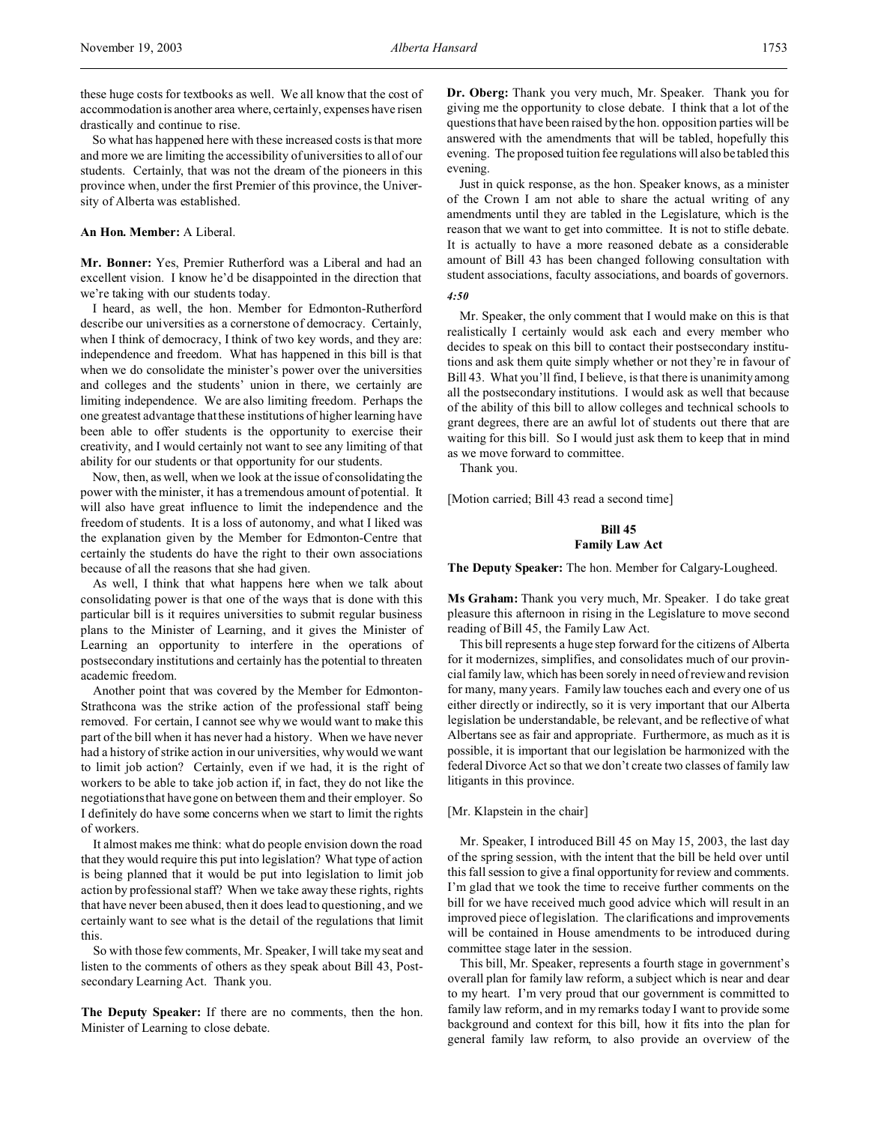these huge costs for textbooks as well. We all know that the cost of accommodation is another area where, certainly, expenses have risen drastically and continue to rise.

So what has happened here with these increased costs is that more and more we are limiting the accessibility of universities to all of our students. Certainly, that was not the dream of the pioneers in this province when, under the first Premier of this province, the University of Alberta was established.

# **An Hon. Member:** A Liberal.

**Mr. Bonner:** Yes, Premier Rutherford was a Liberal and had an excellent vision. I know he'd be disappointed in the direction that we're taking with our students today.

I heard, as well, the hon. Member for Edmonton-Rutherford describe our universities as a cornerstone of democracy. Certainly, when I think of democracy, I think of two key words, and they are: independence and freedom. What has happened in this bill is that when we do consolidate the minister's power over the universities and colleges and the students' union in there, we certainly are limiting independence. We are also limiting freedom. Perhaps the one greatest advantage that these institutions of higher learning have been able to offer students is the opportunity to exercise their creativity, and I would certainly not want to see any limiting of that ability for our students or that opportunity for our students.

Now, then, as well, when we look at the issue of consolidating the power with the minister, it has a tremendous amount of potential. It will also have great influence to limit the independence and the freedom of students. It is a loss of autonomy, and what I liked was the explanation given by the Member for Edmonton-Centre that certainly the students do have the right to their own associations because of all the reasons that she had given.

As well, I think that what happens here when we talk about consolidating power is that one of the ways that is done with this particular bill is it requires universities to submit regular business plans to the Minister of Learning, and it gives the Minister of Learning an opportunity to interfere in the operations of postsecondary institutions and certainly has the potential to threaten academic freedom.

Another point that was covered by the Member for Edmonton-Strathcona was the strike action of the professional staff being removed. For certain, I cannot see why we would want to make this part of the bill when it has never had a history. When we have never had a history of strike action in our universities, why would we want to limit job action? Certainly, even if we had, it is the right of workers to be able to take job action if, in fact, they do not like the negotiations that have gone on between them and their employer. So I definitely do have some concerns when we start to limit the rights of workers.

It almost makes me think: what do people envision down the road that they would require this put into legislation? What type of action is being planned that it would be put into legislation to limit job action by professional staff? When we take away these rights, rights that have never been abused, then it does lead to questioning, and we certainly want to see what is the detail of the regulations that limit this.

So with those few comments, Mr. Speaker, I will take my seat and listen to the comments of others as they speak about Bill 43, Postsecondary Learning Act. Thank you.

**The Deputy Speaker:** If there are no comments, then the hon. Minister of Learning to close debate.

**Dr. Oberg:** Thank you very much, Mr. Speaker. Thank you for giving me the opportunity to close debate. I think that a lot of the questions that have been raised by the hon. opposition parties will be answered with the amendments that will be tabled, hopefully this evening. The proposed tuition fee regulations will also be tabled this evening.

Just in quick response, as the hon. Speaker knows, as a minister of the Crown I am not able to share the actual writing of any amendments until they are tabled in the Legislature, which is the reason that we want to get into committee. It is not to stifle debate. It is actually to have a more reasoned debate as a considerable amount of Bill 43 has been changed following consultation with student associations, faculty associations, and boards of governors.

*4:50*

Mr. Speaker, the only comment that I would make on this is that realistically I certainly would ask each and every member who decides to speak on this bill to contact their postsecondary institutions and ask them quite simply whether or not they're in favour of Bill 43. What you'll find, I believe, is that there is unanimity among all the postsecondary institutions. I would ask as well that because of the ability of this bill to allow colleges and technical schools to grant degrees, there are an awful lot of students out there that are waiting for this bill. So I would just ask them to keep that in mind as we move forward to committee.

Thank you.

[Motion carried; Bill 43 read a second time]

# **Bill 45 Family Law Act**

**The Deputy Speaker:** The hon. Member for Calgary-Lougheed.

**Ms Graham:** Thank you very much, Mr. Speaker. I do take great pleasure this afternoon in rising in the Legislature to move second reading of Bill 45, the Family Law Act.

This bill represents a huge step forward for the citizens of Alberta for it modernizes, simplifies, and consolidates much of our provincial family law, which has been sorely in need of review and revision for many, many years. Family law touches each and every one of us either directly or indirectly, so it is very important that our Alberta legislation be understandable, be relevant, and be reflective of what Albertans see as fair and appropriate. Furthermore, as much as it is possible, it is important that our legislation be harmonized with the federal Divorce Act so that we don't create two classes of family law litigants in this province.

# [Mr. Klapstein in the chair]

Mr. Speaker, I introduced Bill 45 on May 15, 2003, the last day of the spring session, with the intent that the bill be held over until this fall session to give a final opportunity for review and comments. I'm glad that we took the time to receive further comments on the bill for we have received much good advice which will result in an improved piece of legislation. The clarifications and improvements will be contained in House amendments to be introduced during committee stage later in the session.

This bill, Mr. Speaker, represents a fourth stage in government's overall plan for family law reform, a subject which is near and dear to my heart. I'm very proud that our government is committed to family law reform, and in my remarks today I want to provide some background and context for this bill, how it fits into the plan for general family law reform, to also provide an overview of the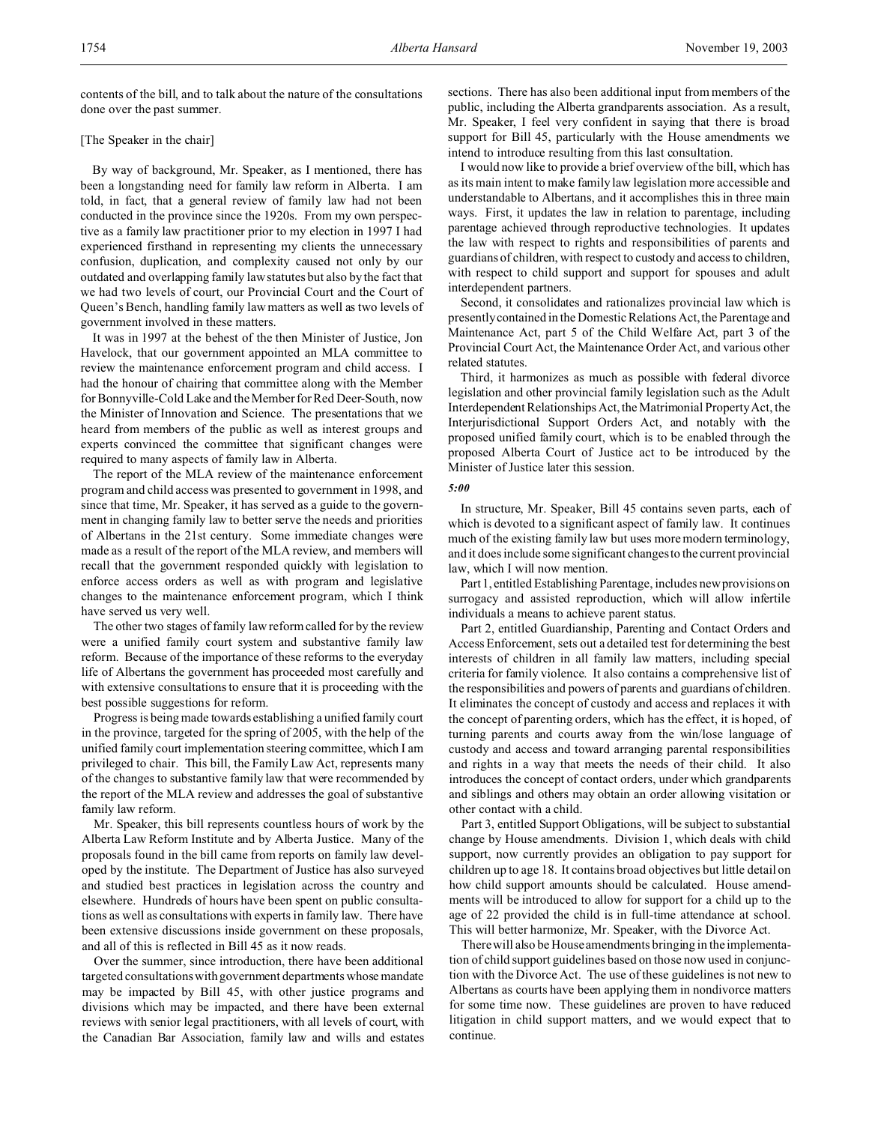## [The Speaker in the chair]

By way of background, Mr. Speaker, as I mentioned, there has been a longstanding need for family law reform in Alberta. I am told, in fact, that a general review of family law had not been conducted in the province since the 1920s. From my own perspective as a family law practitioner prior to my election in 1997 I had experienced firsthand in representing my clients the unnecessary confusion, duplication, and complexity caused not only by our outdated and overlapping family law statutes but also by the fact that we had two levels of court, our Provincial Court and the Court of Queen's Bench, handling family law matters as well as two levels of government involved in these matters.

It was in 1997 at the behest of the then Minister of Justice, Jon Havelock, that our government appointed an MLA committee to review the maintenance enforcement program and child access. I had the honour of chairing that committee along with the Member for Bonnyville-Cold Lake and the Member for Red Deer-South, now the Minister of Innovation and Science. The presentations that we heard from members of the public as well as interest groups and experts convinced the committee that significant changes were required to many aspects of family law in Alberta.

The report of the MLA review of the maintenance enforcement program and child access was presented to government in 1998, and since that time, Mr. Speaker, it has served as a guide to the government in changing family law to better serve the needs and priorities of Albertans in the 21st century. Some immediate changes were made as a result of the report of the MLA review, and members will recall that the government responded quickly with legislation to enforce access orders as well as with program and legislative changes to the maintenance enforcement program, which I think have served us very well.

The other two stages of family law reform called for by the review were a unified family court system and substantive family law reform. Because of the importance of these reforms to the everyday life of Albertans the government has proceeded most carefully and with extensive consultations to ensure that it is proceeding with the best possible suggestions for reform.

Progress is being made towards establishing a unified family court in the province, targeted for the spring of 2005, with the help of the unified family court implementation steering committee, which I am privileged to chair. This bill, the Family Law Act, represents many of the changes to substantive family law that were recommended by the report of the MLA review and addresses the goal of substantive family law reform.

Mr. Speaker, this bill represents countless hours of work by the Alberta Law Reform Institute and by Alberta Justice. Many of the proposals found in the bill came from reports on family law developed by the institute. The Department of Justice has also surveyed and studied best practices in legislation across the country and elsewhere. Hundreds of hours have been spent on public consultations as well as consultations with experts in family law. There have been extensive discussions inside government on these proposals, and all of this is reflected in Bill 45 as it now reads.

Over the summer, since introduction, there have been additional targeted consultations with government departments whose mandate may be impacted by Bill 45, with other justice programs and divisions which may be impacted, and there have been external reviews with senior legal practitioners, with all levels of court, with the Canadian Bar Association, family law and wills and estates

sections. There has also been additional input from members of the public, including the Alberta grandparents association. As a result, Mr. Speaker, I feel very confident in saying that there is broad support for Bill 45, particularly with the House amendments we intend to introduce resulting from this last consultation.

I would now like to provide a brief overview of the bill, which has as its main intent to make family law legislation more accessible and understandable to Albertans, and it accomplishes this in three main ways. First, it updates the law in relation to parentage, including parentage achieved through reproductive technologies. It updates the law with respect to rights and responsibilities of parents and guardians of children, with respect to custody and access to children, with respect to child support and support for spouses and adult interdependent partners.

Second, it consolidates and rationalizes provincial law which is presently contained in the Domestic Relations Act, the Parentage and Maintenance Act, part 5 of the Child Welfare Act, part 3 of the Provincial Court Act, the Maintenance Order Act, and various other related statutes.

Third, it harmonizes as much as possible with federal divorce legislation and other provincial family legislation such as the Adult Interdependent Relationships Act, the Matrimonial Property Act, the Interjurisdictional Support Orders Act, and notably with the proposed unified family court, which is to be enabled through the proposed Alberta Court of Justice act to be introduced by the Minister of Justice later this session.

#### *5:00*

In structure, Mr. Speaker, Bill 45 contains seven parts, each of which is devoted to a significant aspect of family law. It continues much of the existing family law but uses more modern terminology, and it does include some significant changes to the current provincial law, which I will now mention.

Part 1, entitled Establishing Parentage, includes new provisions on surrogacy and assisted reproduction, which will allow infertile individuals a means to achieve parent status.

Part 2, entitled Guardianship, Parenting and Contact Orders and Access Enforcement, sets out a detailed test for determining the best interests of children in all family law matters, including special criteria for family violence. It also contains a comprehensive list of the responsibilities and powers of parents and guardians of children. It eliminates the concept of custody and access and replaces it with the concept of parenting orders, which has the effect, it is hoped, of turning parents and courts away from the win/lose language of custody and access and toward arranging parental responsibilities and rights in a way that meets the needs of their child. It also introduces the concept of contact orders, under which grandparents and siblings and others may obtain an order allowing visitation or other contact with a child.

Part 3, entitled Support Obligations, will be subject to substantial change by House amendments. Division 1, which deals with child support, now currently provides an obligation to pay support for children up to age 18. It contains broad objectives but little detail on how child support amounts should be calculated. House amendments will be introduced to allow for support for a child up to the age of 22 provided the child is in full-time attendance at school. This will better harmonize, Mr. Speaker, with the Divorce Act.

There will also be House amendments bringing in the implementation of child support guidelines based on those now used in conjunction with the Divorce Act. The use of these guidelines is not new to Albertans as courts have been applying them in nondivorce matters for some time now. These guidelines are proven to have reduced litigation in child support matters, and we would expect that to continue.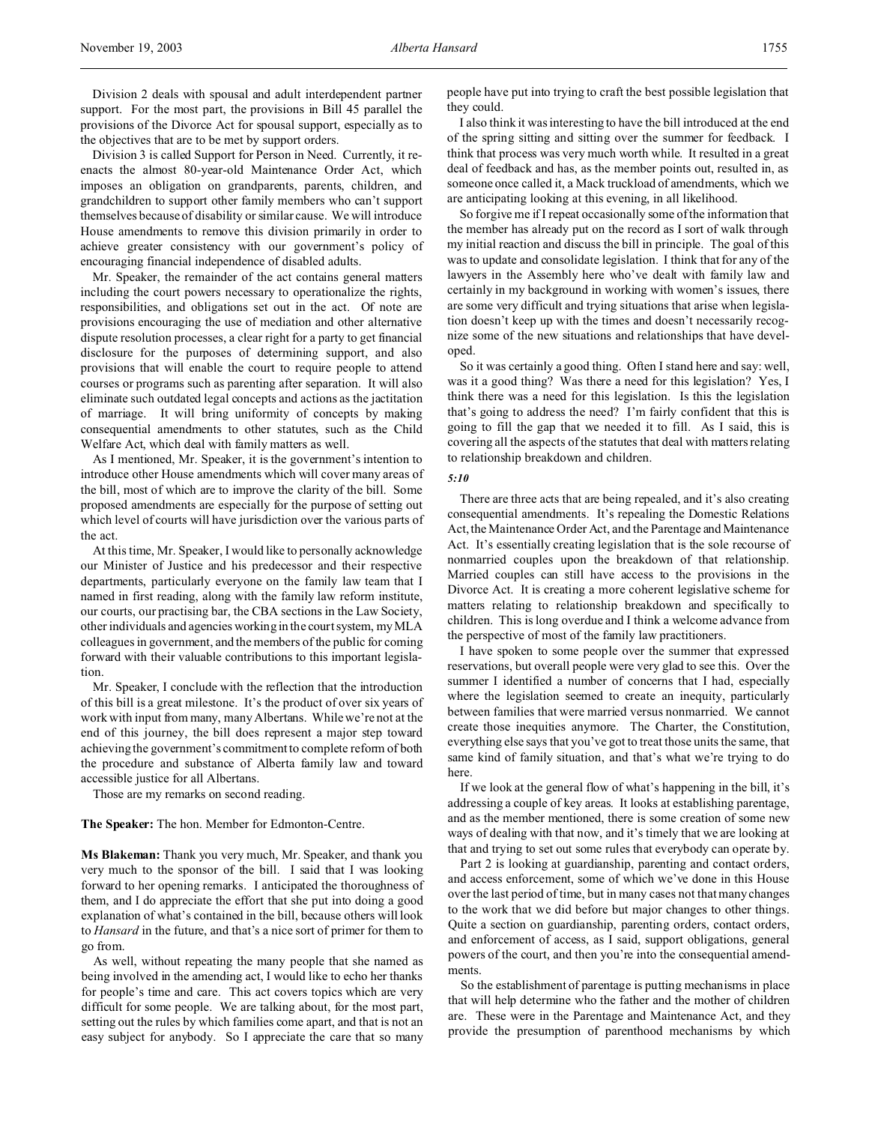Division 3 is called Support for Person in Need. Currently, it reenacts the almost 80-year-old Maintenance Order Act, which imposes an obligation on grandparents, parents, children, and grandchildren to support other family members who can't support themselves because of disability or similar cause. We will introduce House amendments to remove this division primarily in order to achieve greater consistency with our government's policy of encouraging financial independence of disabled adults.

Mr. Speaker, the remainder of the act contains general matters including the court powers necessary to operationalize the rights, responsibilities, and obligations set out in the act. Of note are provisions encouraging the use of mediation and other alternative dispute resolution processes, a clear right for a party to get financial disclosure for the purposes of determining support, and also provisions that will enable the court to require people to attend courses or programs such as parenting after separation. It will also eliminate such outdated legal concepts and actions as the jactitation of marriage. It will bring uniformity of concepts by making consequential amendments to other statutes, such as the Child Welfare Act, which deal with family matters as well.

As I mentioned, Mr. Speaker, it is the government's intention to introduce other House amendments which will cover many areas of the bill, most of which are to improve the clarity of the bill. Some proposed amendments are especially for the purpose of setting out which level of courts will have jurisdiction over the various parts of the act.

At this time, Mr. Speaker, I would like to personally acknowledge our Minister of Justice and his predecessor and their respective departments, particularly everyone on the family law team that I named in first reading, along with the family law reform institute, our courts, our practising bar, the CBA sections in the Law Society, other individuals and agencies working in the court system, my MLA colleagues in government, and the members of the public for coming forward with their valuable contributions to this important legislation.

Mr. Speaker, I conclude with the reflection that the introduction of this bill is a great milestone. It's the product of over six years of work with input from many, many Albertans. While we're not at the end of this journey, the bill does represent a major step toward achieving the government's commitment to complete reform of both the procedure and substance of Alberta family law and toward accessible justice for all Albertans.

Those are my remarks on second reading.

**The Speaker:** The hon. Member for Edmonton-Centre.

**Ms Blakeman:** Thank you very much, Mr. Speaker, and thank you very much to the sponsor of the bill. I said that I was looking forward to her opening remarks. I anticipated the thoroughness of them, and I do appreciate the effort that she put into doing a good explanation of what's contained in the bill, because others will look to *Hansard* in the future, and that's a nice sort of primer for them to go from.

As well, without repeating the many people that she named as being involved in the amending act, I would like to echo her thanks for people's time and care. This act covers topics which are very difficult for some people. We are talking about, for the most part, setting out the rules by which families come apart, and that is not an easy subject for anybody. So I appreciate the care that so many people have put into trying to craft the best possible legislation that they could.

I also think it was interesting to have the bill introduced at the end of the spring sitting and sitting over the summer for feedback. I think that process was very much worth while. It resulted in a great deal of feedback and has, as the member points out, resulted in, as someone once called it, a Mack truckload of amendments, which we are anticipating looking at this evening, in all likelihood.

So forgive me if I repeat occasionally some of the information that the member has already put on the record as I sort of walk through my initial reaction and discuss the bill in principle. The goal of this was to update and consolidate legislation. I think that for any of the lawyers in the Assembly here who've dealt with family law and certainly in my background in working with women's issues, there are some very difficult and trying situations that arise when legislation doesn't keep up with the times and doesn't necessarily recognize some of the new situations and relationships that have developed.

So it was certainly a good thing. Often I stand here and say: well, was it a good thing? Was there a need for this legislation? Yes, I think there was a need for this legislation. Is this the legislation that's going to address the need? I'm fairly confident that this is going to fill the gap that we needed it to fill. As I said, this is covering all the aspects of the statutes that deal with matters relating to relationship breakdown and children.

#### *5:10*

There are three acts that are being repealed, and it's also creating consequential amendments. It's repealing the Domestic Relations Act, the Maintenance Order Act, and the Parentage and Maintenance Act. It's essentially creating legislation that is the sole recourse of nonmarried couples upon the breakdown of that relationship. Married couples can still have access to the provisions in the Divorce Act. It is creating a more coherent legislative scheme for matters relating to relationship breakdown and specifically to children. This is long overdue and I think a welcome advance from the perspective of most of the family law practitioners.

I have spoken to some people over the summer that expressed reservations, but overall people were very glad to see this. Over the summer I identified a number of concerns that I had, especially where the legislation seemed to create an inequity, particularly between families that were married versus nonmarried. We cannot create those inequities anymore. The Charter, the Constitution, everything else says that you've got to treat those units the same, that same kind of family situation, and that's what we're trying to do here.

If we look at the general flow of what's happening in the bill, it's addressing a couple of key areas. It looks at establishing parentage, and as the member mentioned, there is some creation of some new ways of dealing with that now, and it's timely that we are looking at that and trying to set out some rules that everybody can operate by.

Part 2 is looking at guardianship, parenting and contact orders, and access enforcement, some of which we've done in this House over the last period of time, but in many cases not that many changes to the work that we did before but major changes to other things. Quite a section on guardianship, parenting orders, contact orders, and enforcement of access, as I said, support obligations, general powers of the court, and then you're into the consequential amendments.

So the establishment of parentage is putting mechanisms in place that will help determine who the father and the mother of children are. These were in the Parentage and Maintenance Act, and they provide the presumption of parenthood mechanisms by which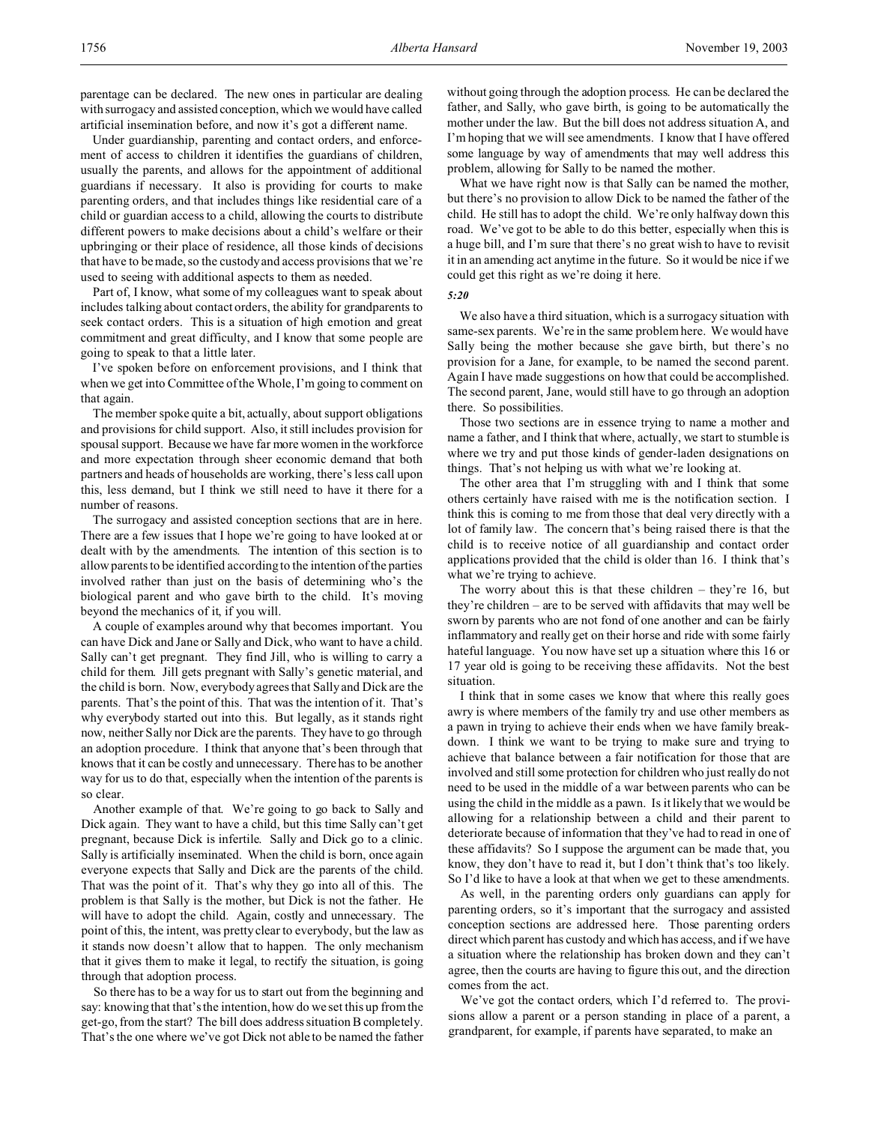Under guardianship, parenting and contact orders, and enforcement of access to children it identifies the guardians of children, usually the parents, and allows for the appointment of additional guardians if necessary. It also is providing for courts to make parenting orders, and that includes things like residential care of a child or guardian access to a child, allowing the courts to distribute different powers to make decisions about a child's welfare or their upbringing or their place of residence, all those kinds of decisions that have to be made, so the custody and access provisions that we're used to seeing with additional aspects to them as needed.

Part of, I know, what some of my colleagues want to speak about includes talking about contact orders, the ability for grandparents to seek contact orders. This is a situation of high emotion and great commitment and great difficulty, and I know that some people are going to speak to that a little later.

I've spoken before on enforcement provisions, and I think that when we get into Committee of the Whole, I'm going to comment on that again.

The member spoke quite a bit, actually, about support obligations and provisions for child support. Also, it still includes provision for spousal support. Because we have far more women in the workforce and more expectation through sheer economic demand that both partners and heads of households are working, there's less call upon this, less demand, but I think we still need to have it there for a number of reasons.

The surrogacy and assisted conception sections that are in here. There are a few issues that I hope we're going to have looked at or dealt with by the amendments. The intention of this section is to allow parents to be identified according to the intention of the parties involved rather than just on the basis of determining who's the biological parent and who gave birth to the child. It's moving beyond the mechanics of it, if you will.

A couple of examples around why that becomes important. You can have Dick and Jane or Sally and Dick, who want to have a child. Sally can't get pregnant. They find Jill, who is willing to carry a child for them. Jill gets pregnant with Sally's genetic material, and the child is born. Now, everybody agrees that Sally and Dick are the parents. That's the point of this. That was the intention of it. That's why everybody started out into this. But legally, as it stands right now, neither Sally nor Dick are the parents. They have to go through an adoption procedure. I think that anyone that's been through that knows that it can be costly and unnecessary. There has to be another way for us to do that, especially when the intention of the parents is so clear.

Another example of that. We're going to go back to Sally and Dick again. They want to have a child, but this time Sally can't get pregnant, because Dick is infertile. Sally and Dick go to a clinic. Sally is artificially inseminated. When the child is born, once again everyone expects that Sally and Dick are the parents of the child. That was the point of it. That's why they go into all of this. The problem is that Sally is the mother, but Dick is not the father. He will have to adopt the child. Again, costly and unnecessary. The point of this, the intent, was pretty clear to everybody, but the law as it stands now doesn't allow that to happen. The only mechanism that it gives them to make it legal, to rectify the situation, is going through that adoption process.

So there has to be a way for us to start out from the beginning and say: knowing that that's the intention, how do we set this up from the get-go, from the start? The bill does address situation B completely. That's the one where we've got Dick not able to be named the father without going through the adoption process. He can be declared the father, and Sally, who gave birth, is going to be automatically the mother under the law. But the bill does not address situation A, and I'm hoping that we will see amendments. I know that I have offered some language by way of amendments that may well address this problem, allowing for Sally to be named the mother.

What we have right now is that Sally can be named the mother, but there's no provision to allow Dick to be named the father of the child. He still has to adopt the child. We're only halfway down this road. We've got to be able to do this better, especially when this is a huge bill, and I'm sure that there's no great wish to have to revisit it in an amending act anytime in the future. So it would be nice if we could get this right as we're doing it here.

#### *5:20*

We also have a third situation, which is a surrogacy situation with same-sex parents. We're in the same problem here. We would have Sally being the mother because she gave birth, but there's no provision for a Jane, for example, to be named the second parent. Again I have made suggestions on how that could be accomplished. The second parent, Jane, would still have to go through an adoption there. So possibilities.

Those two sections are in essence trying to name a mother and name a father, and I think that where, actually, we start to stumble is where we try and put those kinds of gender-laden designations on things. That's not helping us with what we're looking at.

The other area that I'm struggling with and I think that some others certainly have raised with me is the notification section. I think this is coming to me from those that deal very directly with a lot of family law. The concern that's being raised there is that the child is to receive notice of all guardianship and contact order applications provided that the child is older than 16. I think that's what we're trying to achieve.

The worry about this is that these children – they're 16, but they're children – are to be served with affidavits that may well be sworn by parents who are not fond of one another and can be fairly inflammatory and really get on their horse and ride with some fairly hateful language. You now have set up a situation where this 16 or 17 year old is going to be receiving these affidavits. Not the best situation.

I think that in some cases we know that where this really goes awry is where members of the family try and use other members as a pawn in trying to achieve their ends when we have family breakdown. I think we want to be trying to make sure and trying to achieve that balance between a fair notification for those that are involved and still some protection for children who just really do not need to be used in the middle of a war between parents who can be using the child in the middle as a pawn. Is it likely that we would be allowing for a relationship between a child and their parent to deteriorate because of information that they've had to read in one of these affidavits? So I suppose the argument can be made that, you know, they don't have to read it, but I don't think that's too likely. So I'd like to have a look at that when we get to these amendments.

As well, in the parenting orders only guardians can apply for parenting orders, so it's important that the surrogacy and assisted conception sections are addressed here. Those parenting orders direct which parent has custody and which has access, and if we have a situation where the relationship has broken down and they can't agree, then the courts are having to figure this out, and the direction comes from the act.

We've got the contact orders, which I'd referred to. The provisions allow a parent or a person standing in place of a parent, a grandparent, for example, if parents have separated, to make an